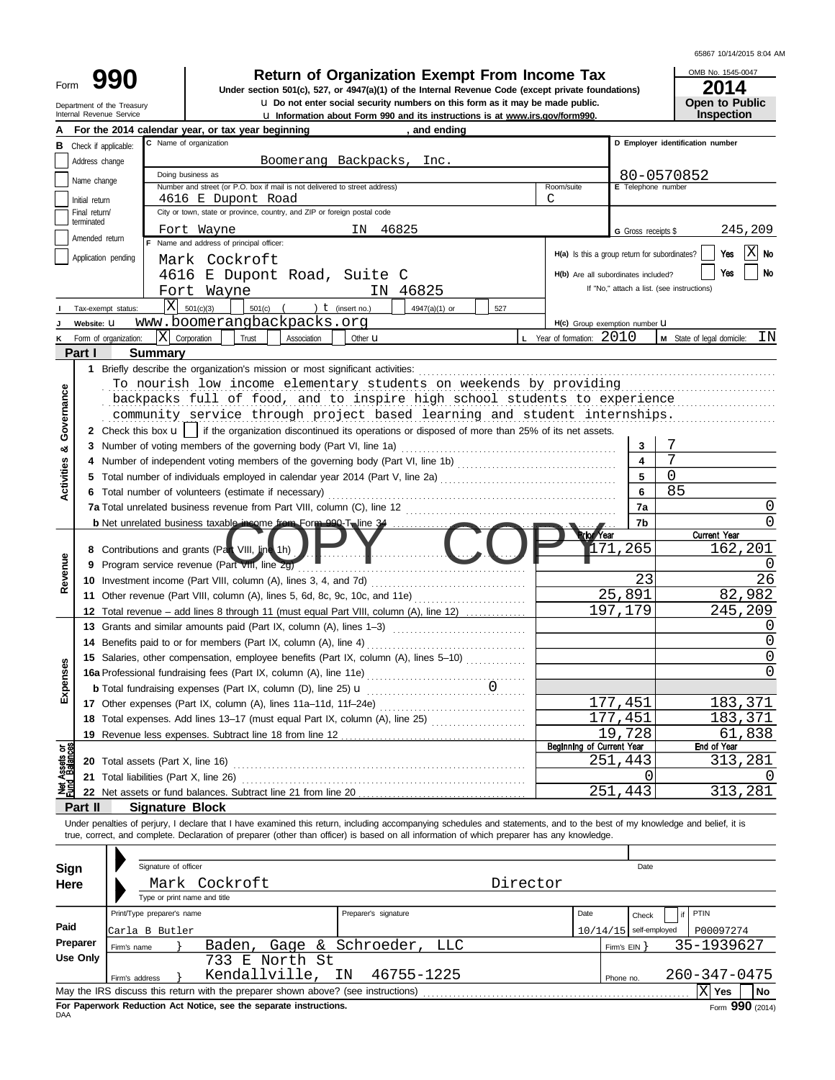| 65867 10/14/2015 8:04 AM |  |  |  |  |
|--------------------------|--|--|--|--|
|--------------------------|--|--|--|--|

Department of the Treasury<br>Internal Revenue Service

u **Information about Form 990 and its instructions is at [www.irs.gov/form990](http://www.irs.gov/form990).** u **Do not enter social security numbers on this form as it may be made public. Open to Public 990** Return of Organization Exempt From Income Tax DNB No. 1545-0<br>Under section 501(c), 527, or 4947(a)(1) of the Internal Revenue Code (except private foundations) 2014

OMB No. 1545-0047 **Inspection**

|                  |                                 | For the 2014 calendar year, or tax year beginning<br>and ending                                                                 |                                               |                                |                                            |  |  |  |  |  |  |  |  |  |  |
|------------------|---------------------------------|---------------------------------------------------------------------------------------------------------------------------------|-----------------------------------------------|--------------------------------|--------------------------------------------|--|--|--|--|--|--|--|--|--|--|
| в                | Check if applicable:            | C Name of organization                                                                                                          |                                               |                                | D Employer identification number           |  |  |  |  |  |  |  |  |  |  |
|                  | Address change                  | Boomerang Backpacks, Inc.                                                                                                       |                                               |                                |                                            |  |  |  |  |  |  |  |  |  |  |
|                  | Name change                     | Doing business as                                                                                                               |                                               |                                | 80-0570852                                 |  |  |  |  |  |  |  |  |  |  |
|                  |                                 | Number and street (or P.O. box if mail is not delivered to street address)                                                      | Room/suite                                    | E Telephone number             |                                            |  |  |  |  |  |  |  |  |  |  |
|                  | Initial return<br>Final return/ | 4616 E Dupont Road<br>City or town, state or province, country, and ZIP or foreign postal code                                  | C                                             |                                |                                            |  |  |  |  |  |  |  |  |  |  |
|                  | terminated                      |                                                                                                                                 |                                               |                                |                                            |  |  |  |  |  |  |  |  |  |  |
|                  | Amended return                  | IN 46825<br>Fort Wayne                                                                                                          |                                               | 245,209<br>G Gross receipts \$ |                                            |  |  |  |  |  |  |  |  |  |  |
|                  | Application pending             | Name and address of principal officer:                                                                                          | H(a) Is this a group return for subordinates? |                                | IXI<br>Yes<br><b>No</b>                    |  |  |  |  |  |  |  |  |  |  |
|                  |                                 | Mark Cockroft                                                                                                                   |                                               |                                | Yes<br>No                                  |  |  |  |  |  |  |  |  |  |  |
|                  |                                 | 4616 E Dupont Road, Suite C                                                                                                     | H(b) Are all subordinates included?           |                                |                                            |  |  |  |  |  |  |  |  |  |  |
|                  |                                 | IN 46825<br>Fort Wayne                                                                                                          |                                               |                                | If "No," attach a list. (see instructions) |  |  |  |  |  |  |  |  |  |  |
|                  | Tax-exempt status:              | $X = 501(c)(3)$<br>$501(c)$ (<br>) $t$ (insert no.)<br>4947(a)(1) or<br>527                                                     |                                               |                                |                                            |  |  |  |  |  |  |  |  |  |  |
|                  | Website: U                      | www.boomerangbackpacks.org                                                                                                      | H(c) Group exemption number LI                |                                |                                            |  |  |  |  |  |  |  |  |  |  |
| ĸ                | Form of organization:           | $ X $ Corporation<br>Trust<br>Association<br>Other <b>u</b>                                                                     | <b>L</b> Year of formation: $2010$            |                                | M State of legal domicile:<br>ΙN           |  |  |  |  |  |  |  |  |  |  |
|                  | Part I                          | Summary                                                                                                                         |                                               |                                |                                            |  |  |  |  |  |  |  |  |  |  |
|                  |                                 |                                                                                                                                 |                                               |                                |                                            |  |  |  |  |  |  |  |  |  |  |
|                  |                                 | To nourish low income elementary students on weekends by providing                                                              |                                               |                                |                                            |  |  |  |  |  |  |  |  |  |  |
|                  |                                 | backpacks full of food, and to inspire high school students to experience                                                       |                                               |                                |                                            |  |  |  |  |  |  |  |  |  |  |
|                  |                                 | community service through project based learning and student internships.                                                       |                                               |                                |                                            |  |  |  |  |  |  |  |  |  |  |
| Governance       |                                 | 2 Check this box $\mathbf{u}$   if the organization discontinued its operations or disposed of more than 25% of its net assets. |                                               |                                |                                            |  |  |  |  |  |  |  |  |  |  |
| ಳ                |                                 |                                                                                                                                 |                                               | 3                              | 7                                          |  |  |  |  |  |  |  |  |  |  |
|                  |                                 |                                                                                                                                 |                                               | $\blacktriangle$               | 7                                          |  |  |  |  |  |  |  |  |  |  |
|                  |                                 |                                                                                                                                 |                                               | 5                              | $\Omega$                                   |  |  |  |  |  |  |  |  |  |  |
| Activities       |                                 |                                                                                                                                 |                                               | 6                              | 85                                         |  |  |  |  |  |  |  |  |  |  |
|                  |                                 |                                                                                                                                 |                                               | 7a                             | $\left( \right)$                           |  |  |  |  |  |  |  |  |  |  |
|                  |                                 | b Net unrelated business taxable income from Form 990-T, line 34                                                                |                                               | 7b                             | 0                                          |  |  |  |  |  |  |  |  |  |  |
|                  |                                 |                                                                                                                                 | rior <sup>y</sup> ear                         |                                | <b>Current Year</b>                        |  |  |  |  |  |  |  |  |  |  |
|                  |                                 | 8 Contributions and grants (Part VIII, line 1h)                                                                                 | 171                                           | 265                            | 162,201                                    |  |  |  |  |  |  |  |  |  |  |
| Revenue          |                                 | 9 Program service revenue (Part VIII, line 2g)                                                                                  |                                               |                                |                                            |  |  |  |  |  |  |  |  |  |  |
|                  |                                 |                                                                                                                                 |                                               | 23                             | 26                                         |  |  |  |  |  |  |  |  |  |  |
|                  |                                 | 11 Other revenue (Part VIII, column (A), lines 5, 6d, 8c, 9c, 10c, and 11e)                                                     | 25                                            | ,891                           | 982<br>82,                                 |  |  |  |  |  |  |  |  |  |  |
|                  |                                 | 12 Total revenue – add lines 8 through 11 (must equal Part VIII, column (A), line 12)                                           |                                               | 197,179                        | 245,209                                    |  |  |  |  |  |  |  |  |  |  |
|                  |                                 | 13 Grants and similar amounts paid (Part IX, column (A), lines 1-3)                                                             |                                               |                                | O                                          |  |  |  |  |  |  |  |  |  |  |
|                  |                                 |                                                                                                                                 |                                               |                                | 0                                          |  |  |  |  |  |  |  |  |  |  |
|                  |                                 | 15 Salaries, other compensation, employee benefits (Part IX, column (A), lines 5-10)                                            |                                               |                                | O                                          |  |  |  |  |  |  |  |  |  |  |
| Expenses         |                                 |                                                                                                                                 |                                               |                                | 0                                          |  |  |  |  |  |  |  |  |  |  |
|                  |                                 |                                                                                                                                 |                                               |                                |                                            |  |  |  |  |  |  |  |  |  |  |
|                  |                                 |                                                                                                                                 |                                               | 177,451                        | 183,371                                    |  |  |  |  |  |  |  |  |  |  |
|                  |                                 | 18 Total expenses. Add lines 13-17 (must equal Part IX, column (A), line 25)                                                    |                                               | 177,451                        | 183,371                                    |  |  |  |  |  |  |  |  |  |  |
|                  |                                 |                                                                                                                                 |                                               | 19,728                         | 838<br>61.                                 |  |  |  |  |  |  |  |  |  |  |
| ਠខ្ល             |                                 |                                                                                                                                 | Beginning of Current Year                     |                                | End of Year                                |  |  |  |  |  |  |  |  |  |  |
| Assets<br>Balanc |                                 | <b>20</b> Total assets (Part X, line 16)                                                                                        |                                               | 251,443                        | 313,281                                    |  |  |  |  |  |  |  |  |  |  |
|                  |                                 |                                                                                                                                 |                                               | 0                              |                                            |  |  |  |  |  |  |  |  |  |  |
|                  |                                 | 22 Net assets or fund balances. Subtract line 21 from line 20                                                                   |                                               | 251,443                        | 313,281                                    |  |  |  |  |  |  |  |  |  |  |
|                  | Part II                         | <b>Signature Block</b><br>and a state of the control of the con-                                                                |                                               |                                |                                            |  |  |  |  |  |  |  |  |  |  |

Under penalties of perjury, I declare that I have examined this return, including accompanying schedules and statements, and to the best of my knowledge and belief, it is true, correct, and complete. Declaration of preparer (other than officer) is based on all information of which preparer has any knowledge.

| Sign       |                | Signature of officer         |                                                                                   |                             |      |                          | Date  |              |                 |
|------------|----------------|------------------------------|-----------------------------------------------------------------------------------|-----------------------------|------|--------------------------|-------|--------------|-----------------|
| Here       |                | Mark Cockroft                |                                                                                   |                             |      |                          |       |              |                 |
|            |                | Type or print name and title |                                                                                   |                             |      |                          |       |              |                 |
|            |                | Print/Type preparer's name   |                                                                                   | Preparer's signature        | Date |                          | Check | PTIN         |                 |
| Paid       |                | Carla B Butler               |                                                                                   |                             |      | $10/14/15$ self-employed |       | P00097274    |                 |
| Preparer   | Firm's name    |                              | Baden,                                                                            | Gage & Schroeder, LLC       |      | Firm's $EIN$             |       | 35-1939627   |                 |
| Use Only   |                |                              | 733 E North St                                                                    |                             |      |                          |       |              |                 |
|            | Firm's address |                              |                                                                                   | Kendallville, IN 46755-1225 |      | Phone no.                |       | 260-347-0475 |                 |
|            |                |                              | May the IRS discuss this return with the preparer shown above? (see instructions) |                             |      |                          |       | $ X $ Yes    | l No            |
| <b>DAA</b> |                |                              | For Paperwork Reduction Act Notice, see the separate instructions.                |                             |      |                          |       |              | Form 990 (2014) |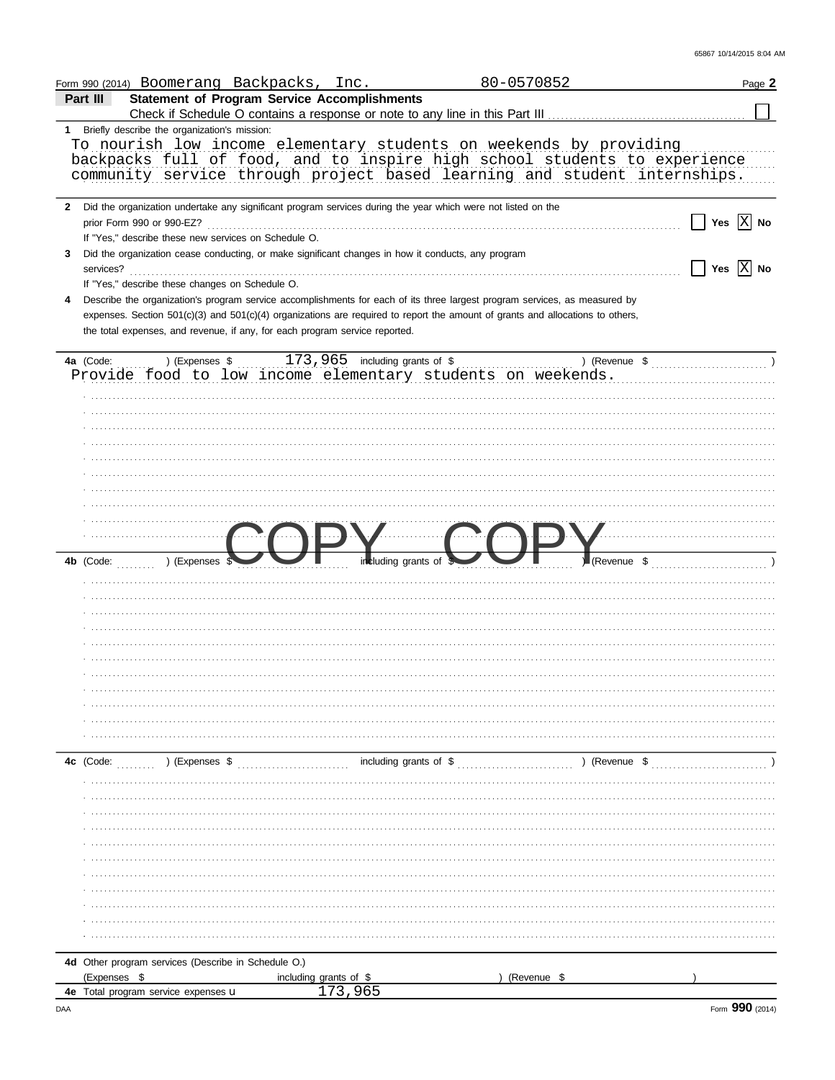|              | Form 990 (2014) Boomerang Backpacks, Inc.                                   |                        |                                                                                                                | 80-0570852                                                                                                                                                                                                                   |                                                                          | Page 2                |
|--------------|-----------------------------------------------------------------------------|------------------------|----------------------------------------------------------------------------------------------------------------|------------------------------------------------------------------------------------------------------------------------------------------------------------------------------------------------------------------------------|--------------------------------------------------------------------------|-----------------------|
| Part III     | <b>Statement of Program Service Accomplishments</b>                         |                        |                                                                                                                |                                                                                                                                                                                                                              |                                                                          |                       |
|              |                                                                             |                        |                                                                                                                |                                                                                                                                                                                                                              |                                                                          |                       |
|              | 1 Briefly describe the organization's mission:                              |                        |                                                                                                                | To nourish low income elementary students on weekends by providing<br>backpacks full of food, and to inspire high school students to experience<br>community service through project based learning and student internships. |                                                                          |                       |
|              |                                                                             |                        | 2 Did the organization undertake any significant program services during the year which were not listed on the |                                                                                                                                                                                                                              |                                                                          |                       |
|              | prior Form 990 or 990-EZ?                                                   |                        |                                                                                                                |                                                                                                                                                                                                                              |                                                                          | Yes $ X $ No          |
|              | If "Yes," describe these new services on Schedule O.                        |                        |                                                                                                                |                                                                                                                                                                                                                              |                                                                          |                       |
| 3            |                                                                             |                        | Did the organization cease conducting, or make significant changes in how it conducts, any program             |                                                                                                                                                                                                                              |                                                                          |                       |
|              |                                                                             |                        |                                                                                                                |                                                                                                                                                                                                                              |                                                                          | Yes $\overline{X}$ No |
| 4            | If "Yes," describe these changes on Schedule O.                             |                        |                                                                                                                | Describe the organization's program service accomplishments for each of its three largest program services, as measured by                                                                                                   |                                                                          |                       |
|              | the total expenses, and revenue, if any, for each program service reported. |                        |                                                                                                                | expenses. Section 501(c)(3) and 501(c)(4) organizations are required to report the amount of grants and allocations to others,                                                                                               |                                                                          |                       |
| 4a (Code:    |                                                                             |                        |                                                                                                                |                                                                                                                                                                                                                              | ) (Revenue $\frac{1}{2}$ (Revenue $\frac{1}{2}$ (Revenue $\frac{1}{2}$ ) |                       |
|              |                                                                             |                        |                                                                                                                | la (Code: ) (Expenses \$173,965 including grants of \$) (Reverse {\bmg>>>>>> (Code: ) (Expenses \$173,965 including grants of \$) (Reverse {\bmg>>> code: code: Lementary students on weekends.                              |                                                                          |                       |
|              |                                                                             |                        |                                                                                                                |                                                                                                                                                                                                                              |                                                                          |                       |
|              |                                                                             |                        |                                                                                                                |                                                                                                                                                                                                                              |                                                                          |                       |
|              |                                                                             |                        |                                                                                                                |                                                                                                                                                                                                                              |                                                                          |                       |
|              |                                                                             |                        |                                                                                                                |                                                                                                                                                                                                                              |                                                                          |                       |
|              |                                                                             |                        |                                                                                                                |                                                                                                                                                                                                                              |                                                                          |                       |
|              |                                                                             |                        |                                                                                                                |                                                                                                                                                                                                                              |                                                                          |                       |
|              |                                                                             |                        |                                                                                                                |                                                                                                                                                                                                                              |                                                                          |                       |
|              |                                                                             |                        |                                                                                                                |                                                                                                                                                                                                                              |                                                                          |                       |
|              |                                                                             |                        |                                                                                                                |                                                                                                                                                                                                                              |                                                                          |                       |
|              |                                                                             |                        |                                                                                                                |                                                                                                                                                                                                                              |                                                                          |                       |
| 4b (Code:    | ) (Expenses                                                                 |                        | including grants of \$                                                                                         |                                                                                                                                                                                                                              | Revenue \$                                                               |                       |
|              |                                                                             |                        |                                                                                                                |                                                                                                                                                                                                                              |                                                                          |                       |
|              |                                                                             |                        |                                                                                                                |                                                                                                                                                                                                                              |                                                                          |                       |
|              |                                                                             |                        |                                                                                                                |                                                                                                                                                                                                                              |                                                                          |                       |
|              |                                                                             |                        |                                                                                                                |                                                                                                                                                                                                                              |                                                                          |                       |
|              |                                                                             |                        |                                                                                                                |                                                                                                                                                                                                                              |                                                                          |                       |
|              |                                                                             |                        |                                                                                                                |                                                                                                                                                                                                                              |                                                                          |                       |
|              |                                                                             |                        |                                                                                                                |                                                                                                                                                                                                                              |                                                                          |                       |
|              |                                                                             |                        |                                                                                                                |                                                                                                                                                                                                                              |                                                                          |                       |
|              |                                                                             |                        |                                                                                                                |                                                                                                                                                                                                                              |                                                                          |                       |
|              |                                                                             |                        |                                                                                                                |                                                                                                                                                                                                                              |                                                                          |                       |
|              |                                                                             |                        |                                                                                                                |                                                                                                                                                                                                                              |                                                                          |                       |
| $4c$ (Code:  |                                                                             | (Express 3             |                                                                                                                |                                                                                                                                                                                                                              |                                                                          |                       |
|              |                                                                             |                        |                                                                                                                |                                                                                                                                                                                                                              |                                                                          |                       |
|              |                                                                             |                        |                                                                                                                |                                                                                                                                                                                                                              |                                                                          |                       |
|              |                                                                             |                        |                                                                                                                |                                                                                                                                                                                                                              |                                                                          |                       |
|              |                                                                             |                        |                                                                                                                |                                                                                                                                                                                                                              |                                                                          |                       |
|              |                                                                             |                        |                                                                                                                |                                                                                                                                                                                                                              |                                                                          |                       |
|              |                                                                             |                        |                                                                                                                |                                                                                                                                                                                                                              |                                                                          |                       |
|              |                                                                             |                        |                                                                                                                |                                                                                                                                                                                                                              |                                                                          |                       |
|              |                                                                             |                        |                                                                                                                |                                                                                                                                                                                                                              |                                                                          |                       |
|              |                                                                             |                        |                                                                                                                |                                                                                                                                                                                                                              |                                                                          |                       |
|              |                                                                             |                        |                                                                                                                |                                                                                                                                                                                                                              |                                                                          |                       |
|              |                                                                             |                        |                                                                                                                |                                                                                                                                                                                                                              |                                                                          |                       |
|              | 4d Other program services (Describe in Schedule O.)                         |                        |                                                                                                                |                                                                                                                                                                                                                              |                                                                          |                       |
| (Expenses \$ |                                                                             | including grants of \$ |                                                                                                                | (Revenue \$                                                                                                                                                                                                                  |                                                                          |                       |
|              | 4e Total program service expenses u                                         |                        | 173,965                                                                                                        |                                                                                                                                                                                                                              |                                                                          |                       |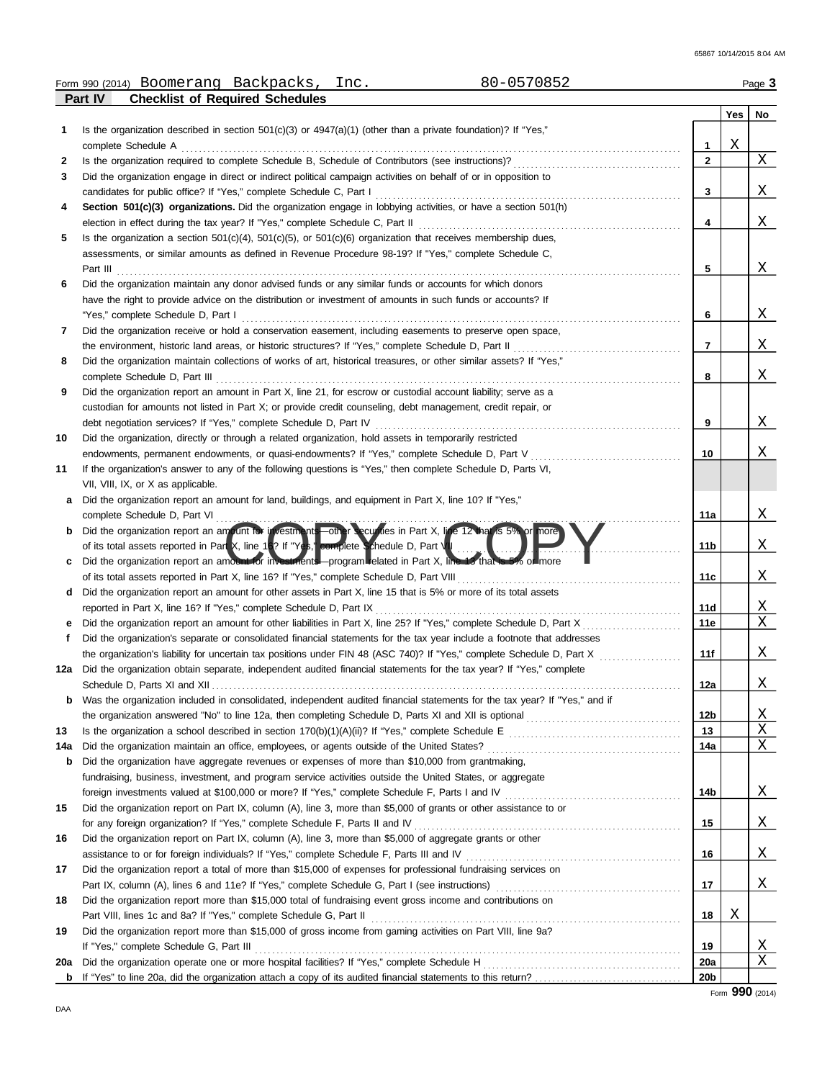|     | 80-0570852<br>Form 990 (2014) Boomerang Backpacks,<br>Inc.                                                                                                                                                                                                                           |                 |     | Page 3 |
|-----|--------------------------------------------------------------------------------------------------------------------------------------------------------------------------------------------------------------------------------------------------------------------------------------|-----------------|-----|--------|
|     | <b>Checklist of Required Schedules</b><br>Part IV                                                                                                                                                                                                                                    |                 |     |        |
|     |                                                                                                                                                                                                                                                                                      |                 | Yes | No     |
| 1   | Is the organization described in section $501(c)(3)$ or $4947(a)(1)$ (other than a private foundation)? If "Yes,"                                                                                                                                                                    |                 |     |        |
|     | complete Schedule A                                                                                                                                                                                                                                                                  | 1               | Χ   |        |
| 2   |                                                                                                                                                                                                                                                                                      | $\overline{2}$  |     | Χ      |
| 3   | Did the organization engage in direct or indirect political campaign activities on behalf of or in opposition to                                                                                                                                                                     |                 |     |        |
|     | candidates for public office? If "Yes," complete Schedule C, Part I                                                                                                                                                                                                                  | 3               |     | Χ      |
| 4   | Section 501(c)(3) organizations. Did the organization engage in lobbying activities, or have a section 501(h)                                                                                                                                                                        |                 |     | Χ      |
| 5   | Is the organization a section $501(c)(4)$ , $501(c)(5)$ , or $501(c)(6)$ organization that receives membership dues,                                                                                                                                                                 | 4               |     |        |
|     | assessments, or similar amounts as defined in Revenue Procedure 98-19? If "Yes," complete Schedule C,                                                                                                                                                                                |                 |     |        |
|     |                                                                                                                                                                                                                                                                                      | 5               |     | Χ      |
| 6   | Did the organization maintain any donor advised funds or any similar funds or accounts for which donors                                                                                                                                                                              |                 |     |        |
|     | have the right to provide advice on the distribution or investment of amounts in such funds or accounts? If                                                                                                                                                                          |                 |     |        |
|     | "Yes," complete Schedule D, Part I                                                                                                                                                                                                                                                   | 6               |     | Χ      |
| 7   | Did the organization receive or hold a conservation easement, including easements to preserve open space,                                                                                                                                                                            |                 |     |        |
|     | the environment, historic land areas, or historic structures? If "Yes," complete Schedule D, Part II                                                                                                                                                                                 | 7               |     | Χ      |
| 8   | Did the organization maintain collections of works of art, historical treasures, or other similar assets? If "Yes,"                                                                                                                                                                  |                 |     |        |
|     | complete Schedule D, Part III                                                                                                                                                                                                                                                        | 8               |     | Χ      |
| 9   | Did the organization report an amount in Part X, line 21, for escrow or custodial account liability; serve as a                                                                                                                                                                      |                 |     |        |
|     | custodian for amounts not listed in Part X; or provide credit counseling, debt management, credit repair, or                                                                                                                                                                         |                 |     |        |
|     | debt negotiation services? If "Yes," complete Schedule D, Part IV                                                                                                                                                                                                                    | 9               |     | Χ      |
| 10  | Did the organization, directly or through a related organization, hold assets in temporarily restricted                                                                                                                                                                              |                 |     |        |
|     | endowments, permanent endowments, or quasi-endowments? If "Yes," complete Schedule D, Part V                                                                                                                                                                                         | 10              |     | Χ      |
| 11  | If the organization's answer to any of the following questions is "Yes," then complete Schedule D, Parts VI,                                                                                                                                                                         |                 |     |        |
|     | VII, VIII, IX, or X as applicable.                                                                                                                                                                                                                                                   |                 |     |        |
| а   | Did the organization report an amount for land, buildings, and equipment in Part X, line 10? If "Yes,"                                                                                                                                                                               |                 |     |        |
|     | complete Schedule D, Part VI                                                                                                                                                                                                                                                         | 11a             |     | Χ      |
| b   | Did the organization report an amount for investments—other securities in Part X, line 12 than is 5% or nore                                                                                                                                                                         |                 |     |        |
|     | of its total assets reported in Part X, line 16? If "Yes," complete Schedule D, Part VII                                                                                                                                                                                             | 11 <sub>b</sub> |     | Χ      |
| c   | Did the organization report an amount for investments—program lelated in Part X, line 13 that is 5% of more                                                                                                                                                                          |                 |     |        |
|     | of its total assets reported in Part X, line 16? If "Yes," complete Schedule D, Part VIII                                                                                                                                                                                            | 11c             |     | Χ      |
| d   | Did the organization report an amount for other assets in Part X, line 15 that is 5% or more of its total assets                                                                                                                                                                     |                 |     |        |
|     | reported in Part X, line 16? If "Yes," complete Schedule D, Part IX                                                                                                                                                                                                                  | 11d             |     | Χ<br>Χ |
|     |                                                                                                                                                                                                                                                                                      | 11e             |     |        |
| f   | Did the organization's separate or consolidated financial statements for the tax year include a footnote that addresses<br>the organization's liability for uncertain tax positions under FIN 48 (ASC 740)? If "Yes," complete Schedule D, Part X [[[[[[[[[[[[[[[[[[[[[[[[]]]]]]]]]] |                 |     | Χ      |
|     | 12a Did the organization obtain separate, independent audited financial statements for the tax year? If "Yes," complete                                                                                                                                                              | 11f             |     |        |
|     | Schedule D, Parts XI and XII                                                                                                                                                                                                                                                         | 12a             |     | Χ      |
| b   | Was the organization included in consolidated, independent audited financial statements for the tax year? If "Yes," and if                                                                                                                                                           |                 |     |        |
|     |                                                                                                                                                                                                                                                                                      | 12b             |     | Χ      |
| 13  |                                                                                                                                                                                                                                                                                      | 13              |     | Χ      |
| 14a |                                                                                                                                                                                                                                                                                      | 14a             |     | Χ      |
| b   | Did the organization have aggregate revenues or expenses of more than \$10,000 from grantmaking,                                                                                                                                                                                     |                 |     |        |
|     | fundraising, business, investment, and program service activities outside the United States, or aggregate                                                                                                                                                                            |                 |     |        |
|     |                                                                                                                                                                                                                                                                                      | 14b             |     | Χ      |
| 15  | Did the organization report on Part IX, column (A), line 3, more than \$5,000 of grants or other assistance to or                                                                                                                                                                    |                 |     |        |
|     | for any foreign organization? If "Yes," complete Schedule F, Parts II and IV [11] content to content the content of the schedule F, Parts II and IV [11] content to content the content of the SCR and T and T and T and T and                                                       | 15              |     | Χ      |
| 16  | Did the organization report on Part IX, column (A), line 3, more than \$5,000 of aggregate grants or other                                                                                                                                                                           |                 |     |        |
|     |                                                                                                                                                                                                                                                                                      | 16              |     | Χ      |
| 17  | Did the organization report a total of more than \$15,000 of expenses for professional fundraising services on                                                                                                                                                                       |                 |     |        |
|     |                                                                                                                                                                                                                                                                                      | 17              |     | Χ      |
| 18  | Did the organization report more than \$15,000 total of fundraising event gross income and contributions on                                                                                                                                                                          |                 |     |        |
|     |                                                                                                                                                                                                                                                                                      | 18              | Χ   |        |
| 19  | Did the organization report more than \$15,000 of gross income from gaming activities on Part VIII, line 9a?                                                                                                                                                                         |                 |     |        |
|     |                                                                                                                                                                                                                                                                                      | 19              |     | Χ      |
| 20a |                                                                                                                                                                                                                                                                                      | 20a             |     | Χ      |
|     |                                                                                                                                                                                                                                                                                      | 20b             |     |        |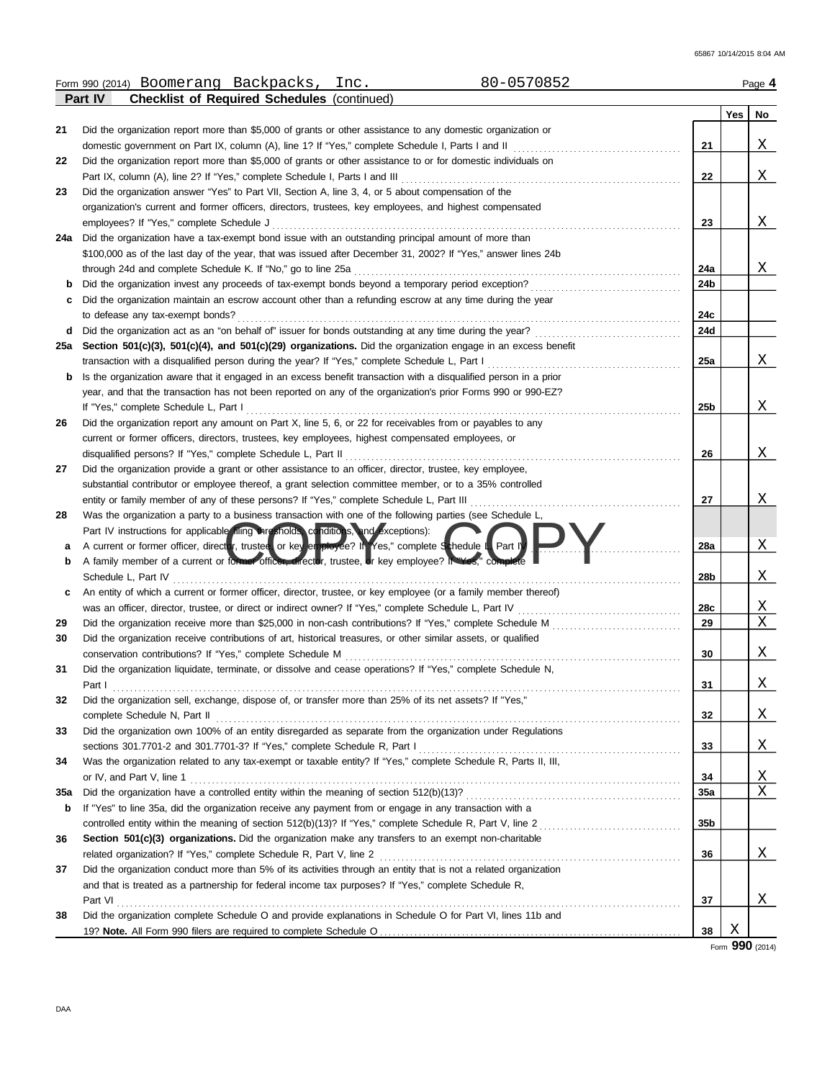|     | 80-0570852<br>Form 990 (2014) Boomerang Backpacks,<br>Inc.                                                       |     |     | Page 4 |
|-----|------------------------------------------------------------------------------------------------------------------|-----|-----|--------|
|     | <b>Checklist of Required Schedules (continued)</b><br>Part IV                                                    |     |     |        |
|     |                                                                                                                  |     | Yes | No     |
| 21  | Did the organization report more than \$5,000 of grants or other assistance to any domestic organization or      |     |     |        |
|     |                                                                                                                  | 21  |     | Χ      |
| 22  | Did the organization report more than \$5,000 of grants or other assistance to or for domestic individuals on    |     |     |        |
|     | Part IX, column (A), line 2? If "Yes," complete Schedule I, Parts I and III                                      | 22  |     | Χ      |
| 23  | Did the organization answer "Yes" to Part VII, Section A, line 3, 4, or 5 about compensation of the              |     |     |        |
|     | organization's current and former officers, directors, trustees, key employees, and highest compensated          |     |     |        |
|     | employees? If "Yes," complete Schedule J                                                                         | 23  |     | Χ      |
| 24a | Did the organization have a tax-exempt bond issue with an outstanding principal amount of more than              |     |     |        |
|     | \$100,000 as of the last day of the year, that was issued after December 31, 2002? If "Yes," answer lines 24b    |     |     |        |
|     |                                                                                                                  | 24a |     | Χ      |
| b   | Did the organization invest any proceeds of tax-exempt bonds beyond a temporary period exception?                | 24b |     |        |
| с   | Did the organization maintain an escrow account other than a refunding escrow at any time during the year        |     |     |        |
|     | to defease any tax-exempt bonds?                                                                                 | 24c |     |        |
| d   |                                                                                                                  | 24d |     |        |
| 25а | Section 501(c)(3), 501(c)(4), and 501(c)(29) organizations. Did the organization engage in an excess benefit     |     |     |        |
|     |                                                                                                                  | 25a |     | Χ      |
| b   | Is the organization aware that it engaged in an excess benefit transaction with a disqualified person in a prior |     |     |        |
|     | year, and that the transaction has not been reported on any of the organization's prior Forms 990 or 990-EZ?     |     |     |        |
|     | If "Yes," complete Schedule L, Part I                                                                            | 25b |     | Χ      |
| 26  | Did the organization report any amount on Part X, line 5, 6, or 22 for receivables from or payables to any       |     |     |        |
|     | current or former officers, directors, trustees, key employees, highest compensated employees, or                |     |     |        |
|     | disqualified persons? If "Yes," complete Schedule L, Part II                                                     | 26  |     | Χ      |
| 27  | Did the organization provide a grant or other assistance to an officer, director, trustee, key employee,         |     |     |        |
|     | substantial contributor or employee thereof, a grant selection committee member, or to a 35% controlled          |     |     |        |
|     | entity or family member of any of these persons? If "Yes," complete Schedule L, Part III                         | 27  |     | X      |
| 28  | Was the organization a party to a business transaction with one of the following parties (see Schedule L,        |     |     |        |
|     | Part IV instructions for applicable filing thresholds, conditions, and exceptions):                              |     |     |        |
| а   | A current or former officer, director, trustee, or key employée? If Yes," complete Schedule L, Part I)           | 28a |     | Χ      |
| b   | A family member of a current or former officer, director, trustee, or key employee? It "Yes," complete           |     |     |        |
|     | Schedule L, Part IV                                                                                              | 28b |     | Χ      |
| с   | An entity of which a current or former officer, director, trustee, or key employee (or a family member thereof)  |     |     |        |
|     |                                                                                                                  | 28c |     | Χ      |
| 29  |                                                                                                                  | 29  |     | Χ      |
| 30  | Did the organization receive contributions of art, historical treasures, or other similar assets, or qualified   |     |     |        |
|     | conservation contributions? If "Yes," complete Schedule M                                                        | 30  |     | Χ      |
| 31  | Did the organization liquidate, terminate, or dissolve and cease operations? If "Yes," complete Schedule N,      |     |     |        |
|     | Part I                                                                                                           | 31  |     | Χ      |
| 32  | Did the organization sell, exchange, dispose of, or transfer more than 25% of its net assets? If "Yes,"          |     |     |        |
|     | complete Schedule N, Part II                                                                                     | 32  |     | Χ      |
| 33  | Did the organization own 100% of an entity disregarded as separate from the organization under Regulations       |     |     |        |
|     | sections 301.7701-2 and 301.7701-3? If "Yes," complete Schedule R, Part I                                        | 33  |     | Χ      |
| 34  | Was the organization related to any tax-exempt or taxable entity? If "Yes," complete Schedule R, Parts II, III,  |     |     |        |
|     | or IV, and Part V, line 1                                                                                        | 34  |     | X      |
| 35a |                                                                                                                  | 35a |     | Χ      |
| b   | If "Yes" to line 35a, did the organization receive any payment from or engage in any transaction with a          |     |     |        |
|     |                                                                                                                  | 35b |     |        |
| 36  | Section 501(c)(3) organizations. Did the organization make any transfers to an exempt non-charitable             |     |     |        |
|     | related organization? If "Yes," complete Schedule R, Part V, line 2                                              | 36  |     | Χ      |
| 37  | Did the organization conduct more than 5% of its activities through an entity that is not a related organization |     |     |        |
|     | and that is treated as a partnership for federal income tax purposes? If "Yes," complete Schedule R,             |     |     |        |
|     |                                                                                                                  | 37  |     | Χ      |
| 38  | Did the organization complete Schedule O and provide explanations in Schedule O for Part VI, lines 11b and       |     |     |        |
|     |                                                                                                                  | 38  | Χ   |        |

Form **990** (2014)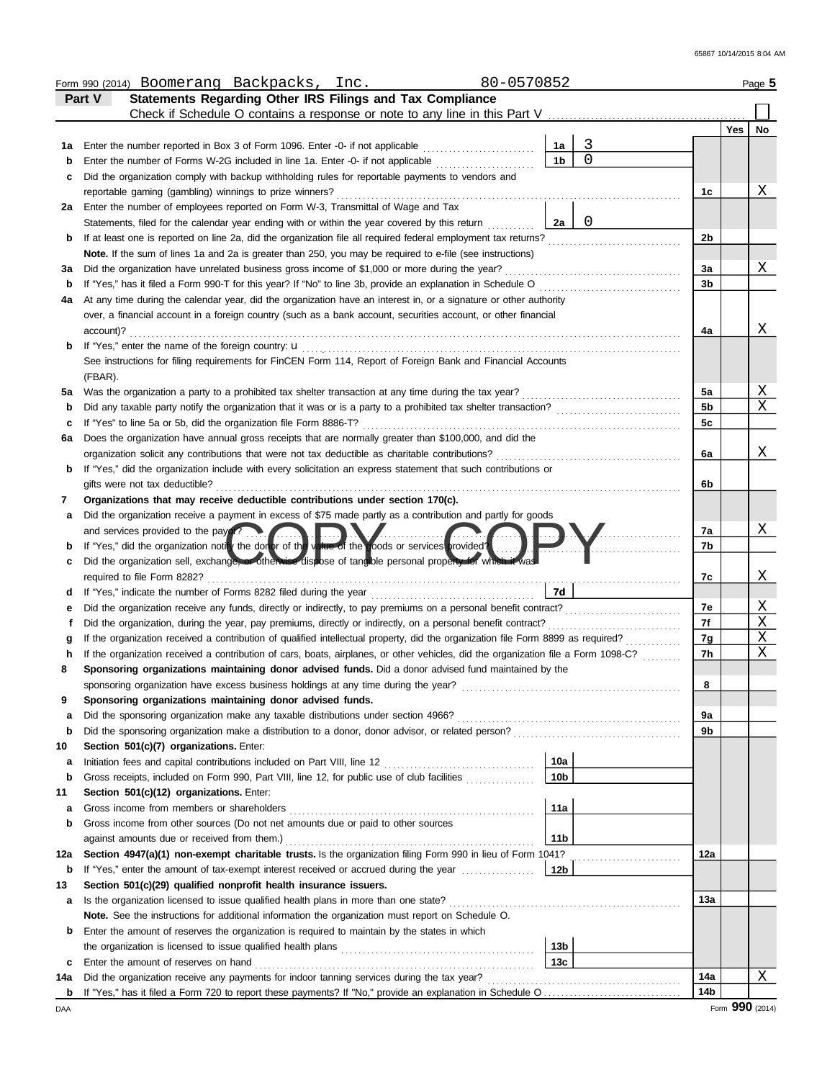|     | 80-0570852<br>Form 990 (2014) Boomerang Backpacks, Inc.                                                                            |                 |             |                |     | Page 5      |
|-----|------------------------------------------------------------------------------------------------------------------------------------|-----------------|-------------|----------------|-----|-------------|
|     | Statements Regarding Other IRS Filings and Tax Compliance<br>Part V                                                                |                 |             |                |     |             |
|     | Check if Schedule O contains a response or note to any line in this Part V                                                         |                 |             |                |     |             |
|     |                                                                                                                                    |                 |             |                | Yes | No          |
| 1а  | Enter the number reported in Box 3 of Form 1096. Enter -0- if not applicable                                                       | 1a              | 3           |                |     |             |
| b   | Enter the number of Forms W-2G included in line 1a. Enter -0- if not applicable                                                    | 1 <sub>b</sub>  | $\mathbf 0$ |                |     |             |
| c   | Did the organization comply with backup withholding rules for reportable payments to vendors and                                   |                 |             |                |     |             |
|     | reportable gaming (gambling) winnings to prize winners?                                                                            |                 |             | 1c             |     | Χ           |
| 2a  | Enter the number of employees reported on Form W-3, Transmittal of Wage and Tax                                                    |                 |             |                |     |             |
|     | Statements, filed for the calendar year ending with or within the year covered by this return                                      | 2a              | 0           |                |     |             |
| b   | If at least one is reported on line 2a, did the organization file all required federal employment tax returns?                     |                 |             | 2b             |     |             |
|     | Note. If the sum of lines 1a and 2a is greater than 250, you may be required to e-file (see instructions)                          |                 |             |                |     |             |
| За  |                                                                                                                                    |                 |             | За             |     | Χ           |
| b   | If "Yes," has it filed a Form 990-T for this year? If "No" to line 3b, provide an explanation in Schedule O                        |                 |             | 3 <sub>b</sub> |     |             |
| 4a  | At any time during the calendar year, did the organization have an interest in, or a signature or other authority                  |                 |             |                |     |             |
|     | over, a financial account in a foreign country (such as a bank account, securities account, or other financial                     |                 |             |                |     | Χ           |
|     | account)?                                                                                                                          |                 |             | 4a             |     |             |
| b   |                                                                                                                                    |                 |             |                |     |             |
|     | See instructions for filing requirements for FinCEN Form 114, Report of Foreign Bank and Financial Accounts<br>(FBAR).             |                 |             |                |     |             |
| 5а  |                                                                                                                                    |                 |             | 5a             |     | Χ           |
| b   |                                                                                                                                    |                 |             | 5b             |     | $\mathbf X$ |
| c   | If "Yes" to line 5a or 5b, did the organization file Form 8886-T?                                                                  |                 |             | 5c             |     |             |
| 6a  | Does the organization have annual gross receipts that are normally greater than \$100,000, and did the                             |                 |             |                |     |             |
|     | organization solicit any contributions that were not tax deductible as charitable contributions?                                   |                 |             | 6a             |     | Χ           |
| b   | If "Yes," did the organization include with every solicitation an express statement that such contributions or                     |                 |             |                |     |             |
|     | gifts were not tax deductible?                                                                                                     |                 |             | 6b             |     |             |
| 7   | Organizations that may receive deductible contributions under section 170(c).                                                      |                 |             |                |     |             |
| а   | Did the organization receive a payment in excess of \$75 made partly as a contribution and partly for goods                        |                 |             |                |     |             |
|     | and services provided to the payor?                                                                                                |                 |             | 7a             |     | Χ           |
|     | If "Yes," did the organization notify the donor of the value of the goods or services provided?                                    |                 |             | 7b             |     |             |
| c   | Did the organization sell, exchange, or otherwise dispose of tangible personal property for which it was                           |                 |             |                |     |             |
|     | required to file Form 8282?                                                                                                        |                 |             | 7c             |     | Χ           |
| d   |                                                                                                                                    | 7d              |             |                |     |             |
| е   | Did the organization receive any funds, directly or indirectly, to pay premiums on a personal benefit contract?                    |                 |             | 7e             |     | Χ           |
| f   | Did the organization, during the year, pay premiums, directly or indirectly, on a personal benefit contract?                       |                 |             | 7f             |     | Χ           |
| g   | If the organization received a contribution of qualified intellectual property, did the organization file Form 8899 as required?   |                 |             | 7g             |     | Χ           |
| h   | If the organization received a contribution of cars, boats, airplanes, or other vehicles, did the organization file a Form 1098-C? |                 |             | 7h             |     | Χ           |
| 8   | Sponsoring organizations maintaining donor advised funds. Did a donor advised fund maintained by the                               |                 |             |                |     |             |
|     | sponsoring organization have excess business holdings at any time during the year?                                                 |                 |             | 8              |     |             |
| 9   | Sponsoring organizations maintaining donor advised funds.                                                                          |                 |             |                |     |             |
| а   | Did the sponsoring organization make any taxable distributions under section 4966?                                                 |                 |             | 9а             |     |             |
| b   |                                                                                                                                    |                 |             | 9b             |     |             |
| 10  | Section 501(c)(7) organizations. Enter:                                                                                            |                 |             |                |     |             |
| а   |                                                                                                                                    | 10a             |             |                |     |             |
| b   | Gross receipts, included on Form 990, Part VIII, line 12, for public use of club facilities                                        | 10 <sub>b</sub> |             |                |     |             |
| 11  | Section 501(c)(12) organizations. Enter:                                                                                           |                 |             |                |     |             |
| а   |                                                                                                                                    | 11a             |             |                |     |             |
| b   | Gross income from other sources (Do not net amounts due or paid to other sources                                                   |                 |             |                |     |             |
|     | against amounts due or received from them.)                                                                                        | 11 <sub>b</sub> |             |                |     |             |
| 12a | Section 4947(a)(1) non-exempt charitable trusts. Is the organization filing Form 990 in lieu of Form 1041?                         |                 |             | 12a            |     |             |
| b   | If "Yes," enter the amount of tax-exempt interest received or accrued during the year                                              | 12 <sub>b</sub> |             |                |     |             |
| 13  | Section 501(c)(29) qualified nonprofit health insurance issuers.                                                                   |                 |             |                |     |             |
| а   | Is the organization licensed to issue qualified health plans in more than one state?                                               |                 |             | 13а            |     |             |
|     | <b>Note.</b> See the instructions for additional information the organization must report on Schedule O.                           |                 |             |                |     |             |
| b   | Enter the amount of reserves the organization is required to maintain by the states in which                                       |                 |             |                |     |             |
|     |                                                                                                                                    | 13b             |             |                |     |             |
| с   | Enter the amount of reserves on hand                                                                                               | 13c             |             |                |     |             |
| 14a | Did the organization receive any payments for indoor tanning services during the tax year?                                         |                 |             | 14a            |     | Χ           |
|     |                                                                                                                                    |                 |             | 14b            |     |             |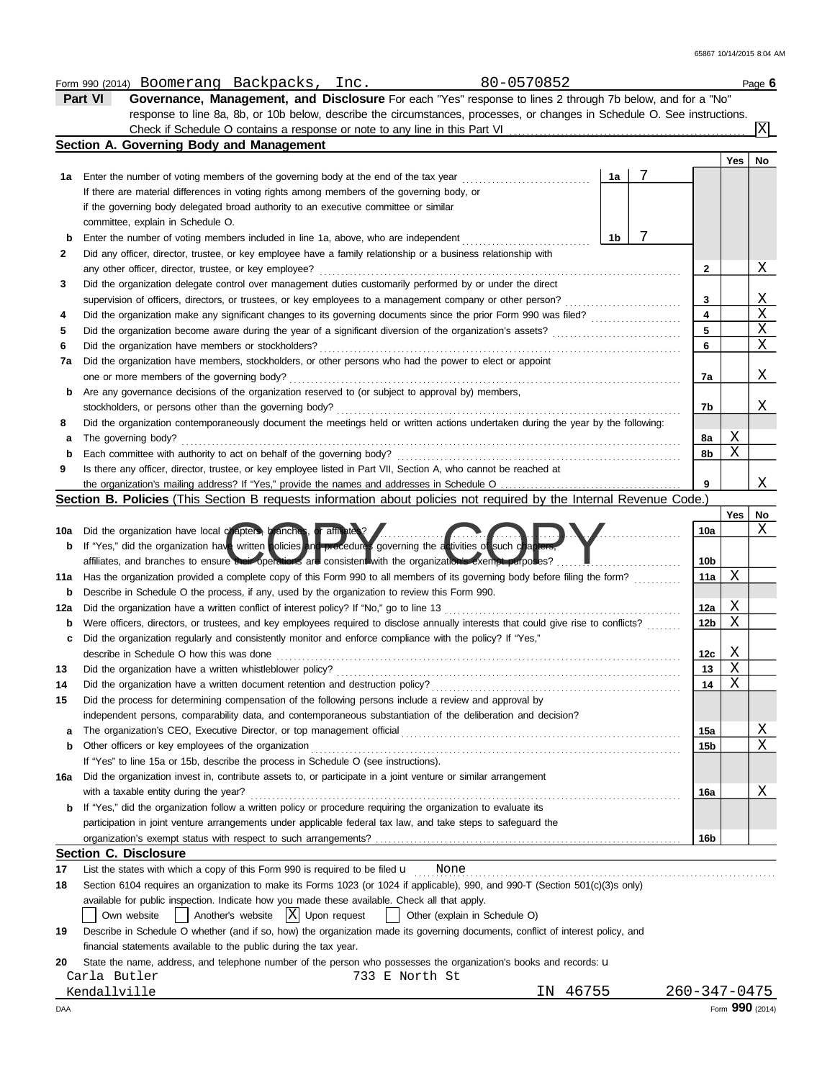|     | 80-0570852<br>Form 990 (2014) Boomerang Backpacks, Inc.                                                                             |                         |     | Page 6                |
|-----|-------------------------------------------------------------------------------------------------------------------------------------|-------------------------|-----|-----------------------|
|     | Governance, Management, and Disclosure For each "Yes" response to lines 2 through 7b below, and for a "No"<br>Part VI               |                         |     |                       |
|     | response to line 8a, 8b, or 10b below, describe the circumstances, processes, or changes in Schedule O. See instructions.           |                         |     |                       |
|     |                                                                                                                                     |                         |     | ΙX                    |
|     | Section A. Governing Body and Management                                                                                            |                         |     |                       |
|     |                                                                                                                                     |                         | Yes | No                    |
| 1а  | 7<br>1a<br>Enter the number of voting members of the governing body at the end of the tax year                                      |                         |     |                       |
|     | If there are material differences in voting rights among members of the governing body, or                                          |                         |     |                       |
|     | if the governing body delegated broad authority to an executive committee or similar                                                |                         |     |                       |
|     | committee, explain in Schedule O.                                                                                                   |                         |     |                       |
| b   | 7<br>1b<br>Enter the number of voting members included in line 1a, above, who are independent                                       |                         |     |                       |
| 2   | Did any officer, director, trustee, or key employee have a family relationship or a business relationship with                      |                         |     |                       |
|     |                                                                                                                                     | 2                       |     | Χ                     |
| 3   | Did the organization delegate control over management duties customarily performed by or under the direct                           |                         |     |                       |
|     | supervision of officers, directors, or trustees, or key employees to a management company or other person?                          | 3                       |     | Χ                     |
| 4   | Did the organization make any significant changes to its governing documents since the prior Form 990 was filed?                    | $\overline{\mathbf{4}}$ |     | $\overline{\text{X}}$ |
| 5   |                                                                                                                                     | 5                       |     | X                     |
| 6   |                                                                                                                                     | 6                       |     | $\mathbf X$           |
| 7a  | Did the organization have members, stockholders, or other persons who had the power to elect or appoint                             |                         |     |                       |
|     | one or more members of the governing body?                                                                                          | 7a                      |     | Χ                     |
| b   | Are any governance decisions of the organization reserved to (or subject to approval by) members,                                   |                         |     |                       |
|     |                                                                                                                                     | 7b                      |     | Χ                     |
|     | Did the organization contemporaneously document the meetings held or written actions undertaken during the year by the following:   |                         |     |                       |
| 8   |                                                                                                                                     |                         |     |                       |
| а   | The governing body?                                                                                                                 | 8а                      | Χ   |                       |
| b   | Each committee with authority to act on behalf of the governing body?                                                               | 8b                      | Χ   |                       |
| 9   | Is there any officer, director, trustee, or key employee listed in Part VII, Section A, who cannot be reached at                    |                         |     |                       |
|     |                                                                                                                                     | 9                       |     | X                     |
|     | Section B. Policies (This Section B requests information about policies not required by the Internal Revenue Code.)                 |                         |     |                       |
|     |                                                                                                                                     |                         | Yes | No                    |
| 10a | Did the organization have local chapters, branches, or affiliates?                                                                  | 10a                     |     | Χ                     |
| b   | If "Yes," did the organization have written policies and procedures governing the activities of such chapters,                      |                         |     |                       |
|     | affiliates, and branches to ensure their operations are consistent with the organization's exempt purposes?                         | 10b                     |     |                       |
| 11a | Has the organization provided a complete copy of this Form 990 to all members of its governing body before filing the form?         | 11a                     | Χ   |                       |
| b   | Describe in Schedule O the process, if any, used by the organization to review this Form 990.                                       |                         |     |                       |
| 12a | Did the organization have a written conflict of interest policy? If "No," go to line 13                                             | 12a                     | Χ   |                       |
| b   | Were officers, directors, or trustees, and key employees required to disclose annually interests that could give rise to conflicts? | 12b                     | Χ   |                       |
| c   | Did the organization regularly and consistently monitor and enforce compliance with the policy? If "Yes,"                           |                         |     |                       |
|     | describe in Schedule O how this was done                                                                                            | 12c                     | Χ   |                       |
| 13  |                                                                                                                                     | 13                      | Χ   |                       |
| 14  | Did the organization have a written document retention and destruction policy?                                                      | 14                      | Χ   |                       |
| 15  | Did the process for determining compensation of the following persons include a review and approval by                              |                         |     |                       |
|     | independent persons, comparability data, and contemporaneous substantiation of the deliberation and decision?                       |                         |     |                       |
| а   |                                                                                                                                     | 15a                     |     | Χ                     |
| b   | Other officers or key employees of the organization                                                                                 | 15b                     |     | Χ                     |
|     | If "Yes" to line 15a or 15b, describe the process in Schedule O (see instructions).                                                 |                         |     |                       |
| 16a | Did the organization invest in, contribute assets to, or participate in a joint venture or similar arrangement                      |                         |     |                       |
|     | with a taxable entity during the year?                                                                                              | 16a                     |     | Χ                     |
| b   | If "Yes," did the organization follow a written policy or procedure requiring the organization to evaluate its                      |                         |     |                       |
|     | participation in joint venture arrangements under applicable federal tax law, and take steps to safeguard the                       |                         |     |                       |
|     |                                                                                                                                     | 16 <sub>b</sub>         |     |                       |
|     | <b>Section C. Disclosure</b>                                                                                                        |                         |     |                       |
| 17  | List the states with which a copy of this Form 990 is required to be filed $\mathbf u$ Mone                                         |                         |     |                       |
| 18  | Section 6104 requires an organization to make its Forms 1023 (or 1024 if applicable), 990, and 990-T (Section 501(c)(3)s only)      |                         |     |                       |
|     | available for public inspection. Indicate how you made these available. Check all that apply.                                       |                         |     |                       |
|     | $\int$ Another's website $ X $ Upon request<br>  Other (explain in Schedule O)                                                      |                         |     |                       |
|     | Own website                                                                                                                         |                         |     |                       |
| 19  | Describe in Schedule O whether (and if so, how) the organization made its governing documents, conflict of interest policy, and     |                         |     |                       |
|     | financial statements available to the public during the tax year.                                                                   |                         |     |                       |
| 20  | State the name, address, and telephone number of the person who possesses the organization's books and records: u                   |                         |     |                       |
|     | Carla Butler<br>733 E North St                                                                                                      |                         |     |                       |
|     | 46755<br>Kendallville<br>IN.                                                                                                        | 260-347-0475            |     |                       |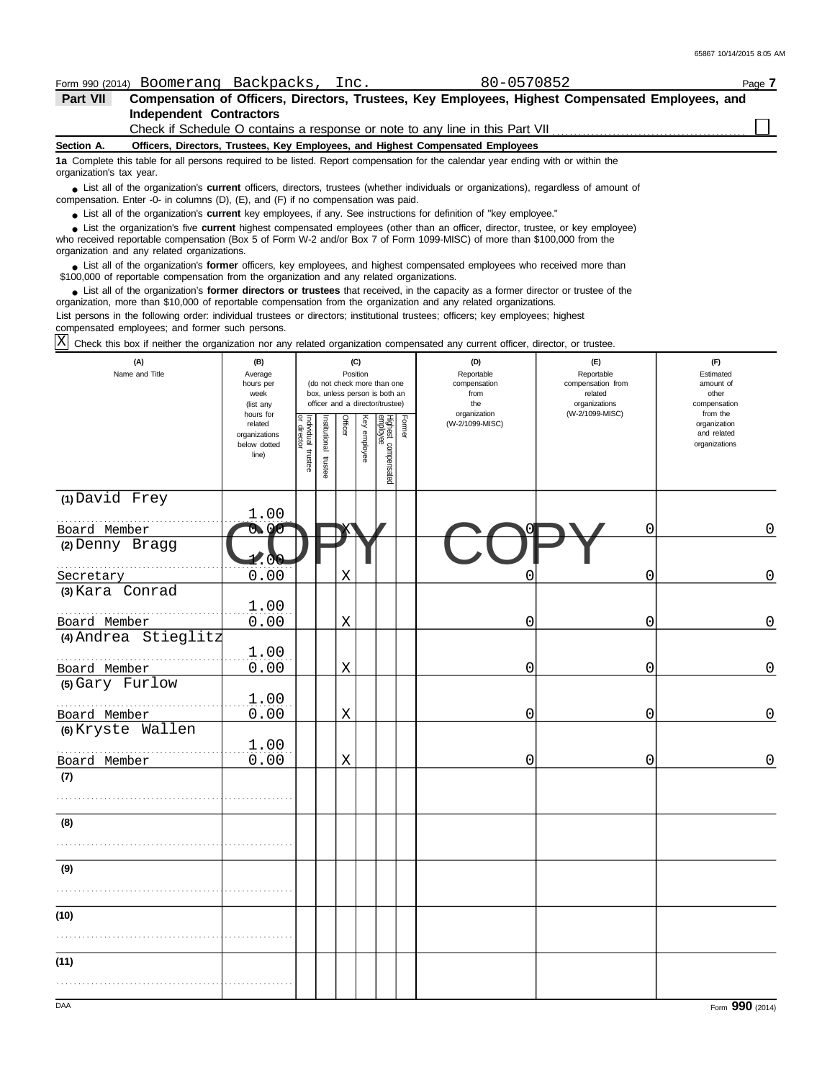65867 10/14/2015 8:05 AM

| Form 990 (2014) Boomerang Backpacks, Inc.                                                                                                                                                                                                                                                                                                                     |                                                  |                             |               |                                                                                                                    |              |                                 |        | 80-0570852                                                                                       |                                                                    |                                                        | Page 7      |
|---------------------------------------------------------------------------------------------------------------------------------------------------------------------------------------------------------------------------------------------------------------------------------------------------------------------------------------------------------------|--------------------------------------------------|-----------------------------|---------------|--------------------------------------------------------------------------------------------------------------------|--------------|---------------------------------|--------|--------------------------------------------------------------------------------------------------|--------------------------------------------------------------------|--------------------------------------------------------|-------------|
| Part VII                                                                                                                                                                                                                                                                                                                                                      |                                                  |                             |               |                                                                                                                    |              |                                 |        | Compensation of Officers, Directors, Trustees, Key Employees, Highest Compensated Employees, and |                                                                    |                                                        |             |
| <b>Independent Contractors</b>                                                                                                                                                                                                                                                                                                                                |                                                  |                             |               |                                                                                                                    |              |                                 |        |                                                                                                  |                                                                    |                                                        |             |
|                                                                                                                                                                                                                                                                                                                                                               |                                                  |                             |               |                                                                                                                    |              |                                 |        | Check if Schedule O contains a response or note to any line in this Part VII                     |                                                                    |                                                        |             |
| Section A.                                                                                                                                                                                                                                                                                                                                                    |                                                  |                             |               |                                                                                                                    |              |                                 |        | Officers, Directors, Trustees, Key Employees, and Highest Compensated Employees                  |                                                                    |                                                        |             |
| 1a Complete this table for all persons required to be listed. Report compensation for the calendar year ending with or within the<br>organization's tax year.                                                                                                                                                                                                 |                                                  |                             |               |                                                                                                                    |              |                                 |        |                                                                                                  |                                                                    |                                                        |             |
| List all of the organization's <b>current</b> officers, directors, trustees (whether individuals or organizations), regardless of amount of<br>compensation. Enter -0- in columns (D), (E), and (F) if no compensation was paid.<br>• List all of the organization's <b>current</b> key employees, if any. See instructions for definition of "key employee." |                                                  |                             |               |                                                                                                                    |              |                                 |        |                                                                                                  |                                                                    |                                                        |             |
| • List the organization's five current highest compensated employees (other than an officer, director, trustee, or key employee)<br>who received reportable compensation (Box 5 of Form W-2 and/or Box 7 of Form 1099-MISC) of more than \$100,000 from the                                                                                                   |                                                  |                             |               |                                                                                                                    |              |                                 |        |                                                                                                  |                                                                    |                                                        |             |
| organization and any related organizations.<br>• List all of the organization's former officers, key employees, and highest compensated employees who received more than<br>\$100,000 of reportable compensation from the organization and any related organizations.                                                                                         |                                                  |                             |               |                                                                                                                    |              |                                 |        |                                                                                                  |                                                                    |                                                        |             |
| • List all of the organization's former directors or trustees that received, in the capacity as a former director or trustee of the<br>organization, more than \$10,000 of reportable compensation from the organization and any related organizations.                                                                                                       |                                                  |                             |               |                                                                                                                    |              |                                 |        |                                                                                                  |                                                                    |                                                        |             |
| List persons in the following order: individual trustees or directors; institutional trustees; officers; key employees; highest<br>compensated employees; and former such persons.                                                                                                                                                                            |                                                  |                             |               |                                                                                                                    |              |                                 |        |                                                                                                  |                                                                    |                                                        |             |
| Check this box if neither the organization nor any related organization compensated any current officer, director, or trustee.                                                                                                                                                                                                                                |                                                  |                             |               |                                                                                                                    |              |                                 |        |                                                                                                  |                                                                    |                                                        |             |
| (A)<br>Name and Title                                                                                                                                                                                                                                                                                                                                         | (B)<br>Average<br>hours per<br>week<br>(list any |                             |               | (C)<br>Position<br>(do not check more than one<br>box, unless person is both an<br>officer and a director/trustee) |              |                                 |        | (D)<br>Reportable<br>compensation<br>from<br>the                                                 | (E)<br>Reportable<br>compensation from<br>related<br>organizations | (F)<br>Estimated<br>amount of<br>other<br>compensation |             |
|                                                                                                                                                                                                                                                                                                                                                               | hours for<br>related<br>organizations            | Individual 1<br>or director | Institutional | Officer                                                                                                            | Key employee |                                 | Former | organization<br>(W-2/1099-MISC)                                                                  | (W-2/1099-MISC)                                                    | from the<br>organization<br>and related                |             |
|                                                                                                                                                                                                                                                                                                                                                               | below dotted<br>line)                            | trustee                     | trustee       |                                                                                                                    |              | Highest compensated<br>employee |        |                                                                                                  |                                                                    | organizations                                          |             |
| (1) David Frey                                                                                                                                                                                                                                                                                                                                                |                                                  |                             |               |                                                                                                                    |              |                                 |        |                                                                                                  |                                                                    |                                                        |             |
|                                                                                                                                                                                                                                                                                                                                                               | 1.00                                             |                             |               |                                                                                                                    |              |                                 |        |                                                                                                  |                                                                    |                                                        |             |
| Board Member<br>(2) Denny Bragg                                                                                                                                                                                                                                                                                                                               |                                                  |                             |               |                                                                                                                    |              |                                 |        |                                                                                                  |                                                                    | 0                                                      | 0           |
| Secretary                                                                                                                                                                                                                                                                                                                                                     | (N<br>0.00                                       |                             |               | X                                                                                                                  |              |                                 |        |                                                                                                  |                                                                    | 0                                                      | $\mathsf 0$ |
| (3) Kara Conrad                                                                                                                                                                                                                                                                                                                                               | 1.00                                             |                             |               |                                                                                                                    |              |                                 |        |                                                                                                  |                                                                    |                                                        |             |
| Board Member                                                                                                                                                                                                                                                                                                                                                  | 0.00                                             |                             |               | Χ                                                                                                                  |              |                                 |        | 0                                                                                                |                                                                    | 0                                                      | 0           |
| (4) Andrea Stieglitz                                                                                                                                                                                                                                                                                                                                          | 1.00                                             |                             |               |                                                                                                                    |              |                                 |        |                                                                                                  |                                                                    |                                                        |             |
| Board Member                                                                                                                                                                                                                                                                                                                                                  | 0.00                                             |                             |               | Χ                                                                                                                  |              |                                 |        | 0                                                                                                |                                                                    | 0                                                      | 0           |
| (5) Gary Furlow                                                                                                                                                                                                                                                                                                                                               | 1.00                                             |                             |               |                                                                                                                    |              |                                 |        |                                                                                                  |                                                                    |                                                        |             |
| Board Member                                                                                                                                                                                                                                                                                                                                                  | 0.00                                             |                             |               | X                                                                                                                  |              |                                 |        | 0                                                                                                |                                                                    | 0                                                      | $\mathsf 0$ |
| (6) Kryste Wallen                                                                                                                                                                                                                                                                                                                                             | 1.00                                             |                             |               |                                                                                                                    |              |                                 |        |                                                                                                  |                                                                    |                                                        |             |
| Board Member                                                                                                                                                                                                                                                                                                                                                  | 0.00                                             |                             |               | Χ                                                                                                                  |              |                                 |        | 0                                                                                                |                                                                    | 0                                                      | $\Omega$    |
| (7)                                                                                                                                                                                                                                                                                                                                                           |                                                  |                             |               |                                                                                                                    |              |                                 |        |                                                                                                  |                                                                    |                                                        |             |
|                                                                                                                                                                                                                                                                                                                                                               |                                                  |                             |               |                                                                                                                    |              |                                 |        |                                                                                                  |                                                                    |                                                        |             |
| (8)                                                                                                                                                                                                                                                                                                                                                           |                                                  |                             |               |                                                                                                                    |              |                                 |        |                                                                                                  |                                                                    |                                                        |             |
|                                                                                                                                                                                                                                                                                                                                                               |                                                  |                             |               |                                                                                                                    |              |                                 |        |                                                                                                  |                                                                    |                                                        |             |
| (9)                                                                                                                                                                                                                                                                                                                                                           |                                                  |                             |               |                                                                                                                    |              |                                 |        |                                                                                                  |                                                                    |                                                        |             |
|                                                                                                                                                                                                                                                                                                                                                               |                                                  |                             |               |                                                                                                                    |              |                                 |        |                                                                                                  |                                                                    |                                                        |             |
| (10)                                                                                                                                                                                                                                                                                                                                                          |                                                  |                             |               |                                                                                                                    |              |                                 |        |                                                                                                  |                                                                    |                                                        |             |
|                                                                                                                                                                                                                                                                                                                                                               |                                                  |                             |               |                                                                                                                    |              |                                 |        |                                                                                                  |                                                                    |                                                        |             |
| (11)                                                                                                                                                                                                                                                                                                                                                          |                                                  |                             |               |                                                                                                                    |              |                                 |        |                                                                                                  |                                                                    |                                                        |             |
|                                                                                                                                                                                                                                                                                                                                                               |                                                  |                             |               |                                                                                                                    |              |                                 |        |                                                                                                  |                                                                    |                                                        |             |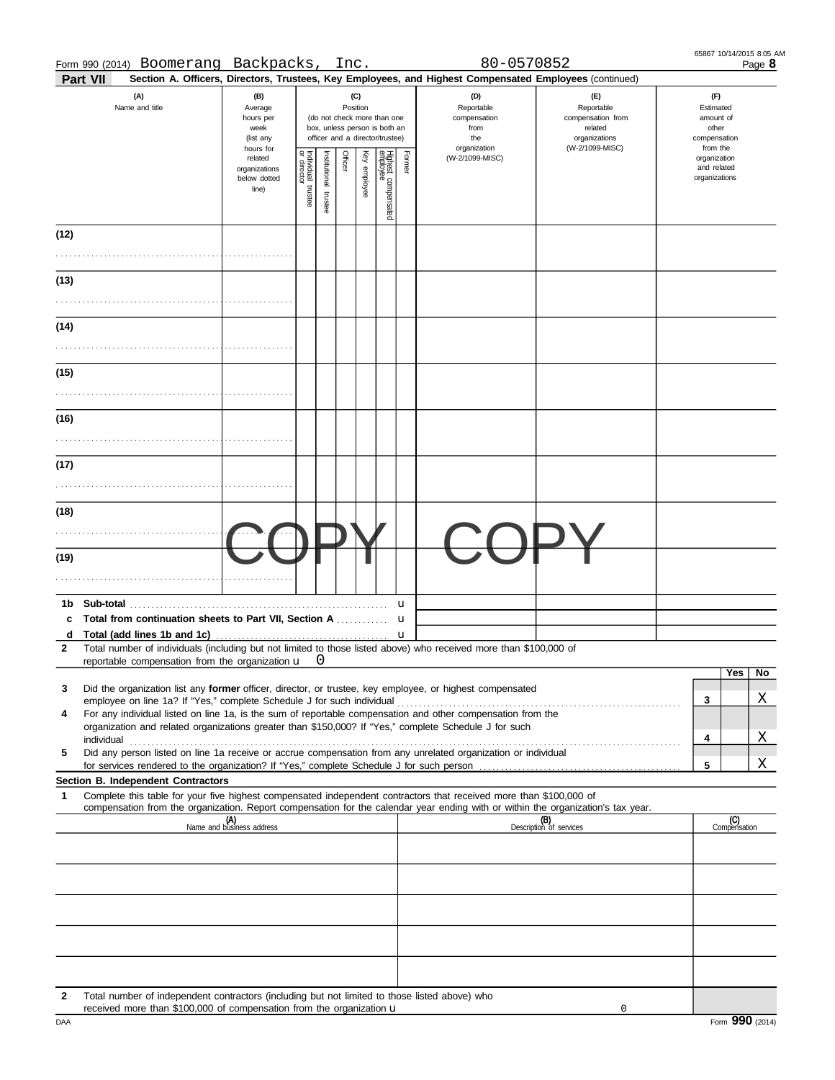| Part VII                                                                                                                                                                                                                          |                                                   |                                                                                                                                                         |  |                                              |  |  |   | Section A. Officers, Directors, Trustees, Key Employees, and Highest Compensated Employees (continued) |                                                                                       |                                                                    |                     |
|-----------------------------------------------------------------------------------------------------------------------------------------------------------------------------------------------------------------------------------|---------------------------------------------------|---------------------------------------------------------------------------------------------------------------------------------------------------------|--|----------------------------------------------|--|--|---|--------------------------------------------------------------------------------------------------------|---------------------------------------------------------------------------------------|--------------------------------------------------------------------|---------------------|
| (A)<br>Name and title                                                                                                                                                                                                             | (B)<br>Average<br>hours per<br>week<br>(list any  | (C)<br>Position<br>(do not check more than one<br>box, unless person is both an<br>officer and a director/trustee)<br>hours for                         |  |                                              |  |  |   | (D)<br>Reportable<br>compensation<br>from<br>the<br>organization                                       | (E)<br>Reportable<br>compensation from<br>related<br>organizations<br>(W-2/1099-MISC) | (F)<br>Estimated<br>amount of<br>other<br>compensation<br>from the |                     |
|                                                                                                                                                                                                                                   | related<br>organizations<br>below dotted<br>line) | Individual trustee<br>or director<br>Officer<br>Highest compensated<br>employee<br>Former<br>Key employee<br>nstitutional<br>(W-2/1099-MISC)<br>trustee |  | organization<br>and related<br>organizations |  |  |   |                                                                                                        |                                                                                       |                                                                    |                     |
| (12)                                                                                                                                                                                                                              |                                                   |                                                                                                                                                         |  |                                              |  |  |   |                                                                                                        |                                                                                       |                                                                    |                     |
|                                                                                                                                                                                                                                   |                                                   |                                                                                                                                                         |  |                                              |  |  |   |                                                                                                        |                                                                                       |                                                                    |                     |
| (13)                                                                                                                                                                                                                              |                                                   |                                                                                                                                                         |  |                                              |  |  |   |                                                                                                        |                                                                                       |                                                                    |                     |
| (14)                                                                                                                                                                                                                              |                                                   |                                                                                                                                                         |  |                                              |  |  |   |                                                                                                        |                                                                                       |                                                                    |                     |
| (15)                                                                                                                                                                                                                              |                                                   |                                                                                                                                                         |  |                                              |  |  |   |                                                                                                        |                                                                                       |                                                                    |                     |
| (16)                                                                                                                                                                                                                              |                                                   |                                                                                                                                                         |  |                                              |  |  |   |                                                                                                        |                                                                                       |                                                                    |                     |
|                                                                                                                                                                                                                                   |                                                   |                                                                                                                                                         |  |                                              |  |  |   |                                                                                                        |                                                                                       |                                                                    |                     |
| (17)                                                                                                                                                                                                                              |                                                   |                                                                                                                                                         |  |                                              |  |  |   |                                                                                                        |                                                                                       |                                                                    |                     |
| (18)                                                                                                                                                                                                                              |                                                   |                                                                                                                                                         |  |                                              |  |  |   |                                                                                                        |                                                                                       |                                                                    |                     |
| (19)                                                                                                                                                                                                                              |                                                   |                                                                                                                                                         |  |                                              |  |  |   |                                                                                                        |                                                                                       |                                                                    |                     |
|                                                                                                                                                                                                                                   |                                                   |                                                                                                                                                         |  |                                              |  |  |   |                                                                                                        |                                                                                       |                                                                    |                     |
| 1b<br>c                                                                                                                                                                                                                           |                                                   |                                                                                                                                                         |  |                                              |  |  | u |                                                                                                        |                                                                                       |                                                                    |                     |
| d<br>Total number of individuals (including but not limited to those listed above) who received more than \$100,000 of<br>2                                                                                                       |                                                   |                                                                                                                                                         |  |                                              |  |  | u |                                                                                                        |                                                                                       |                                                                    |                     |
| reportable compensation from the organization u                                                                                                                                                                                   |                                                   |                                                                                                                                                         |  |                                              |  |  |   |                                                                                                        |                                                                                       |                                                                    | Yes<br>No           |
| Did the organization list any former officer, director, or trustee, key employee, or highest compensated<br>3<br>For any individual listed on line 1a, is the sum of reportable compensation and other compensation from the<br>4 |                                                   |                                                                                                                                                         |  |                                              |  |  |   |                                                                                                        |                                                                                       | 3                                                                  | Χ                   |
| organization and related organizations greater than \$150,000? If "Yes," complete Schedule J for such<br>Did any person listed on line 1a receive or accrue compensation from any unrelated organization or individual<br>5       |                                                   |                                                                                                                                                         |  |                                              |  |  |   |                                                                                                        |                                                                                       | 4                                                                  | X.                  |
| Section B. Independent Contractors                                                                                                                                                                                                |                                                   |                                                                                                                                                         |  |                                              |  |  |   |                                                                                                        |                                                                                       | 5                                                                  | Χ                   |
| Complete this table for your five highest compensated independent contractors that received more than \$100,000 of<br>1                                                                                                           |                                                   |                                                                                                                                                         |  |                                              |  |  |   |                                                                                                        |                                                                                       |                                                                    |                     |
| compensation from the organization. Report compensation for the calendar year ending with or within the organization's tax year.                                                                                                  | (A)<br>Name and business address                  |                                                                                                                                                         |  |                                              |  |  |   |                                                                                                        | (B)<br>Description of services                                                        |                                                                    | (C)<br>Compensation |
|                                                                                                                                                                                                                                   |                                                   |                                                                                                                                                         |  |                                              |  |  |   |                                                                                                        |                                                                                       |                                                                    |                     |
|                                                                                                                                                                                                                                   |                                                   |                                                                                                                                                         |  |                                              |  |  |   |                                                                                                        |                                                                                       |                                                                    |                     |
|                                                                                                                                                                                                                                   |                                                   |                                                                                                                                                         |  |                                              |  |  |   |                                                                                                        |                                                                                       |                                                                    |                     |
|                                                                                                                                                                                                                                   |                                                   |                                                                                                                                                         |  |                                              |  |  |   |                                                                                                        |                                                                                       |                                                                    |                     |
| Total number of independent contractors (including but not limited to those listed above) who<br>2<br>received more than \$100,000 of compensation from the organization u                                                        |                                                   |                                                                                                                                                         |  |                                              |  |  |   |                                                                                                        | 0                                                                                     |                                                                    |                     |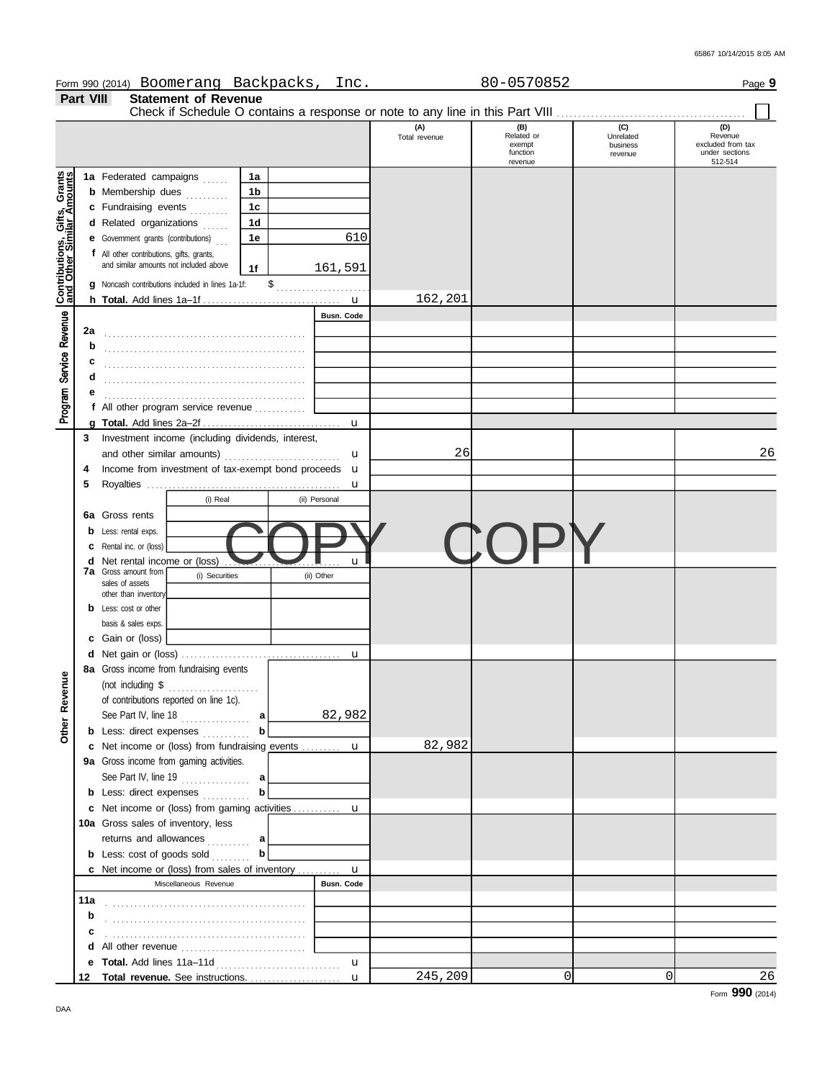65867 10/14/2015 8:05 AM

|                                                           |           |                                           | Form 990 (2014) Boomerang Backpacks,                 |                | Inc.              |                      | 80-0570852                                           |                                         | Page 9                                                           |
|-----------------------------------------------------------|-----------|-------------------------------------------|------------------------------------------------------|----------------|-------------------|----------------------|------------------------------------------------------|-----------------------------------------|------------------------------------------------------------------|
|                                                           | Part VIII |                                           | <b>Statement of Revenue</b>                          |                |                   |                      |                                                      |                                         |                                                                  |
|                                                           |           |                                           |                                                      |                |                   |                      |                                                      |                                         |                                                                  |
|                                                           |           |                                           |                                                      |                |                   | (A)<br>Total revenue | $(B)$<br>Related or<br>exempt<br>function<br>revenue | (C)<br>Unrelated<br>business<br>revenue | (D)<br>Revenue<br>excluded from tax<br>under sections<br>512-514 |
|                                                           |           | 1a Federated campaigns                    |                                                      | 1a             |                   |                      |                                                      |                                         |                                                                  |
|                                                           |           | <b>b</b> Membership dues                  |                                                      | 1 <sub>b</sub> |                   |                      |                                                      |                                         |                                                                  |
|                                                           |           | c Fundraising events                      |                                                      | 1 <sub>c</sub> |                   |                      |                                                      |                                         |                                                                  |
| Contributions, Gifts, Grants<br>and Other Similar Amounts |           | d Related organizations                   |                                                      | 1 <sub>d</sub> |                   |                      |                                                      |                                         |                                                                  |
|                                                           |           | e Government grants (contributions)       |                                                      | 1e             | 610               |                      |                                                      |                                         |                                                                  |
|                                                           |           | f All other contributions, gifts, grants, |                                                      |                |                   |                      |                                                      |                                         |                                                                  |
|                                                           |           | and similar amounts not included above    |                                                      | 1f             | 161,591           |                      |                                                      |                                         |                                                                  |
|                                                           |           |                                           | g Noncash contributions included in lines 1a-1f:     |                |                   |                      |                                                      |                                         |                                                                  |
|                                                           |           |                                           |                                                      |                | u                 | 162,201              |                                                      |                                         |                                                                  |
|                                                           |           |                                           |                                                      |                | <b>Busn. Code</b> |                      |                                                      |                                         |                                                                  |
| Service Revenue                                           | 2a        |                                           |                                                      |                |                   |                      |                                                      |                                         |                                                                  |
|                                                           | b         |                                           |                                                      |                |                   |                      |                                                      |                                         |                                                                  |
|                                                           | c         |                                           |                                                      |                |                   |                      |                                                      |                                         |                                                                  |
|                                                           | d         |                                           |                                                      |                |                   |                      |                                                      |                                         |                                                                  |
|                                                           |           |                                           |                                                      |                |                   |                      |                                                      |                                         |                                                                  |
|                                                           |           |                                           | f All other program service revenue $\ldots$         |                |                   |                      |                                                      |                                         |                                                                  |
| Program                                                   |           |                                           |                                                      |                | u                 |                      |                                                      |                                         |                                                                  |
|                                                           | 3         |                                           | Investment income (including dividends, interest,    |                |                   |                      |                                                      |                                         |                                                                  |
|                                                           |           |                                           |                                                      |                | u                 | 26                   |                                                      |                                         | 26                                                               |
|                                                           | 4         |                                           | Income from investment of tax-exempt bond proceeds u |                |                   |                      |                                                      |                                         |                                                                  |
|                                                           | 5         |                                           |                                                      |                | u                 |                      |                                                      |                                         |                                                                  |
|                                                           |           |                                           | (i) Real                                             |                | (ii) Personal     |                      |                                                      |                                         |                                                                  |
|                                                           |           | 6a Gross rents                            |                                                      |                |                   |                      |                                                      |                                         |                                                                  |
|                                                           | b         | Less: rental exps.                        |                                                      |                |                   |                      |                                                      |                                         |                                                                  |
|                                                           | c         | Rental inc. or (loss)                     |                                                      |                |                   |                      | C()                                                  |                                         |                                                                  |
|                                                           |           | d Net rental income or (loss)             |                                                      |                | u                 |                      |                                                      |                                         |                                                                  |
|                                                           |           | <b>7a</b> Gross amount from               | (i) Securities                                       |                | (ii) Other        |                      |                                                      |                                         |                                                                  |
|                                                           |           | sales of assets<br>other than inventory   |                                                      |                |                   |                      |                                                      |                                         |                                                                  |
|                                                           |           | Less: cost or other                       |                                                      |                |                   |                      |                                                      |                                         |                                                                  |
|                                                           |           | basis & sales exps.                       |                                                      |                |                   |                      |                                                      |                                         |                                                                  |
|                                                           |           | <b>c</b> Gain or (loss)                   |                                                      |                |                   |                      |                                                      |                                         |                                                                  |
|                                                           |           |                                           |                                                      |                | u                 |                      |                                                      |                                         |                                                                  |
|                                                           |           |                                           | <b>8a</b> Gross income from fundraising events       |                |                   |                      |                                                      |                                         |                                                                  |
| ₿                                                         |           | (not including \$                         |                                                      |                |                   |                      |                                                      |                                         |                                                                  |
| Other Rever                                               |           |                                           | of contributions reported on line 1c).               |                |                   |                      |                                                      |                                         |                                                                  |
|                                                           |           |                                           | See Part IV, line 18 $\ldots$                        | a              | 82,982            |                      |                                                      |                                         |                                                                  |
|                                                           |           |                                           | <b>b</b> Less: direct expenses <i>minimum</i>        | b              |                   |                      |                                                      |                                         |                                                                  |
|                                                           |           |                                           | c Net income or (loss) from fundraising events  u    |                |                   | 82,982               |                                                      |                                         |                                                                  |
|                                                           |           |                                           | 9a Gross income from gaming activities.              |                |                   |                      |                                                      |                                         |                                                                  |
|                                                           |           |                                           |                                                      |                |                   |                      |                                                      |                                         |                                                                  |
|                                                           |           |                                           | <b>b</b> Less: direct expenses                       | b              |                   |                      |                                                      |                                         |                                                                  |
|                                                           |           |                                           |                                                      |                |                   |                      |                                                      |                                         |                                                                  |
|                                                           |           | 10a Gross sales of inventory, less        |                                                      |                |                   |                      |                                                      |                                         |                                                                  |
|                                                           |           |                                           | returns and allowances  a                            |                |                   |                      |                                                      |                                         |                                                                  |
|                                                           |           |                                           | <b>b</b> Less: $cost$ of goods $sol$                 | b              |                   |                      |                                                      |                                         |                                                                  |
|                                                           |           |                                           | c Net income or (loss) from sales of inventory  u    |                |                   |                      |                                                      |                                         |                                                                  |
|                                                           |           |                                           | Miscellaneous Revenue                                |                | <b>Busn. Code</b> |                      |                                                      |                                         |                                                                  |
|                                                           | 11a       |                                           |                                                      |                |                   |                      |                                                      |                                         |                                                                  |
|                                                           | b         |                                           |                                                      |                |                   |                      |                                                      |                                         |                                                                  |
|                                                           |           |                                           |                                                      |                |                   |                      |                                                      |                                         |                                                                  |
|                                                           |           |                                           |                                                      |                |                   |                      |                                                      |                                         |                                                                  |
|                                                           |           |                                           |                                                      |                | u                 |                      |                                                      |                                         |                                                                  |
|                                                           |           |                                           | 12 Total revenue. See instructions.                  |                | u                 | 245,209              | 0                                                    | 0                                       | 26                                                               |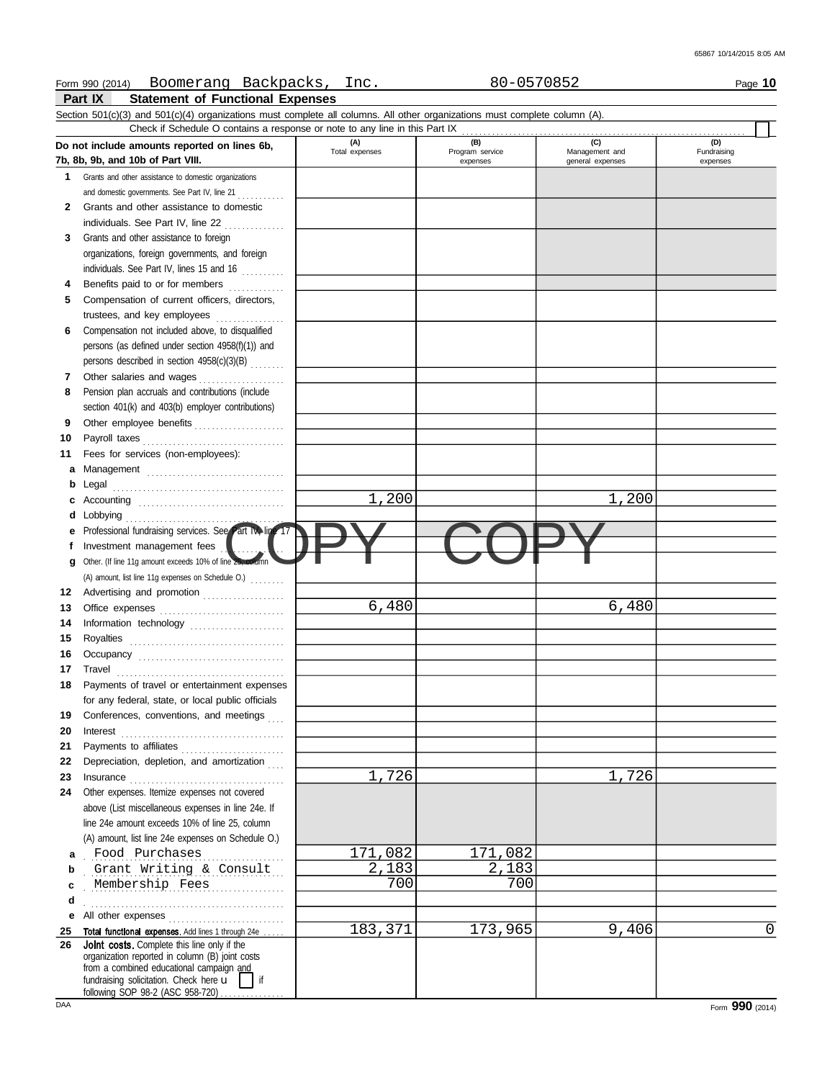|    | Boomerang Backpacks, Inc.<br>Form 990 (2014)                                                                               |                       | 80-0570852                         |                                           | Page 10                        |
|----|----------------------------------------------------------------------------------------------------------------------------|-----------------------|------------------------------------|-------------------------------------------|--------------------------------|
|    | <b>Statement of Functional Expenses</b><br>Part IX                                                                         |                       |                                    |                                           |                                |
|    | Section 501(c)(3) and 501(c)(4) organizations must complete all columns. All other organizations must complete column (A). |                       |                                    |                                           |                                |
|    | Check if Schedule O contains a response or note to any line in this Part IX                                                |                       |                                    |                                           |                                |
|    | Do not include amounts reported on lines 6b,<br>7b, 8b, 9b, and 10b of Part VIII.                                          | (A)<br>Total expenses | (B)<br>Program service<br>expenses | (C)<br>Management and<br>general expenses | (D)<br>Fundraising<br>expenses |
| 1. | Grants and other assistance to domestic organizations                                                                      |                       |                                    |                                           |                                |
|    | and domestic governments. See Part IV, line 21                                                                             |                       |                                    |                                           |                                |
| 2  | Grants and other assistance to domestic                                                                                    |                       |                                    |                                           |                                |
|    | individuals. See Part IV, line 22                                                                                          |                       |                                    |                                           |                                |
|    | .                                                                                                                          |                       |                                    |                                           |                                |
| 3  | Grants and other assistance to foreign                                                                                     |                       |                                    |                                           |                                |
|    | organizations, foreign governments, and foreign<br>individuals. See Part IV, lines 15 and 16                               |                       |                                    |                                           |                                |
| 4  | Benefits paid to or for members                                                                                            |                       |                                    |                                           |                                |
| 5  | Compensation of current officers, directors,                                                                               |                       |                                    |                                           |                                |
|    | trustees, and key employees                                                                                                |                       |                                    |                                           |                                |
| 6  | Compensation not included above, to disqualified                                                                           |                       |                                    |                                           |                                |
|    | persons (as defined under section 4958(f)(1)) and                                                                          |                       |                                    |                                           |                                |
|    | persons described in section 4958(c)(3)(B)                                                                                 |                       |                                    |                                           |                                |
| 7  | Other salaries and wages                                                                                                   |                       |                                    |                                           |                                |
| 8  | Pension plan accruals and contributions (include                                                                           |                       |                                    |                                           |                                |
|    | section 401(k) and 403(b) employer contributions)                                                                          |                       |                                    |                                           |                                |
| 9  | Other employee benefits                                                                                                    |                       |                                    |                                           |                                |
| 10 |                                                                                                                            |                       |                                    |                                           |                                |
| 11 | Fees for services (non-employees):                                                                                         |                       |                                    |                                           |                                |
| а  |                                                                                                                            |                       |                                    |                                           |                                |
| b  | Management                                                                                                                 |                       |                                    |                                           |                                |
| c  |                                                                                                                            | 1,200                 |                                    | 1,200                                     |                                |
| d  |                                                                                                                            |                       |                                    |                                           |                                |
|    | Lobbying<br>Professional fundraising services. See Part IV, line 17                                                        |                       |                                    |                                           |                                |
|    | Investment management fees                                                                                                 |                       |                                    |                                           |                                |
|    | Other. (If line 11g amount exceeds 10% of line 25, column                                                                  |                       |                                    |                                           |                                |
| g  |                                                                                                                            |                       |                                    |                                           |                                |
|    | (A) amount, list line 11g expenses on Schedule O.)                                                                         |                       |                                    |                                           |                                |
| 12 | Advertising and promotion                                                                                                  | 6,480                 |                                    | 6,480                                     |                                |
| 13 |                                                                                                                            |                       |                                    |                                           |                                |
| 14 | Information technology                                                                                                     |                       |                                    |                                           |                                |
| 15 |                                                                                                                            |                       |                                    |                                           |                                |
| 16 |                                                                                                                            |                       |                                    |                                           |                                |
| 17 |                                                                                                                            |                       |                                    |                                           |                                |
| 18 | Payments of travel or entertainment expenses                                                                               |                       |                                    |                                           |                                |
|    | for any federal, state, or local public officials                                                                          |                       |                                    |                                           |                                |
| 19 | Conferences, conventions, and meetings                                                                                     |                       |                                    |                                           |                                |
| 20 | Interest                                                                                                                   |                       |                                    |                                           |                                |
| 21 |                                                                                                                            |                       |                                    |                                           |                                |
| 22 | Depreciation, depletion, and amortization                                                                                  |                       |                                    |                                           |                                |
| 23 |                                                                                                                            | 1,726                 |                                    | 1,726                                     |                                |
| 24 | Other expenses. Itemize expenses not covered                                                                               |                       |                                    |                                           |                                |
|    | above (List miscellaneous expenses in line 24e. If                                                                         |                       |                                    |                                           |                                |
|    | line 24e amount exceeds 10% of line 25, column                                                                             |                       |                                    |                                           |                                |
|    | (A) amount, list line 24e expenses on Schedule O.)                                                                         |                       |                                    |                                           |                                |
| а  | Food Purchases                                                                                                             | 171,082               | 171,082                            |                                           |                                |
| b  | Grant Writing & Consult                                                                                                    | 2,183                 | 2,183                              |                                           |                                |
| c  | Membership Fees                                                                                                            | 700                   | 700                                |                                           |                                |
| d  |                                                                                                                            |                       |                                    |                                           |                                |
| е  | All other expenses                                                                                                         |                       |                                    |                                           |                                |
| 25 | Total functional expenses. Add lines 1 through 24e                                                                         | 183,371               | 173,965                            | 9,406                                     | 0                              |
| 26 | <b>Joint costs.</b> Complete this line only if the                                                                         |                       |                                    |                                           |                                |
|    | organization reported in column (B) joint costs<br>from a combined educational campaign and                                |                       |                                    |                                           |                                |
|    | fundraising solicitation. Check here u<br>if                                                                               |                       |                                    |                                           |                                |
|    | following SOP 98-2 (ASC 958-720)                                                                                           |                       |                                    |                                           |                                |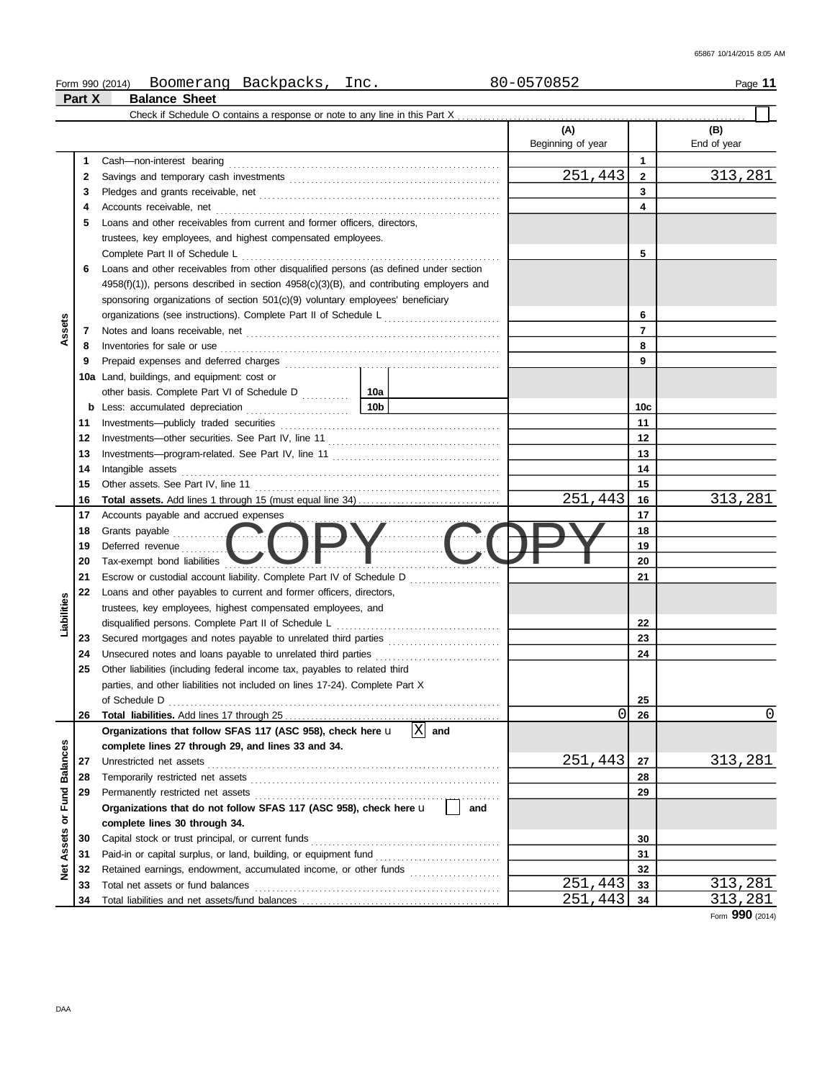|                 |          | Boomerang Backpacks, Inc.<br>Form 990 (2014)                                                                                                                                                                                        | 80-0570852               |                | Page 11            |
|-----------------|----------|-------------------------------------------------------------------------------------------------------------------------------------------------------------------------------------------------------------------------------------|--------------------------|----------------|--------------------|
|                 | Part X   | <b>Balance Sheet</b>                                                                                                                                                                                                                |                          |                |                    |
|                 |          | Check if Schedule O contains a response or note to any line in this Part X                                                                                                                                                          |                          |                |                    |
|                 |          |                                                                                                                                                                                                                                     | (A)<br>Beginning of year |                | (B)<br>End of year |
|                 | 1        |                                                                                                                                                                                                                                     |                          | $\mathbf{1}$   |                    |
|                 | 2        |                                                                                                                                                                                                                                     | 251,443                  | $\mathbf{2}$   | 313,281            |
|                 | 3        |                                                                                                                                                                                                                                     |                          | 3              |                    |
|                 | 4        |                                                                                                                                                                                                                                     |                          | 4              |                    |
|                 | 5        | Loans and other receivables from current and former officers, directors.                                                                                                                                                            |                          |                |                    |
|                 |          | trustees, key employees, and highest compensated employees.                                                                                                                                                                         |                          |                |                    |
|                 |          |                                                                                                                                                                                                                                     |                          | 5              |                    |
|                 | 6        | Loans and other receivables from other disqualified persons (as defined under section                                                                                                                                               |                          |                |                    |
|                 |          | $4958(f)(1)$ , persons described in section $4958(c)(3)(B)$ , and contributing employers and                                                                                                                                        |                          |                |                    |
|                 |          | sponsoring organizations of section $501(c)(9)$ voluntary employees' beneficiary                                                                                                                                                    |                          |                |                    |
| Assets          |          | organizations (see instructions). Complete Part II of Schedule L                                                                                                                                                                    |                          | 6              |                    |
|                 | 7        |                                                                                                                                                                                                                                     |                          | $\overline{7}$ |                    |
|                 | 8        | Inventories for sale or use <i>communication</i> and the contract of the contract of the contract of the contract of the contract of the contract of the contract of the contract of the contract of the contract of the contract o |                          | 8              |                    |
|                 | 9        |                                                                                                                                                                                                                                     |                          | 9              |                    |
|                 |          | 10a Land, buildings, and equipment: cost or                                                                                                                                                                                         |                          |                |                    |
|                 |          |                                                                                                                                                                                                                                     |                          |                |                    |
|                 |          |                                                                                                                                                                                                                                     |                          | 10c<br>11      |                    |
|                 | 11<br>12 |                                                                                                                                                                                                                                     |                          | 12             |                    |
|                 | 13       |                                                                                                                                                                                                                                     |                          | 13             |                    |
|                 | 14       | Intangible assets                                                                                                                                                                                                                   |                          | 14             |                    |
|                 | 15       |                                                                                                                                                                                                                                     |                          | 15             |                    |
|                 | 16       |                                                                                                                                                                                                                                     | 251,443                  | 16             | 313,281            |
|                 | 17       | Accounts payable and accrued expenses                                                                                                                                                                                               |                          | 17             |                    |
|                 | 18       |                                                                                                                                                                                                                                     |                          | 18             |                    |
|                 | 19       | Grants payable<br>Deferred revenue <b>CODV</b>                                                                                                                                                                                      |                          | 19             |                    |
|                 | 20       | Tax-exempt bond liabilities                                                                                                                                                                                                         |                          | 20             |                    |
|                 | 21       |                                                                                                                                                                                                                                     |                          | 21             |                    |
|                 | 22       | Loans and other payables to current and former officers, directors,                                                                                                                                                                 |                          |                |                    |
|                 |          | trustees, key employees, highest compensated employees, and                                                                                                                                                                         |                          |                |                    |
| Liabilities     |          |                                                                                                                                                                                                                                     |                          | 22             |                    |
|                 | 23       | Secured mortgages and notes payable to unrelated third parties                                                                                                                                                                      |                          | 23             |                    |
|                 | 24       |                                                                                                                                                                                                                                     |                          | 24             |                    |
|                 | 25       | Other liabilities (including federal income tax, payables to related third                                                                                                                                                          |                          |                |                    |
|                 |          | parties, and other liabilities not included on lines 17-24). Complete Part X                                                                                                                                                        |                          |                |                    |
|                 |          |                                                                                                                                                                                                                                     |                          | 25             |                    |
|                 | 26       |                                                                                                                                                                                                                                     | 0                        | 26             | 0                  |
|                 |          | $\overline{X}$ and<br>Organizations that follow SFAS 117 (ASC 958), check here u                                                                                                                                                    |                          |                |                    |
|                 |          | complete lines 27 through 29, and lines 33 and 34.                                                                                                                                                                                  |                          |                |                    |
| <b>Balances</b> | 27       |                                                                                                                                                                                                                                     | 251,443                  | 27             | <u>313,281</u>     |
|                 | 28       |                                                                                                                                                                                                                                     |                          | 28             |                    |
| Fund            | 29       |                                                                                                                                                                                                                                     |                          | 29             |                    |
| ৯               |          | Organizations that do not follow SFAS 117 (ASC 958), check here u<br>and                                                                                                                                                            |                          |                |                    |
|                 |          | complete lines 30 through 34.                                                                                                                                                                                                       |                          |                |                    |
| Assets          | 30       |                                                                                                                                                                                                                                     |                          | 30             |                    |
|                 | 31       |                                                                                                                                                                                                                                     |                          | 31             |                    |
| ै।<br>2         | 32       | Retained earnings, endowment, accumulated income, or other funds                                                                                                                                                                    | 251,443                  | 32             | 313,281            |
|                 | 33<br>34 |                                                                                                                                                                                                                                     | 251,443                  | 33<br>34       | 313,281            |
|                 |          |                                                                                                                                                                                                                                     |                          |                |                    |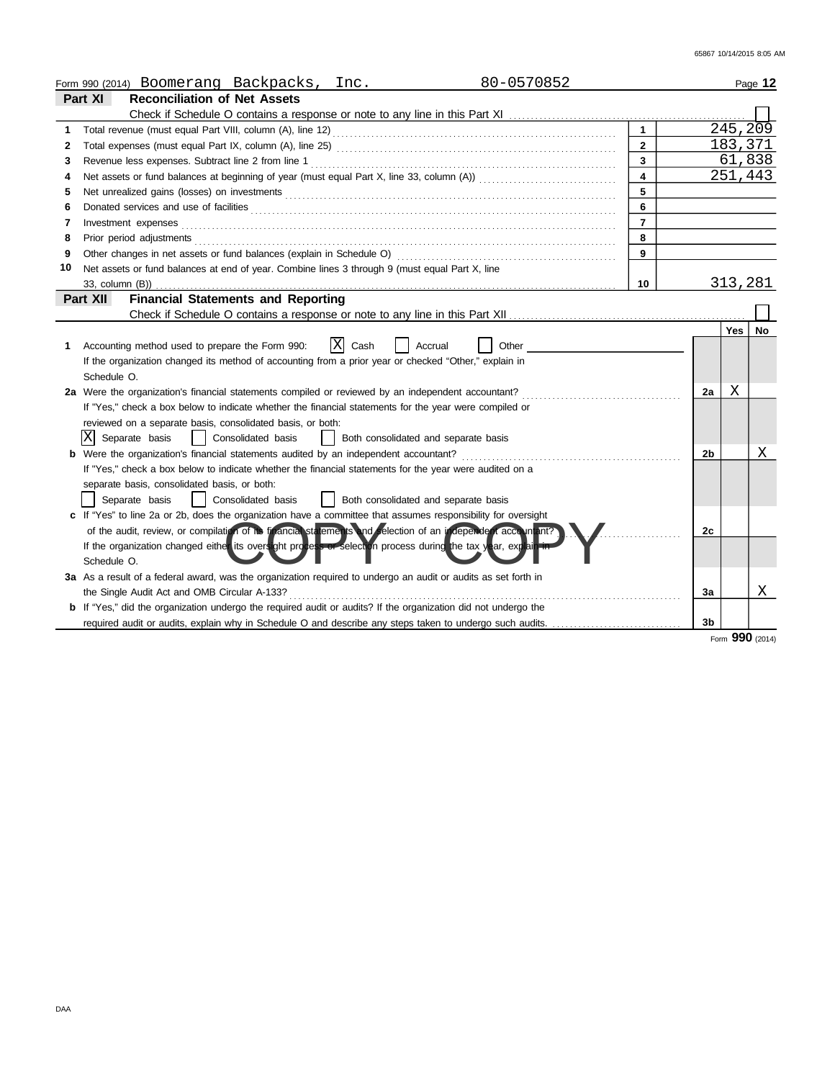|    | 80-0570852<br>Form 990 (2014) Boomerang Backpacks, Inc.                                                               |                |            | Page 12  |
|----|-----------------------------------------------------------------------------------------------------------------------|----------------|------------|----------|
|    | Part XI<br><b>Reconciliation of Net Assets</b>                                                                        |                |            |          |
|    |                                                                                                                       |                |            |          |
| 1  |                                                                                                                       |                |            | 245, 209 |
| 2  | $\mathbf{2}$                                                                                                          |                | 183,371    |          |
| 3  | 3                                                                                                                     |                |            | 61,838   |
| 4  | 4                                                                                                                     |                |            | 251,443  |
| 5  | 5                                                                                                                     |                |            |          |
| 6  | 6                                                                                                                     |                |            |          |
| 7  | $\overline{7}$<br>Investment expenses                                                                                 |                |            |          |
| 8  | 8                                                                                                                     |                |            |          |
| 9  | 9                                                                                                                     |                |            |          |
| 10 | Net assets or fund balances at end of year. Combine lines 3 through 9 (must equal Part X, line                        |                |            |          |
|    | 10                                                                                                                    |                | 313,281    |          |
|    | <b>Financial Statements and Reporting</b><br>Part XII                                                                 |                |            |          |
|    |                                                                                                                       |                |            |          |
|    |                                                                                                                       |                | <b>Yes</b> | No       |
| 1. | x <br>Accounting method used to prepare the Form 990:<br>Cash<br>Other<br>Accrual                                     |                |            |          |
|    | If the organization changed its method of accounting from a prior year or checked "Other," explain in                 |                |            |          |
|    | Schedule O.                                                                                                           |                |            |          |
|    | 2a Were the organization's financial statements compiled or reviewed by an independent accountant?                    | 2a             | Χ          |          |
|    | If "Yes," check a box below to indicate whether the financial statements for the year were compiled or                |                |            |          |
|    | reviewed on a separate basis, consolidated basis, or both:                                                            |                |            |          |
|    | X Separate basis<br>  Consolidated basis<br>Both consolidated and separate basis                                      |                |            |          |
|    | <b>b</b> Were the organization's financial statements audited by an independent accountant?                           | 2b             |            | X        |
|    | If "Yes," check a box below to indicate whether the financial statements for the year were audited on a               |                |            |          |
|    | separate basis, consolidated basis, or both:                                                                          |                |            |          |
|    | Consolidated basis<br>Separate basis<br>Both consolidated and separate basis                                          |                |            |          |
|    | c If "Yes" to line 2a or 2b, does the organization have a committee that assumes responsibility for oversight         |                |            |          |
|    | of the audit, review, or compilation of its francial statements and selection of an independent accountant?           | 2c             |            |          |
|    | If the organization changed either its oversight process or selection process during the tax year, explain in         |                |            |          |
|    | Schedule O.                                                                                                           |                |            |          |
|    | 3a As a result of a federal award, was the organization required to undergo an audit or audits as set forth in        |                |            |          |
|    | the Single Audit Act and OMB Circular A-133?                                                                          | 3a             |            | X        |
|    | <b>b</b> If "Yes," did the organization undergo the required audit or audits? If the organization did not undergo the |                |            |          |
|    |                                                                                                                       | 3 <sub>b</sub> |            |          |

Form **990** (2014)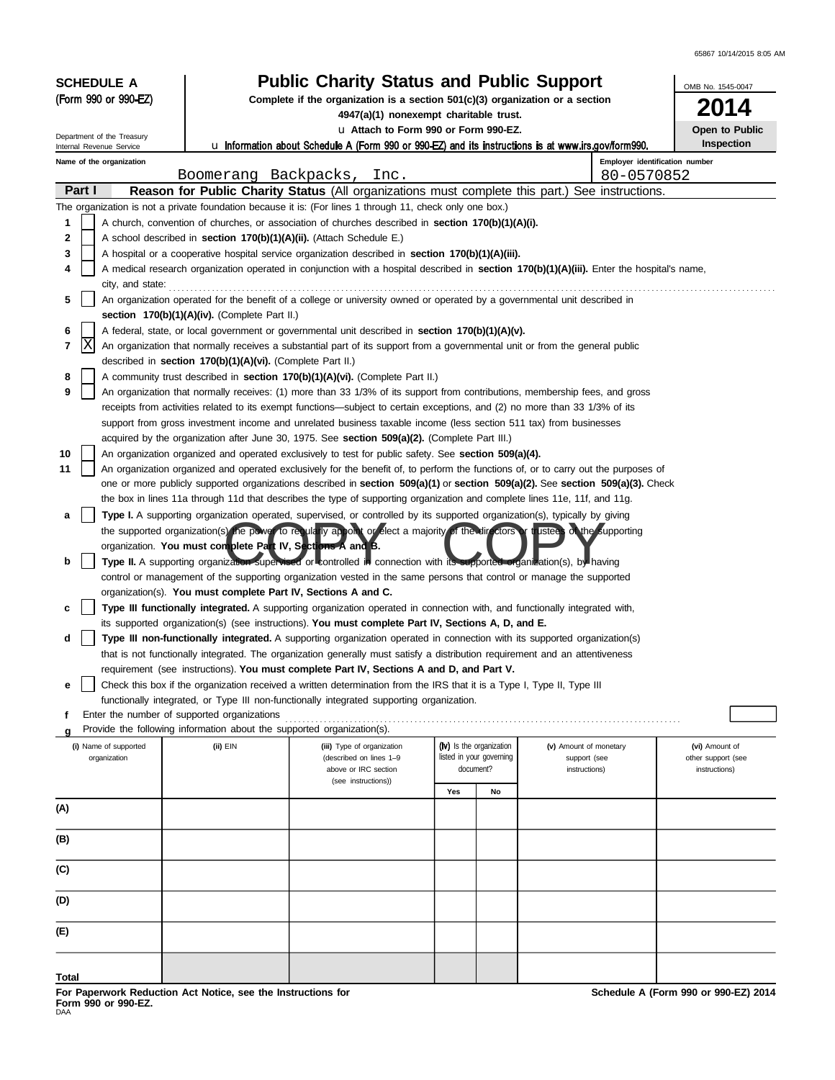65867 10/14/2015 8:05 AM

| <b>SCHEDULE A</b>                                                                                                                                                     | <b>Public Charity Status and Public Support</b>                                                                                                                                       | OMB No. 1545-0047                                                                                                                                                                                                                                           |                                                                                                         |                          |                                              |                                     |  |  |  |  |
|-----------------------------------------------------------------------------------------------------------------------------------------------------------------------|---------------------------------------------------------------------------------------------------------------------------------------------------------------------------------------|-------------------------------------------------------------------------------------------------------------------------------------------------------------------------------------------------------------------------------------------------------------|---------------------------------------------------------------------------------------------------------|--------------------------|----------------------------------------------|-------------------------------------|--|--|--|--|
| (Form 990 or 990-EZ)                                                                                                                                                  |                                                                                                                                                                                       | Complete if the organization is a section 501(c)(3) organization or a section<br>4947(a)(1) nonexempt charitable trust.                                                                                                                                     | 14                                                                                                      |                          |                                              |                                     |  |  |  |  |
|                                                                                                                                                                       |                                                                                                                                                                                       | u Attach to Form 990 or Form 990-EZ.                                                                                                                                                                                                                        | Open to Public                                                                                          |                          |                                              |                                     |  |  |  |  |
| Department of the Treasury<br>Internal Revenue Service                                                                                                                |                                                                                                                                                                                       |                                                                                                                                                                                                                                                             | $\mu$ Information about Schedule A (Form 990 or 990-EZ) and its instructions is at www.irs.gov/form990. |                          |                                              |                                     |  |  |  |  |
| Name of the organization                                                                                                                                              | Boomerang Backpacks,                                                                                                                                                                  | Inc.                                                                                                                                                                                                                                                        |                                                                                                         |                          | Employer identification number<br>80-0570852 |                                     |  |  |  |  |
| Part I                                                                                                                                                                |                                                                                                                                                                                       | <b>Reason for Public Charity Status</b> (All organizations must complete this part.) See instructions.                                                                                                                                                      |                                                                                                         |                          |                                              |                                     |  |  |  |  |
|                                                                                                                                                                       |                                                                                                                                                                                       | The organization is not a private foundation because it is: (For lines 1 through 11, check only one box.)                                                                                                                                                   |                                                                                                         |                          |                                              |                                     |  |  |  |  |
| 1                                                                                                                                                                     | A church, convention of churches, or association of churches described in <b>section 170(b)(1)(A)(i).</b>                                                                             |                                                                                                                                                                                                                                                             |                                                                                                         |                          |                                              |                                     |  |  |  |  |
| 3                                                                                                                                                                     | 2<br>A school described in section 170(b)(1)(A)(ii). (Attach Schedule E.)<br>A hospital or a cooperative hospital service organization described in <b>section 170(b)(1)(A)(iii).</b> |                                                                                                                                                                                                                                                             |                                                                                                         |                          |                                              |                                     |  |  |  |  |
| 4                                                                                                                                                                     |                                                                                                                                                                                       |                                                                                                                                                                                                                                                             |                                                                                                         |                          |                                              |                                     |  |  |  |  |
| A medical research organization operated in conjunction with a hospital described in <b>section 170(b)(1)(A)(iii).</b> Enter the hospital's name,<br>city, and state: |                                                                                                                                                                                       |                                                                                                                                                                                                                                                             |                                                                                                         |                          |                                              |                                     |  |  |  |  |
| 5                                                                                                                                                                     |                                                                                                                                                                                       | An organization operated for the benefit of a college or university owned or operated by a governmental unit described in                                                                                                                                   |                                                                                                         |                          |                                              |                                     |  |  |  |  |
|                                                                                                                                                                       | section $170(b)(1)(A)(iv)$ . (Complete Part II.)                                                                                                                                      |                                                                                                                                                                                                                                                             |                                                                                                         |                          |                                              |                                     |  |  |  |  |
| 6                                                                                                                                                                     |                                                                                                                                                                                       | A federal, state, or local government or governmental unit described in <b>section 170(b)(1)(A)(v).</b>                                                                                                                                                     |                                                                                                         |                          |                                              |                                     |  |  |  |  |
| Χ<br>7                                                                                                                                                                |                                                                                                                                                                                       | An organization that normally receives a substantial part of its support from a governmental unit or from the general public                                                                                                                                |                                                                                                         |                          |                                              |                                     |  |  |  |  |
| 8                                                                                                                                                                     | described in section 170(b)(1)(A)(vi). (Complete Part II.)                                                                                                                            | A community trust described in <b>section 170(b)(1)(A)(vi).</b> (Complete Part II.)                                                                                                                                                                         |                                                                                                         |                          |                                              |                                     |  |  |  |  |
| 9                                                                                                                                                                     |                                                                                                                                                                                       | An organization that normally receives: (1) more than 33 1/3% of its support from contributions, membership fees, and gross                                                                                                                                 |                                                                                                         |                          |                                              |                                     |  |  |  |  |
|                                                                                                                                                                       |                                                                                                                                                                                       | receipts from activities related to its exempt functions—subject to certain exceptions, and (2) no more than 33 1/3% of its                                                                                                                                 |                                                                                                         |                          |                                              |                                     |  |  |  |  |
|                                                                                                                                                                       |                                                                                                                                                                                       | support from gross investment income and unrelated business taxable income (less section 511 tax) from businesses                                                                                                                                           |                                                                                                         |                          |                                              |                                     |  |  |  |  |
|                                                                                                                                                                       |                                                                                                                                                                                       | acquired by the organization after June 30, 1975. See section 509(a)(2). (Complete Part III.)                                                                                                                                                               |                                                                                                         |                          |                                              |                                     |  |  |  |  |
| 10                                                                                                                                                                    |                                                                                                                                                                                       | An organization organized and operated exclusively to test for public safety. See section 509(a)(4).                                                                                                                                                        |                                                                                                         |                          |                                              |                                     |  |  |  |  |
| 11                                                                                                                                                                    |                                                                                                                                                                                       | An organization organized and operated exclusively for the benefit of, to perform the functions of, or to carry out the purposes of                                                                                                                         |                                                                                                         |                          |                                              |                                     |  |  |  |  |
|                                                                                                                                                                       |                                                                                                                                                                                       | one or more publicly supported organizations described in section 509(a)(1) or section 509(a)(2). See section 509(a)(3). Check<br>the box in lines 11a through 11d that describes the type of supporting organization and complete lines 11e, 11f, and 11g. |                                                                                                         |                          |                                              |                                     |  |  |  |  |
| а                                                                                                                                                                     |                                                                                                                                                                                       | Type I. A supporting organization operated, supervised, or controlled by its supported organization(s), typically by giving                                                                                                                                 |                                                                                                         |                          |                                              |                                     |  |  |  |  |
|                                                                                                                                                                       |                                                                                                                                                                                       | the supported organization(s) the power to recula by appoint or elect a majority of the directors or trustees of the supporting                                                                                                                             |                                                                                                         |                          |                                              |                                     |  |  |  |  |
|                                                                                                                                                                       | organization. You must complete Part IV, Sections A and B.                                                                                                                            |                                                                                                                                                                                                                                                             |                                                                                                         |                          |                                              |                                     |  |  |  |  |
| b                                                                                                                                                                     |                                                                                                                                                                                       | Type II. A supporting organization supervised or controlled in connection with its supported organization(s), by having                                                                                                                                     |                                                                                                         |                          |                                              |                                     |  |  |  |  |
|                                                                                                                                                                       |                                                                                                                                                                                       | control or management of the supporting organization vested in the same persons that control or manage the supported                                                                                                                                        |                                                                                                         |                          |                                              |                                     |  |  |  |  |
| с                                                                                                                                                                     | organization(s). You must complete Part IV, Sections A and C.                                                                                                                         | Type III functionally integrated. A supporting organization operated in connection with, and functionally integrated with,                                                                                                                                  |                                                                                                         |                          |                                              |                                     |  |  |  |  |
|                                                                                                                                                                       |                                                                                                                                                                                       | its supported organization(s) (see instructions). You must complete Part IV, Sections A, D, and E.                                                                                                                                                          |                                                                                                         |                          |                                              |                                     |  |  |  |  |
| d                                                                                                                                                                     |                                                                                                                                                                                       | Type III non-functionally integrated. A supporting organization operated in connection with its supported organization(s)                                                                                                                                   |                                                                                                         |                          |                                              |                                     |  |  |  |  |
|                                                                                                                                                                       |                                                                                                                                                                                       | that is not functionally integrated. The organization generally must satisfy a distribution requirement and an attentiveness                                                                                                                                |                                                                                                         |                          |                                              |                                     |  |  |  |  |
| $\overline{ }$                                                                                                                                                        |                                                                                                                                                                                       | requirement (see instructions). You must complete Part IV, Sections A and D, and Part V.                                                                                                                                                                    |                                                                                                         |                          |                                              |                                     |  |  |  |  |
| е                                                                                                                                                                     |                                                                                                                                                                                       | Check this box if the organization received a written determination from the IRS that it is a Type I, Type II, Type III                                                                                                                                     |                                                                                                         |                          |                                              |                                     |  |  |  |  |
|                                                                                                                                                                       | Enter the number of supported organizations                                                                                                                                           | functionally integrated, or Type III non-functionally integrated supporting organization.                                                                                                                                                                   |                                                                                                         |                          |                                              |                                     |  |  |  |  |
|                                                                                                                                                                       | Provide the following information about the supported organization(s).                                                                                                                |                                                                                                                                                                                                                                                             |                                                                                                         |                          |                                              |                                     |  |  |  |  |
| (i) Name of supported                                                                                                                                                 | (ii) EIN                                                                                                                                                                              | (iii) Type of organization                                                                                                                                                                                                                                  | (iv) Is the organization                                                                                |                          | (v) Amount of monetary                       | (vi) Amount of                      |  |  |  |  |
| organization                                                                                                                                                          |                                                                                                                                                                                       | (described on lines 1-9<br>above or IRC section                                                                                                                                                                                                             | document?                                                                                               | listed in your governing | support (see<br>instructions)                | other support (see<br>instructions) |  |  |  |  |
|                                                                                                                                                                       |                                                                                                                                                                                       | (see instructions))                                                                                                                                                                                                                                         |                                                                                                         |                          |                                              |                                     |  |  |  |  |
|                                                                                                                                                                       |                                                                                                                                                                                       |                                                                                                                                                                                                                                                             | Yes                                                                                                     | No                       |                                              |                                     |  |  |  |  |
| (A)                                                                                                                                                                   |                                                                                                                                                                                       |                                                                                                                                                                                                                                                             |                                                                                                         |                          |                                              |                                     |  |  |  |  |
| (B)                                                                                                                                                                   |                                                                                                                                                                                       |                                                                                                                                                                                                                                                             |                                                                                                         |                          |                                              |                                     |  |  |  |  |
| (C)                                                                                                                                                                   |                                                                                                                                                                                       |                                                                                                                                                                                                                                                             |                                                                                                         |                          |                                              |                                     |  |  |  |  |
|                                                                                                                                                                       |                                                                                                                                                                                       |                                                                                                                                                                                                                                                             |                                                                                                         |                          |                                              |                                     |  |  |  |  |
| (D)                                                                                                                                                                   |                                                                                                                                                                                       |                                                                                                                                                                                                                                                             |                                                                                                         |                          |                                              |                                     |  |  |  |  |
| (E)                                                                                                                                                                   |                                                                                                                                                                                       |                                                                                                                                                                                                                                                             |                                                                                                         |                          |                                              |                                     |  |  |  |  |
|                                                                                                                                                                       |                                                                                                                                                                                       |                                                                                                                                                                                                                                                             |                                                                                                         |                          |                                              |                                     |  |  |  |  |
| Total                                                                                                                                                                 |                                                                                                                                                                                       |                                                                                                                                                                                                                                                             |                                                                                                         |                          |                                              |                                     |  |  |  |  |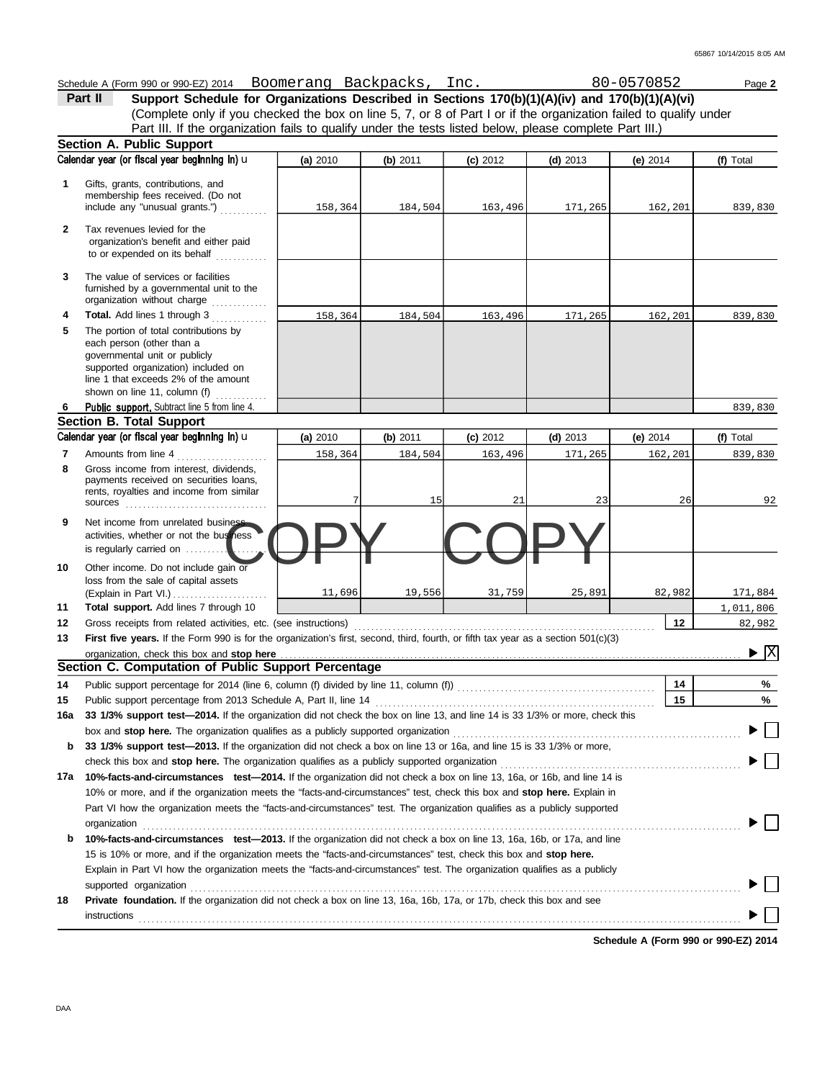|     | Schedule A (Form 990 or 990-EZ) 2014 BOOMerang Backpacks, Inc.                                                                                                                   |          |          |            |            | 80-0570852 | Page 2                             |
|-----|----------------------------------------------------------------------------------------------------------------------------------------------------------------------------------|----------|----------|------------|------------|------------|------------------------------------|
|     | Part II<br>Support Schedule for Organizations Described in Sections 170(b)(1)(A)(iv) and 170(b)(1)(A)(vi)                                                                        |          |          |            |            |            |                                    |
|     | (Complete only if you checked the box on line 5, 7, or 8 of Part I or if the organization failed to qualify under                                                                |          |          |            |            |            |                                    |
|     | Part III. If the organization fails to qualify under the tests listed below, please complete Part III.)                                                                          |          |          |            |            |            |                                    |
|     | Section A. Public Support                                                                                                                                                        |          |          |            |            |            |                                    |
|     | Calendar year (or fiscal year beginning in) u                                                                                                                                    | (a) 2010 | (b) 2011 | $(c)$ 2012 | (d) $2013$ | (e) $2014$ | (f) Total                          |
|     |                                                                                                                                                                                  |          |          |            |            |            |                                    |
| 1   | Gifts, grants, contributions, and<br>membership fees received. (Do not                                                                                                           |          |          |            |            |            |                                    |
|     | include any "unusual grants.")                                                                                                                                                   | 158,364  | 184,504  | 163,496    | 171,265    | 162,201    | 839,830                            |
|     |                                                                                                                                                                                  |          |          |            |            |            |                                    |
| 2   | Tax revenues levied for the<br>organization's benefit and either paid                                                                                                            |          |          |            |            |            |                                    |
|     | to or expended on its behalf                                                                                                                                                     |          |          |            |            |            |                                    |
|     |                                                                                                                                                                                  |          |          |            |            |            |                                    |
| 3   | The value of services or facilities                                                                                                                                              |          |          |            |            |            |                                    |
|     | furnished by a governmental unit to the                                                                                                                                          |          |          |            |            |            |                                    |
|     | organization without charge                                                                                                                                                      |          |          |            |            |            |                                    |
| 4   | Total. Add lines 1 through 3                                                                                                                                                     | 158,364  | 184,504  | 163,496    | 171,265    | 162,201    | 839,830                            |
| 5   | The portion of total contributions by                                                                                                                                            |          |          |            |            |            |                                    |
|     | each person (other than a<br>governmental unit or publicly                                                                                                                       |          |          |            |            |            |                                    |
|     | supported organization) included on                                                                                                                                              |          |          |            |            |            |                                    |
|     | line 1 that exceeds 2% of the amount                                                                                                                                             |          |          |            |            |            |                                    |
|     | shown on line 11, column (f)                                                                                                                                                     |          |          |            |            |            |                                    |
| 6   | Public support. Subtract line 5 from line 4.                                                                                                                                     |          |          |            |            |            | 839,830                            |
|     | <b>Section B. Total Support</b>                                                                                                                                                  |          |          |            |            |            |                                    |
|     | Calendar year (or fiscal year beginning in) u                                                                                                                                    | (a) 2010 | (b) 2011 | $(c)$ 2012 | $(d)$ 2013 | $(e)$ 2014 | (f) Total                          |
| 7   | Amounts from line 4                                                                                                                                                              | 158,364  | 184,504  | 163,496    | 171,265    | 162,201    | 839,830                            |
| 8   | Gross income from interest, dividends,                                                                                                                                           |          |          |            |            |            |                                    |
|     | payments received on securities loans,                                                                                                                                           |          |          |            |            |            |                                    |
|     | rents, royalties and income from similar                                                                                                                                         |          | 15       | 21         | 23         | 26         | 92                                 |
|     |                                                                                                                                                                                  |          |          |            |            |            |                                    |
| 9   | Net income from unrelated business                                                                                                                                               |          |          |            |            |            |                                    |
|     | activities, whether or not the business                                                                                                                                          |          |          |            |            |            |                                    |
|     | is regularly carried on                                                                                                                                                          |          |          |            |            |            |                                    |
| 10  | Other income. Do not include gain or                                                                                                                                             |          |          |            |            |            |                                    |
|     | loss from the sale of capital assets                                                                                                                                             |          |          |            |            |            |                                    |
|     | (Explain in Part VI.) $\ldots$                                                                                                                                                   | 11,696   | 19,556   | 31,759     | 25,891     | 82,982     | 171,884                            |
| 11  | Total support. Add lines 7 through 10                                                                                                                                            |          |          |            |            |            | 1,011,806                          |
| 12  |                                                                                                                                                                                  |          |          |            |            | 12         | 82,982                             |
| 13  | First five years. If the Form 990 is for the organization's first, second, third, fourth, or fifth tax year as a section 501(c)(3)                                               |          |          |            |            |            |                                    |
|     | organization, check this box and stop here                                                                                                                                       |          |          |            |            |            | $\blacktriangleright \overline{X}$ |
|     | Section C. Computation of Public Support Percentage                                                                                                                              |          |          |            |            |            |                                    |
| 14  |                                                                                                                                                                                  |          |          |            |            | 14         | %                                  |
| 15  |                                                                                                                                                                                  |          |          |            |            | 15         | %                                  |
| 16a | 33 1/3% support test-2014. If the organization did not check the box on line 13, and line 14 is 33 1/3% or more, check this                                                      |          |          |            |            |            |                                    |
|     |                                                                                                                                                                                  |          |          |            |            |            |                                    |
| b   | 33 1/3% support test—2013. If the organization did not check a box on line 13 or 16a, and line 15 is 33 1/3% or more,                                                            |          |          |            |            |            |                                    |
|     | check this box and stop here. The organization qualifies as a publicly supported organization <b>conserved in the symman state of the symman</b>                                 |          |          |            |            |            |                                    |
| 17a | 10%-facts-and-circumstances test-2014. If the organization did not check a box on line 13, 16a, or 16b, and line 14 is                                                           |          |          |            |            |            |                                    |
|     | 10% or more, and if the organization meets the "facts-and-circumstances" test, check this box and stop here. Explain in                                                          |          |          |            |            |            |                                    |
|     | Part VI how the organization meets the "facts-and-circumstances" test. The organization qualifies as a publicly supported                                                        |          |          |            |            |            |                                    |
|     |                                                                                                                                                                                  |          |          |            |            |            |                                    |
| b   | 10%-facts-and-circumstances test-2013. If the organization did not check a box on line 13, 16a, 16b, or 17a, and line                                                            |          |          |            |            |            |                                    |
|     | 15 is 10% or more, and if the organization meets the "facts-and-circumstances" test, check this box and stop here.                                                               |          |          |            |            |            |                                    |
|     | Explain in Part VI how the organization meets the "facts-and-circumstances" test. The organization qualifies as a publicly                                                       |          |          |            |            |            |                                    |
|     |                                                                                                                                                                                  |          |          |            |            |            |                                    |
|     | supported organization<br>and the contract organization<br>Private foundation. If the organization did not check a box on line 13, 16a, 16b, 17a, or 17b, check this box and see |          |          |            |            |            |                                    |
| 18  |                                                                                                                                                                                  |          |          |            |            |            |                                    |
|     | instructions                                                                                                                                                                     |          |          |            |            |            |                                    |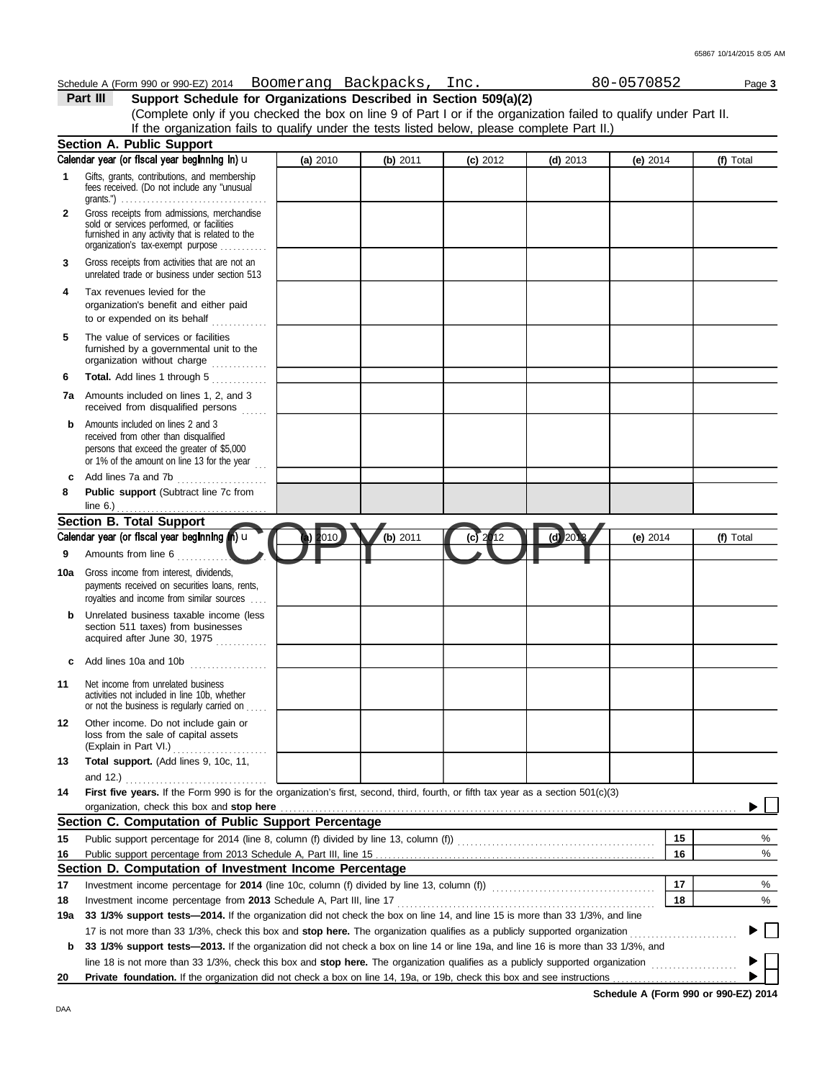|              | Schedule A (Form 990 or 990-EZ) 2014 BOOMerang Backpacks, Inc.                                                                                                                    |          |          |            |                                               | 80-0570852 | Page 3    |
|--------------|-----------------------------------------------------------------------------------------------------------------------------------------------------------------------------------|----------|----------|------------|-----------------------------------------------|------------|-----------|
|              | Support Schedule for Organizations Described in Section 509(a)(2)<br>Part III                                                                                                     |          |          |            |                                               |            |           |
|              | (Complete only if you checked the box on line 9 of Part I or if the organization failed to qualify under Part II.                                                                 |          |          |            |                                               |            |           |
|              | If the organization fails to qualify under the tests listed below, please complete Part II.)                                                                                      |          |          |            |                                               |            |           |
|              | Section A. Public Support                                                                                                                                                         |          |          |            |                                               |            |           |
|              | Calendar year (or fiscal year beginning in) u                                                                                                                                     | (a) 2010 | (b) 2011 | $(c)$ 2012 | $(d)$ 2013                                    | (e) $2014$ | (f) Total |
| 1            | Gifts, grants, contributions, and membership<br>fees received. (Do not include any "unusual                                                                                       |          |          |            |                                               |            |           |
| $\mathbf{2}$ | Gross receipts from admissions, merchandise<br>sold or services performed, or facilities<br>furnished in any activity that is related to the<br>organization's tax-exempt purpose |          |          |            |                                               |            |           |
| 3            | Gross receipts from activities that are not an<br>unrelated trade or business under section 513                                                                                   |          |          |            |                                               |            |           |
| 4            | Tax revenues levied for the<br>organization's benefit and either paid<br>to or expended on its behalf                                                                             |          |          |            |                                               |            |           |
| 5            | The value of services or facilities<br>furnished by a governmental unit to the<br>organization without charge                                                                     |          |          |            |                                               |            |           |
| 6            | Total. Add lines 1 through 5                                                                                                                                                      |          |          |            |                                               |            |           |
| 7a           | Amounts included on lines 1, 2, and 3<br>received from disqualified persons                                                                                                       |          |          |            |                                               |            |           |
| b            | Amounts included on lines 2 and 3<br>received from other than disqualified<br>persons that exceed the greater of \$5,000<br>or 1% of the amount on line 13 for the year           |          |          |            |                                               |            |           |
| c            | Add lines 7a and 7b                                                                                                                                                               |          |          |            |                                               |            |           |
| 8            | Public support (Subtract line 7c from<br>line $6.$ )                                                                                                                              |          |          |            |                                               |            |           |
|              | <b>Section B. Total Support</b>                                                                                                                                                   |          |          |            |                                               |            |           |
|              | Calendar year (or fiscal year beginning (n) u                                                                                                                                     | 010      | (b) 2011 | 12<br>(c)  | $(d)$ 20 <sup><math>\overline{c}</math></sup> | (e) $2014$ | (f) Total |
| 9            | Amounts from line 6                                                                                                                                                               |          |          |            |                                               |            |           |
| 10a          | Gross income from interest, dividends,                                                                                                                                            |          |          |            |                                               |            |           |
|              | payments received on securities loans, rents,<br>royalties and income from similar sources                                                                                        |          |          |            |                                               |            |           |
| b            | Unrelated business taxable income (less<br>section 511 taxes) from businesses<br>acquired after June 30, 1975                                                                     |          |          |            |                                               |            |           |
| c            | Add lines 10a and 10b                                                                                                                                                             |          |          |            |                                               |            |           |
| 11           | Net income from unrelated business<br>activities not included in line 10b, whether<br>or not the business is regularly carried on                                                 |          |          |            |                                               |            |           |
| 12           | Other income. Do not include gain or<br>loss from the sale of capital assets                                                                                                      |          |          |            |                                               |            |           |
| 13           | Total support. (Add lines 9, 10c, 11,<br>and 12.) $\ldots$                                                                                                                        |          |          |            |                                               |            |           |
| 14           | First five years. If the Form 990 is for the organization's first, second, third, fourth, or fifth tax year as a section 501(c)(3)                                                |          |          |            |                                               |            |           |
|              | organization, check this box and stop here                                                                                                                                        |          |          |            |                                               |            |           |
|              | Section C. Computation of Public Support Percentage                                                                                                                               |          |          |            |                                               |            |           |
| 15           | Public support percentage for 2014 (line 8, column (f) divided by line 13, column (f)) [[[[[[[[[[[[[[[[[[[[[[                                                                     |          |          |            |                                               | 15         | %         |
| 16           |                                                                                                                                                                                   |          |          |            |                                               | 16         | %         |
|              | Section D. Computation of Investment Income Percentage                                                                                                                            |          |          |            |                                               |            |           |
| 17           | Investment income percentage for 2014 (line 10c, column (f) divided by line 13, column (f) [[[[[[[[[[[[[[[[[[                                                                     |          |          |            |                                               | 17         | %         |
| 18           |                                                                                                                                                                                   |          |          |            |                                               | 18         | %         |
| 19a          | 33 1/3% support tests-2014. If the organization did not check the box on line 14, and line 15 is more than 33 1/3%, and line                                                      |          |          |            |                                               |            |           |
|              | 17 is not more than 33 1/3%, check this box and stop here. The organization qualifies as a publicly supported organization                                                        |          |          |            |                                               |            |           |
| b            | 33 1/3% support tests—2013. If the organization did not check a box on line 14 or line 19a, and line 16 is more than 33 1/3%, and                                                 |          |          |            |                                               |            |           |
|              |                                                                                                                                                                                   |          |          |            |                                               |            |           |
| 20           | <b>Private foundation.</b> If the organization did not check a box on line 14, 19a, or 19b, check this box and see instructions                                                   |          |          |            |                                               |            |           |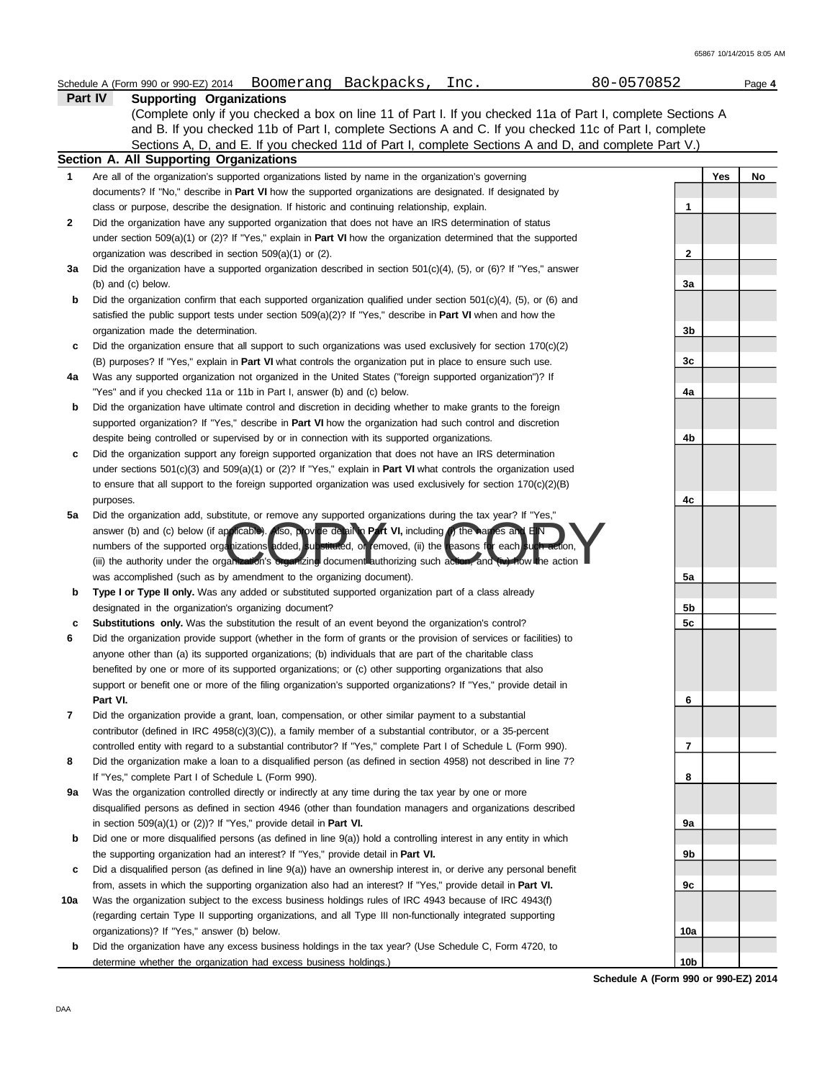|         | Schedule A (Form 990 or 990-EZ) 2014 | Boomerang Backpacks | Inc. | 80-0570852 | Page 4 |
|---------|--------------------------------------|---------------------|------|------------|--------|
| Part IV | <b>Supporting Organizations</b>      |                     |      |            |        |

Sections A, D, and E. If you checked 11d of Part I, complete Sections A and D, and complete Part V.) (Complete only if you checked a box on line 11 of Part I. If you checked 11a of Part I, complete Sections A and B. If you checked 11b of Part I, complete Sections A and C. If you checked 11c of Part I, complete

|     | Section A. All Supporting Organizations                                                                                    |     |     |    |
|-----|----------------------------------------------------------------------------------------------------------------------------|-----|-----|----|
| 1   | Are all of the organization's supported organizations listed by name in the organization's governing                       |     | Yes | No |
|     | documents? If "No," describe in <b>Part VI</b> how the supported organizations are designated. If designated by            |     |     |    |
|     | class or purpose, describe the designation. If historic and continuing relationship, explain.                              | 1   |     |    |
| 2   | Did the organization have any supported organization that does not have an IRS determination of status                     |     |     |    |
|     | under section 509(a)(1) or (2)? If "Yes," explain in <b>Part VI</b> how the organization determined that the supported     |     |     |    |
|     | organization was described in section $509(a)(1)$ or (2).                                                                  | 2   |     |    |
| За  | Did the organization have a supported organization described in section $501(c)(4)$ , (5), or (6)? If "Yes," answer        |     |     |    |
|     | (b) and (c) below.                                                                                                         | 3a  |     |    |
| b   | Did the organization confirm that each supported organization qualified under section $501(c)(4)$ , (5), or (6) and        |     |     |    |
|     | satisfied the public support tests under section $509(a)(2)$ ? If "Yes," describe in <b>Part VI</b> when and how the       |     |     |    |
|     | organization made the determination.                                                                                       | 3b  |     |    |
| c   | Did the organization ensure that all support to such organizations was used exclusively for section $170(c)(2)$            |     |     |    |
|     | (B) purposes? If "Yes," explain in <b>Part VI</b> what controls the organization put in place to ensure such use.          | 3c  |     |    |
| 4a  | Was any supported organization not organized in the United States ("foreign supported organization")? If                   |     |     |    |
|     | "Yes" and if you checked 11a or 11b in Part I, answer (b) and (c) below.                                                   | 4a  |     |    |
| b   | Did the organization have ultimate control and discretion in deciding whether to make grants to the foreign                |     |     |    |
|     | supported organization? If "Yes," describe in Part VI how the organization had such control and discretion                 |     |     |    |
|     | despite being controlled or supervised by or in connection with its supported organizations.                               | 4b  |     |    |
| c   | Did the organization support any foreign supported organization that does not have an IRS determination                    |     |     |    |
|     | under sections $501(c)(3)$ and $509(a)(1)$ or (2)? If "Yes," explain in <b>Part VI</b> what controls the organization used |     |     |    |
|     | to ensure that all support to the foreign supported organization was used exclusively for section $170(c)(2)(B)$           |     |     |    |
|     | purposes.                                                                                                                  | 4c  |     |    |
| 5a  | Did the organization add, substitute, or remove any supported organizations during the tax year? If "Yes,"                 |     |     |    |
|     | answer (b) and (c) below (if applicable). Also, provide detail in Part VI, including (i) the hames and EIN                 |     |     |    |
|     | numbers of the supported organizations added, substituted, or femoved, (ii) the reasons for each such action,              |     |     |    |
|     | (iii) the authority under the organization's organizing document authorizing such action, and (iv) how the action          |     |     |    |
|     | was accomplished (such as by amendment to the organizing document).                                                        | 5a  |     |    |
| b   | Type I or Type II only. Was any added or substituted supported organization part of a class already                        |     |     |    |
|     | designated in the organization's organizing document?                                                                      | 5b  |     |    |
| c   | <b>Substitutions only.</b> Was the substitution the result of an event beyond the organization's control?                  | 5c  |     |    |
| 6   | Did the organization provide support (whether in the form of grants or the provision of services or facilities) to         |     |     |    |
|     | anyone other than (a) its supported organizations; (b) individuals that are part of the charitable class                   |     |     |    |
|     | benefited by one or more of its supported organizations; or (c) other supporting organizations that also                   |     |     |    |
|     | support or benefit one or more of the filing organization's supported organizations? If "Yes," provide detail in           |     |     |    |
|     | Part VI.                                                                                                                   | 6   |     |    |
| 7   | Did the organization provide a grant, loan, compensation, or other similar payment to a substantial                        |     |     |    |
|     | contributor (defined in IRC 4958(c)(3)(C)), a family member of a substantial contributor, or a 35-percent                  |     |     |    |
|     | controlled entity with regard to a substantial contributor? If "Yes," complete Part I of Schedule L (Form 990).            | 7   |     |    |
|     | Did the organization make a loan to a disqualified person (as defined in section 4958) not described in line 7?            |     |     |    |
|     | If "Yes," complete Part I of Schedule L (Form 990).                                                                        | 8   |     |    |
| 9а  | Was the organization controlled directly or indirectly at any time during the tax year by one or more                      |     |     |    |
|     | disqualified persons as defined in section 4946 (other than foundation managers and organizations described                |     |     |    |
|     | in section $509(a)(1)$ or $(2)$ ? If "Yes," provide detail in <b>Part VI.</b>                                              | 9а  |     |    |
| b   | Did one or more disqualified persons (as defined in line $9(a)$ ) hold a controlling interest in any entity in which       |     |     |    |
|     | the supporting organization had an interest? If "Yes," provide detail in <b>Part VI.</b>                                   | 9b  |     |    |
| c   | Did a disqualified person (as defined in line 9(a)) have an ownership interest in, or derive any personal benefit          |     |     |    |
|     | from, assets in which the supporting organization also had an interest? If "Yes," provide detail in Part VI.               | 9c  |     |    |
| 10a | Was the organization subject to the excess business holdings rules of IRC 4943 because of IRC 4943(f)                      |     |     |    |
|     | (regarding certain Type II supporting organizations, and all Type III non-functionally integrated supporting               |     |     |    |
|     | organizations)? If "Yes," answer (b) below.                                                                                | 10a |     |    |
| b   | Did the organization have any excess business holdings in the tax year? (Use Schedule C, Form 4720, to                     |     |     |    |
|     | determine whether the organization had excess business holdings.)                                                          | 10b |     |    |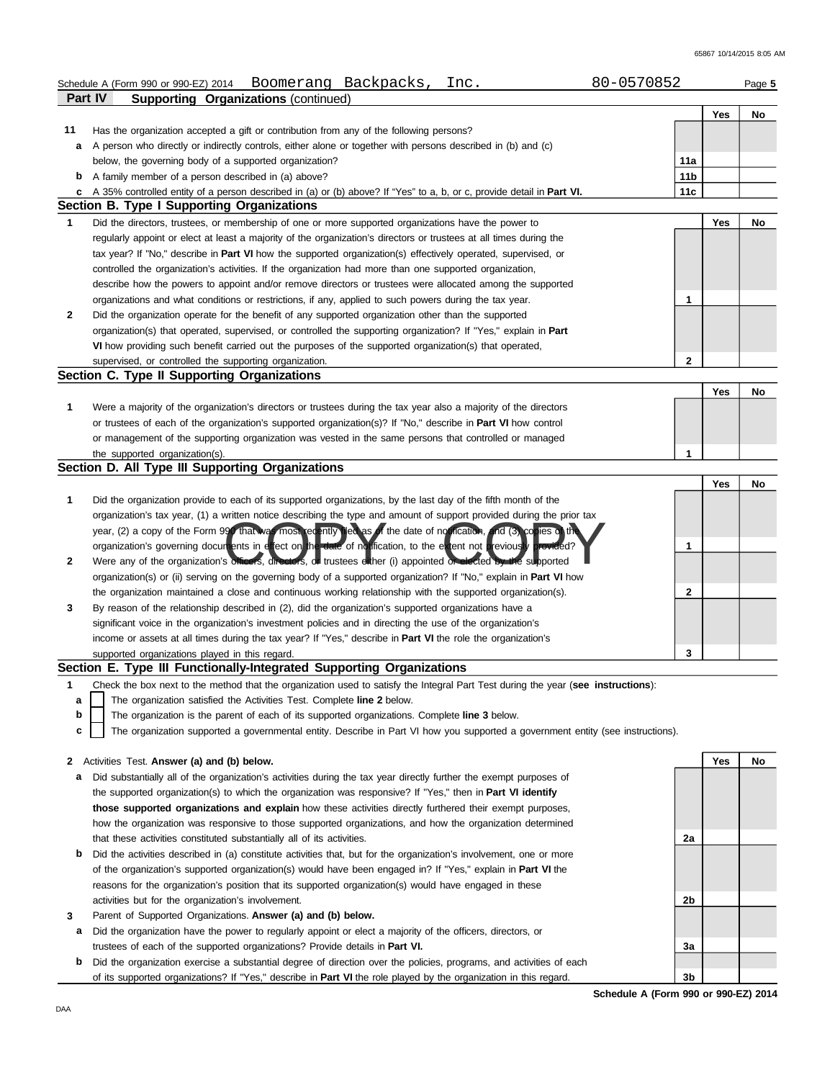|    | 80-0570852<br>Schedule A (Form 990 or 990-EZ) 2014 Boomerang Backpacks,<br>Inc.                                                   |                 |     | Page 5 |
|----|-----------------------------------------------------------------------------------------------------------------------------------|-----------------|-----|--------|
|    | Part IV<br><b>Supporting Organizations (continued)</b>                                                                            |                 |     |        |
|    |                                                                                                                                   |                 | Yes | No     |
| 11 | Has the organization accepted a gift or contribution from any of the following persons?                                           |                 |     |        |
| а  | A person who directly or indirectly controls, either alone or together with persons described in (b) and (c)                      |                 |     |        |
|    | below, the governing body of a supported organization?                                                                            | 11a             |     |        |
|    | <b>b</b> A family member of a person described in (a) above?                                                                      | 11 <sub>b</sub> |     |        |
| с  | A 35% controlled entity of a person described in (a) or (b) above? If "Yes" to a, b, or c, provide detail in Part VI.             | 11c             |     |        |
|    | Section B. Type I Supporting Organizations                                                                                        |                 |     |        |
| 1  | Did the directors, trustees, or membership of one or more supported organizations have the power to                               |                 | Yes | No     |
|    | regularly appoint or elect at least a majority of the organization's directors or trustees at all times during the                |                 |     |        |
|    | tax year? If "No," describe in Part VI how the supported organization(s) effectively operated, supervised, or                     |                 |     |        |
|    | controlled the organization's activities. If the organization had more than one supported organization,                           |                 |     |        |
|    | describe how the powers to appoint and/or remove directors or trustees were allocated among the supported                         |                 |     |        |
|    | organizations and what conditions or restrictions, if any, applied to such powers during the tax year.                            | 1               |     |        |
| 2  | Did the organization operate for the benefit of any supported organization other than the supported                               |                 |     |        |
|    | organization(s) that operated, supervised, or controlled the supporting organization? If "Yes," explain in Part                   |                 |     |        |
|    | VI how providing such benefit carried out the purposes of the supported organization(s) that operated,                            |                 |     |        |
|    | supervised, or controlled the supporting organization.<br>Section C. Type II Supporting Organizations                             | $\overline{2}$  |     |        |
|    |                                                                                                                                   |                 |     |        |
| 1  | Were a majority of the organization's directors or trustees during the tax year also a majority of the directors                  |                 | Yes | No     |
|    |                                                                                                                                   |                 |     |        |
|    | or trustees of each of the organization's supported organization(s)? If "No," describe in Part VI how control                     |                 |     |        |
|    | or management of the supporting organization was vested in the same persons that controlled or managed                            | 1               |     |        |
|    | the supported organization(s).<br>Section D. All Type III Supporting Organizations                                                |                 |     |        |
|    |                                                                                                                                   |                 | Yes | No     |
| 1  | Did the organization provide to each of its supported organizations, by the last day of the fifth month of the                    |                 |     |        |
|    | organization's tax year, (1) a written notice describing the type and amount of support provided during the prior tax             |                 |     |        |
|    | year, (2) a copy of the Form 990 that was most eqently filed as of the date of not fication, and (3) copies of the                |                 |     |        |
|    | organization's governing documents in effect on the date of no ification, to the extent not previously provided?                  | 1               |     |        |
| 2  | Were any of the organization's officers, directors, or trustees either (i) appointed or elected by the supported                  |                 |     |        |
|    | organization(s) or (ii) serving on the governing body of a supported organization? If "No," explain in <b>Part VI</b> how         |                 |     |        |
|    | the organization maintained a close and continuous working relationship with the supported organization(s).                       | $\mathbf{2}$    |     |        |
| 3  | By reason of the relationship described in (2), did the organization's supported organizations have a                             |                 |     |        |
|    | significant voice in the organization's investment policies and in directing the use of the organization's                        |                 |     |        |
|    | income or assets at all times during the tax year? If "Yes," describe in <b>Part VI</b> the role the organization's               |                 |     |        |
|    | supported organizations played in this regard.                                                                                    | 3               |     |        |
|    | Section E. Type III Functionally-Integrated Supporting Organizations                                                              |                 |     |        |
| 1  | Check the box next to the method that the organization used to satisfy the Integral Part Test during the year (see instructions): |                 |     |        |
| а  | The organization satisfied the Activities Test. Complete line 2 below.                                                            |                 |     |        |
| b  | The organization is the parent of each of its supported organizations. Complete line 3 below.                                     |                 |     |        |
| c  | The organization supported a governmental entity. Describe in Part VI how you supported a government entity (see instructions).   |                 |     |        |
|    |                                                                                                                                   |                 |     |        |
| 2  | Activities Test. Answer (a) and (b) below.                                                                                        |                 | Yes | No     |
| а  | Did substantially all of the organization's activities during the tax year directly further the exempt purposes of                |                 |     |        |
|    | the supported organization(s) to which the organization was responsive? If "Yes," then in Part VI identify                        |                 |     |        |
|    | those supported organizations and explain how these activities directly furthered their exempt purposes,                          |                 |     |        |
|    | how the organization was responsive to those supported organizations, and how the organization determined                         |                 |     |        |
|    | that these activities constituted substantially all of its activities.                                                            | 2a              |     |        |
| b  | Did the activities described in (a) constitute activities that, but for the organization's involvement, one or more               |                 |     |        |
|    | of the organization's supported organization(s) would have been engaged in? If "Yes," explain in <b>Part VI</b> the               |                 |     |        |
|    | reasons for the organization's position that its supported organization(s) would have engaged in these                            |                 |     |        |
|    | activities but for the organization's involvement.                                                                                | 2b              |     |        |
| 3  | Parent of Supported Organizations. Answer (a) and (b) below.                                                                      |                 |     |        |
| а  | Did the organization have the power to regularly appoint or elect a majority of the officers, directors, or                       |                 |     |        |
|    | trustees of each of the supported organizations? Provide details in Part VI.                                                      | 3a              |     |        |

**b** Did the organization exercise a substantial degree of direction over the policies, programs, and activities of each of its supported organizations? If "Yes," describe in **Part VI** the role played by the organization in this regard.

**Schedule A (Form 990 or 990-EZ) 2014 3b**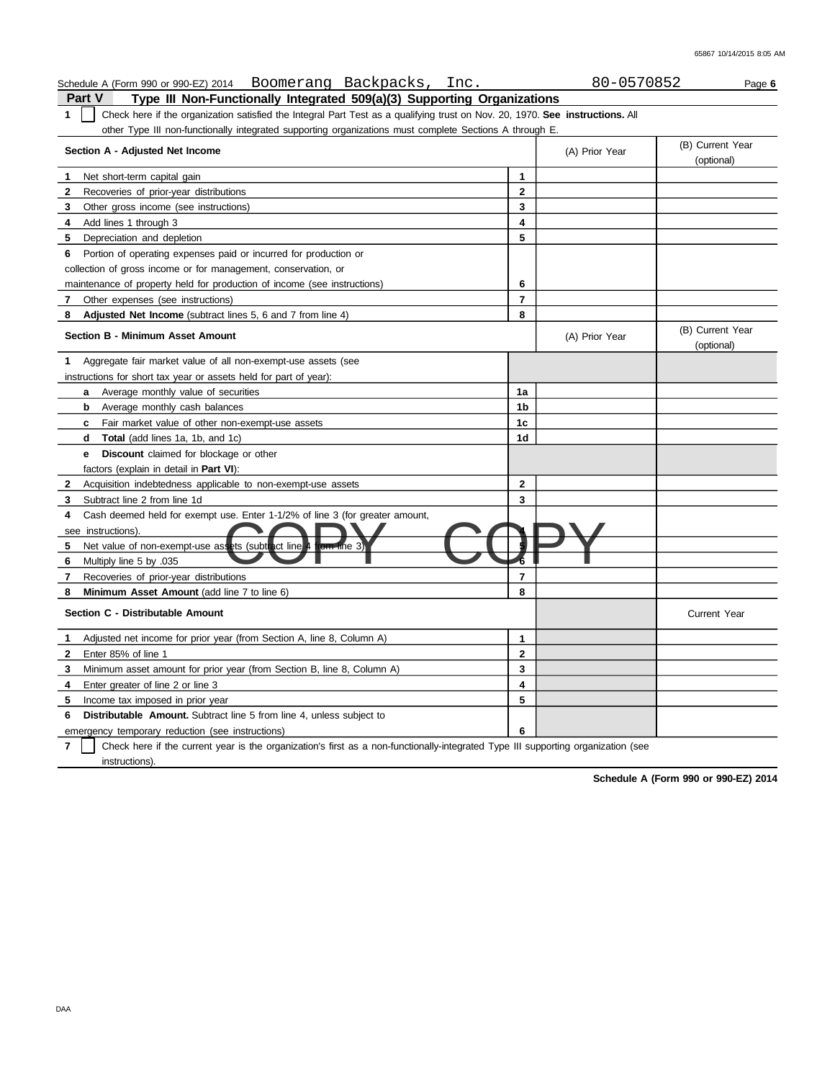| Schedule A (Form 990 or 990-EZ) 2014 Boomerang Backpacks,<br>Inc.                                                                      |                     | 80-0570852     | Page 6                         |
|----------------------------------------------------------------------------------------------------------------------------------------|---------------------|----------------|--------------------------------|
| <b>Part V</b><br>Type III Non-Functionally Integrated 509(a)(3) Supporting Organizations                                               |                     |                |                                |
| Check here if the organization satisfied the Integral Part Test as a qualifying trust on Nov. 20, 1970. See instructions. All<br>1     |                     |                |                                |
| other Type III non-functionally integrated supporting organizations must complete Sections A through E.                                |                     |                |                                |
| Section A - Adjusted Net Income                                                                                                        |                     | (A) Prior Year | (B) Current Year<br>(optional) |
| Net short-term capital gain<br>1                                                                                                       | $\mathbf{1}$        |                |                                |
| 2<br>Recoveries of prior-year distributions                                                                                            | $\mathbf{2}$        |                |                                |
| 3<br>Other gross income (see instructions)                                                                                             | 3                   |                |                                |
| Add lines 1 through 3<br>4                                                                                                             | 4                   |                |                                |
| 5<br>Depreciation and depletion                                                                                                        | 5                   |                |                                |
| Portion of operating expenses paid or incurred for production or<br>6                                                                  |                     |                |                                |
| collection of gross income or for management, conservation, or                                                                         |                     |                |                                |
| maintenance of property held for production of income (see instructions)                                                               | 6                   |                |                                |
| Other expenses (see instructions)<br>7                                                                                                 | $\overline{7}$      |                |                                |
| Adjusted Net Income (subtract lines 5, 6 and 7 from line 4)<br>8                                                                       | 8                   |                |                                |
| <b>Section B - Minimum Asset Amount</b>                                                                                                |                     | (A) Prior Year | (B) Current Year<br>(optional) |
| Aggregate fair market value of all non-exempt-use assets (see<br>1.                                                                    |                     |                |                                |
| instructions for short tax year or assets held for part of year):                                                                      |                     |                |                                |
| Average monthly value of securities<br>a                                                                                               | 1a                  |                |                                |
| Average monthly cash balances<br>b                                                                                                     | 1b                  |                |                                |
| Fair market value of other non-exempt-use assets<br>C.                                                                                 | 1c                  |                |                                |
| <b>Total</b> (add lines 1a, 1b, and 1c)<br>d                                                                                           | 1 <sub>d</sub>      |                |                                |
| <b>Discount</b> claimed for blockage or other<br>е                                                                                     |                     |                |                                |
| factors (explain in detail in <b>Part VI)</b> :                                                                                        |                     |                |                                |
| 2<br>Acquisition indebtedness applicable to non-exempt-use assets                                                                      | $\overline{2}$      |                |                                |
| Subtract line 2 from line 1d<br>3                                                                                                      | 3                   |                |                                |
| Cash deemed held for exempt use. Enter 1-1/2% of line 3 (for greater amount,<br>4                                                      |                     |                |                                |
| see instructions).                                                                                                                     |                     |                |                                |
| rom tine 3)<br>5<br>Net value of non-exempt-use assets (subtract line)                                                                 |                     |                |                                |
| Multiply line 5 by .035<br>6                                                                                                           |                     |                |                                |
| 7<br>Recoveries of prior-year distributions                                                                                            | $\overline{7}$      |                |                                |
| Minimum Asset Amount (add line 7 to line 6)<br>8                                                                                       | 8                   |                |                                |
| Section C - Distributable Amount                                                                                                       |                     |                | <b>Current Year</b>            |
| Adjusted net income for prior year (from Section A, line 8, Column A)<br>1                                                             | 1                   |                |                                |
| Enter 85% of line 1<br>2                                                                                                               | $\overline{2}$      |                |                                |
| Minimum asset amount for prior year (from Section B, line 8, Column A)<br>3                                                            | 3                   |                |                                |
| Enter greater of line 2 or line 3<br>4                                                                                                 | $\overline{\bf{4}}$ |                |                                |
| 5<br>Income tax imposed in prior year                                                                                                  | 5                   |                |                                |
| <b>Distributable Amount.</b> Subtract line 5 from line 4, unless subject to<br>6                                                       |                     |                |                                |
| emergency temporary reduction (see instructions)                                                                                       | 6                   |                |                                |
| 7<br>Check here if the current year is the organization's first as a non-functionally-integrated Type III supporting organization (see |                     |                |                                |
| instructions).                                                                                                                         |                     |                |                                |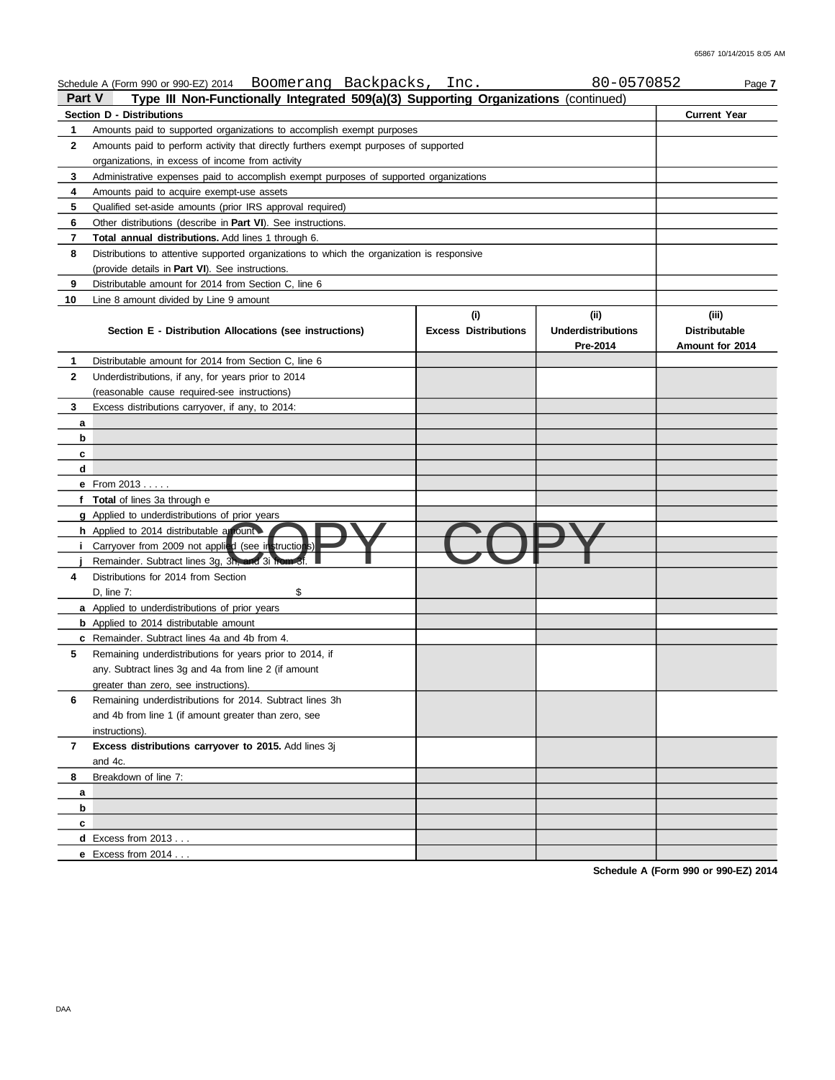|                | Schedule A (Form 990 or 990-EZ) 2014 Boomerang Backpacks,                                               | Inc.                        | 80-0570852                | Page 7               |  |  |  |  |  |  |  |  |
|----------------|---------------------------------------------------------------------------------------------------------|-----------------------------|---------------------------|----------------------|--|--|--|--|--|--|--|--|
| Part V         | Type III Non-Functionally Integrated 509(a)(3) Supporting Organizations (continued)                     |                             |                           |                      |  |  |  |  |  |  |  |  |
|                | <b>Section D - Distributions</b>                                                                        |                             |                           | <b>Current Year</b>  |  |  |  |  |  |  |  |  |
| 1              | Amounts paid to supported organizations to accomplish exempt purposes                                   |                             |                           |                      |  |  |  |  |  |  |  |  |
| $\mathbf{2}$   | Amounts paid to perform activity that directly furthers exempt purposes of supported                    |                             |                           |                      |  |  |  |  |  |  |  |  |
|                | organizations, in excess of income from activity                                                        |                             |                           |                      |  |  |  |  |  |  |  |  |
| 3              | Administrative expenses paid to accomplish exempt purposes of supported organizations                   |                             |                           |                      |  |  |  |  |  |  |  |  |
| 4              | Amounts paid to acquire exempt-use assets                                                               |                             |                           |                      |  |  |  |  |  |  |  |  |
| 5              | Qualified set-aside amounts (prior IRS approval required)                                               |                             |                           |                      |  |  |  |  |  |  |  |  |
| 6              | Other distributions (describe in Part VI). See instructions.                                            |                             |                           |                      |  |  |  |  |  |  |  |  |
| $\overline{7}$ | <b>Total annual distributions.</b> Add lines 1 through 6.                                               |                             |                           |                      |  |  |  |  |  |  |  |  |
| 8              | Distributions to attentive supported organizations to which the organization is responsive              |                             |                           |                      |  |  |  |  |  |  |  |  |
|                | (provide details in <b>Part VI</b> ). See instructions.                                                 |                             |                           |                      |  |  |  |  |  |  |  |  |
| 9              | Distributable amount for 2014 from Section C, line 6                                                    |                             |                           |                      |  |  |  |  |  |  |  |  |
| 10             | Line 8 amount divided by Line 9 amount                                                                  |                             |                           |                      |  |  |  |  |  |  |  |  |
|                |                                                                                                         | (i)                         | (ii)                      | (iii)                |  |  |  |  |  |  |  |  |
|                | Section E - Distribution Allocations (see instructions)                                                 | <b>Excess Distributions</b> | <b>Underdistributions</b> | <b>Distributable</b> |  |  |  |  |  |  |  |  |
|                |                                                                                                         |                             | Pre-2014                  | Amount for 2014      |  |  |  |  |  |  |  |  |
| 1              | Distributable amount for 2014 from Section C, line 6                                                    |                             |                           |                      |  |  |  |  |  |  |  |  |
| $\mathbf{2}$   | Underdistributions, if any, for years prior to 2014                                                     |                             |                           |                      |  |  |  |  |  |  |  |  |
|                | (reasonable cause required-see instructions)                                                            |                             |                           |                      |  |  |  |  |  |  |  |  |
| 3              | Excess distributions carryover, if any, to 2014:                                                        |                             |                           |                      |  |  |  |  |  |  |  |  |
| а              |                                                                                                         |                             |                           |                      |  |  |  |  |  |  |  |  |
| b              |                                                                                                         |                             |                           |                      |  |  |  |  |  |  |  |  |
| c              |                                                                                                         |                             |                           |                      |  |  |  |  |  |  |  |  |
| d              |                                                                                                         |                             |                           |                      |  |  |  |  |  |  |  |  |
|                | <b>e</b> From $2013$                                                                                    |                             |                           |                      |  |  |  |  |  |  |  |  |
|                | f Total of lines 3a through e                                                                           |                             |                           |                      |  |  |  |  |  |  |  |  |
|                | <b>g</b> Applied to underdistributions of prior years                                                   |                             |                           |                      |  |  |  |  |  |  |  |  |
|                | h Applied to 2014 distributable amount                                                                  |                             |                           |                      |  |  |  |  |  |  |  |  |
| Ť.             | Carryover from 2009 not applied (see instructions)<br>Remainder. Subtract lines 3g, 3h, and 3i from 3f. |                             |                           |                      |  |  |  |  |  |  |  |  |
| 4              | Distributions for 2014 from Section                                                                     |                             |                           |                      |  |  |  |  |  |  |  |  |
|                | \$<br>D, line 7:                                                                                        |                             |                           |                      |  |  |  |  |  |  |  |  |
|                | a Applied to underdistributions of prior years                                                          |                             |                           |                      |  |  |  |  |  |  |  |  |
|                | <b>b</b> Applied to 2014 distributable amount                                                           |                             |                           |                      |  |  |  |  |  |  |  |  |
|                | c Remainder. Subtract lines 4a and 4b from 4.                                                           |                             |                           |                      |  |  |  |  |  |  |  |  |
| 5              | Remaining underdistributions for years prior to 2014, if                                                |                             |                           |                      |  |  |  |  |  |  |  |  |
|                | any. Subtract lines 3g and 4a from line 2 (if amount                                                    |                             |                           |                      |  |  |  |  |  |  |  |  |
|                | greater than zero, see instructions).                                                                   |                             |                           |                      |  |  |  |  |  |  |  |  |
| 6              | Remaining underdistributions for 2014. Subtract lines 3h                                                |                             |                           |                      |  |  |  |  |  |  |  |  |
|                | and 4b from line 1 (if amount greater than zero, see                                                    |                             |                           |                      |  |  |  |  |  |  |  |  |
|                | instructions).                                                                                          |                             |                           |                      |  |  |  |  |  |  |  |  |
| $\mathbf{7}$   | Excess distributions carryover to 2015. Add lines 3j                                                    |                             |                           |                      |  |  |  |  |  |  |  |  |
|                | and 4c.                                                                                                 |                             |                           |                      |  |  |  |  |  |  |  |  |
| 8              | Breakdown of line 7:                                                                                    |                             |                           |                      |  |  |  |  |  |  |  |  |
| a              |                                                                                                         |                             |                           |                      |  |  |  |  |  |  |  |  |
| b              |                                                                                                         |                             |                           |                      |  |  |  |  |  |  |  |  |
| c              |                                                                                                         |                             |                           |                      |  |  |  |  |  |  |  |  |
|                | <b>d</b> Excess from $2013$                                                                             |                             |                           |                      |  |  |  |  |  |  |  |  |
|                | <b>e</b> Excess from $2014$                                                                             |                             |                           |                      |  |  |  |  |  |  |  |  |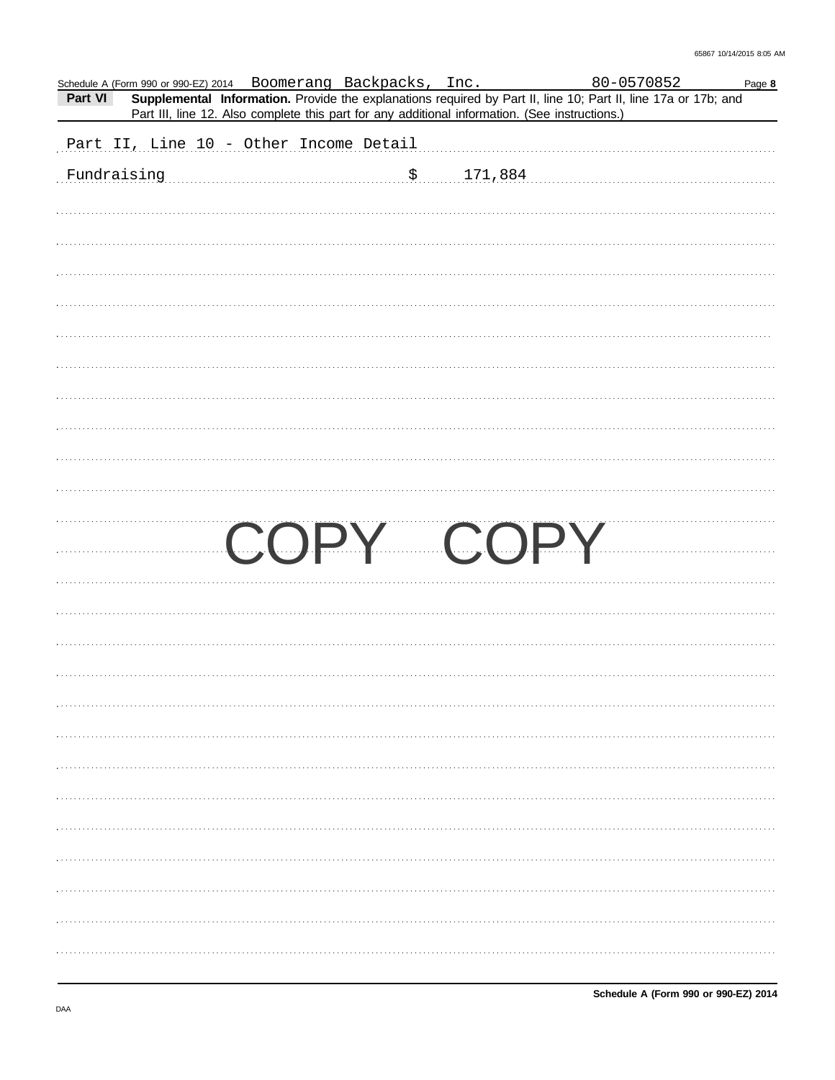| Part VI     | Schedule A (Form 990 or 990-EZ) 2014 Boomerang Backpacks, Inc.                                 |  | 80-0570852<br>Supplemental Information. Provide the explanations required by Part II, line 10; Part II, line 17a or 17b; and | Page 8 |
|-------------|------------------------------------------------------------------------------------------------|--|------------------------------------------------------------------------------------------------------------------------------|--------|
|             | Part III, line 12. Also complete this part for any additional information. (See instructions.) |  |                                                                                                                              |        |
|             | Part II, Line 10 - Other Income Detail                                                         |  |                                                                                                                              |        |
| Fundraising | $\frac{171,884}{171,884}$                                                                      |  |                                                                                                                              |        |
|             |                                                                                                |  |                                                                                                                              |        |
|             |                                                                                                |  |                                                                                                                              |        |
|             |                                                                                                |  |                                                                                                                              |        |
|             |                                                                                                |  |                                                                                                                              |        |
|             |                                                                                                |  |                                                                                                                              |        |
|             |                                                                                                |  |                                                                                                                              |        |
|             |                                                                                                |  |                                                                                                                              |        |
|             |                                                                                                |  |                                                                                                                              |        |
|             |                                                                                                |  |                                                                                                                              |        |
|             |                                                                                                |  |                                                                                                                              |        |
|             |                                                                                                |  |                                                                                                                              |        |
|             |                                                                                                |  | COPY COPY                                                                                                                    |        |
|             |                                                                                                |  |                                                                                                                              |        |
|             |                                                                                                |  |                                                                                                                              |        |
|             |                                                                                                |  |                                                                                                                              |        |
|             |                                                                                                |  |                                                                                                                              |        |
|             |                                                                                                |  |                                                                                                                              |        |
|             |                                                                                                |  |                                                                                                                              |        |
|             |                                                                                                |  |                                                                                                                              |        |
|             |                                                                                                |  |                                                                                                                              |        |
|             |                                                                                                |  |                                                                                                                              |        |
|             |                                                                                                |  |                                                                                                                              |        |
|             |                                                                                                |  |                                                                                                                              |        |
|             |                                                                                                |  |                                                                                                                              |        |
|             |                                                                                                |  |                                                                                                                              |        |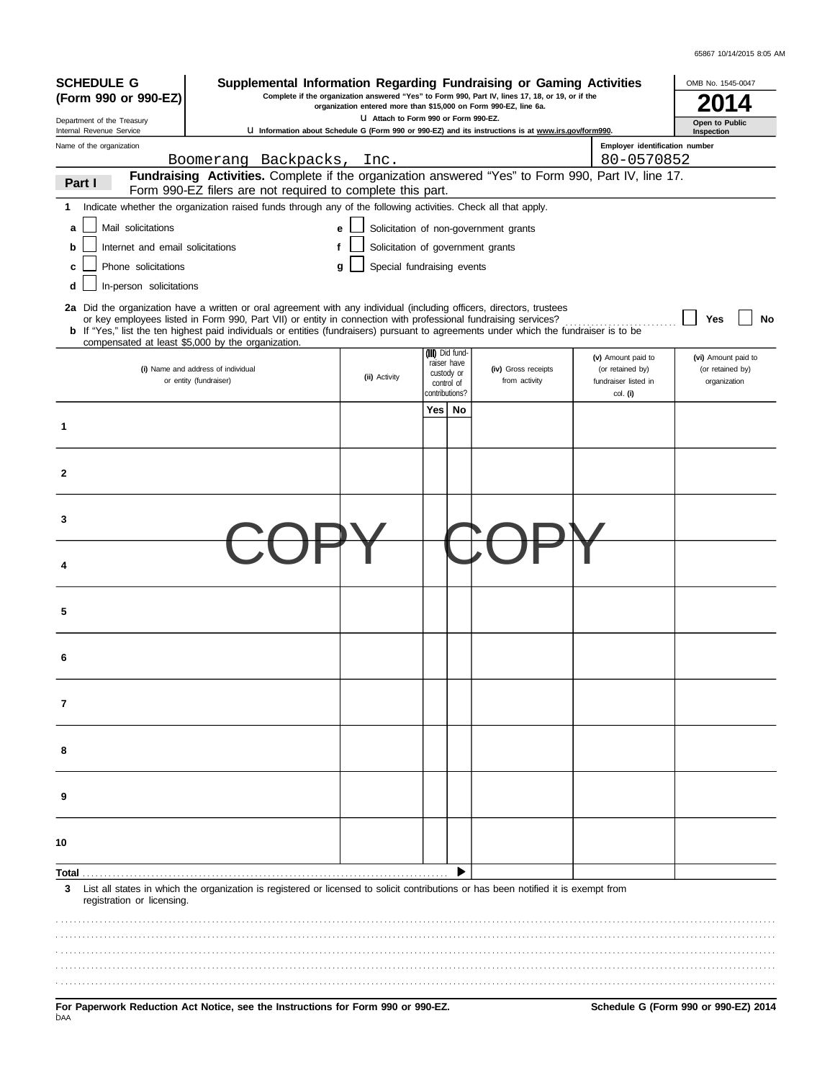| <b>SCHEDULE G</b><br>Supplemental Information Regarding Fundraising or Gaming Activities<br>Complete if the organization answered "Yes" to Form 990, Part IV, lines 17, 18, or 19, or if the<br>(Form 990 or 990-EZ)<br>organization entered more than \$15,000 on Form 990-EZ, line 6a. |                                                                                                                                                                                                                                                                                                                                                                                                                                               |                                      |                                                            |                                                                                                     | OMB No. 1545-0047                                              |                                                         |
|------------------------------------------------------------------------------------------------------------------------------------------------------------------------------------------------------------------------------------------------------------------------------------------|-----------------------------------------------------------------------------------------------------------------------------------------------------------------------------------------------------------------------------------------------------------------------------------------------------------------------------------------------------------------------------------------------------------------------------------------------|--------------------------------------|------------------------------------------------------------|-----------------------------------------------------------------------------------------------------|----------------------------------------------------------------|---------------------------------------------------------|
| Department of the Treasury                                                                                                                                                                                                                                                               |                                                                                                                                                                                                                                                                                                                                                                                                                                               | U Attach to Form 990 or Form 990-EZ. |                                                            |                                                                                                     |                                                                | Open to Public                                          |
| Internal Revenue Service<br>Name of the organization                                                                                                                                                                                                                                     |                                                                                                                                                                                                                                                                                                                                                                                                                                               |                                      |                                                            | U Information about Schedule G (Form 990 or 990-EZ) and its instructions is at www.irs.gov/form990. | Employer identification number                                 | Inspection                                              |
|                                                                                                                                                                                                                                                                                          | Boomerang Backpacks, Inc.                                                                                                                                                                                                                                                                                                                                                                                                                     |                                      |                                                            |                                                                                                     | 80-0570852                                                     |                                                         |
| Part I                                                                                                                                                                                                                                                                                   | Fundraising Activities. Complete if the organization answered "Yes" to Form 990, Part IV, line 17.<br>Form 990-EZ filers are not required to complete this part.                                                                                                                                                                                                                                                                              |                                      |                                                            |                                                                                                     |                                                                |                                                         |
| 1                                                                                                                                                                                                                                                                                        | Indicate whether the organization raised funds through any of the following activities. Check all that apply.                                                                                                                                                                                                                                                                                                                                 |                                      |                                                            |                                                                                                     |                                                                |                                                         |
| Mail solicitations<br>a                                                                                                                                                                                                                                                                  |                                                                                                                                                                                                                                                                                                                                                                                                                                               | е                                    |                                                            | Solicitation of non-government grants                                                               |                                                                |                                                         |
| Internet and email solicitations<br>b                                                                                                                                                                                                                                                    | f                                                                                                                                                                                                                                                                                                                                                                                                                                             |                                      | Solicitation of government grants                          |                                                                                                     |                                                                |                                                         |
| Phone solicitations                                                                                                                                                                                                                                                                      |                                                                                                                                                                                                                                                                                                                                                                                                                                               | g                                    | Special fundraising events                                 |                                                                                                     |                                                                |                                                         |
| In-person solicitations<br>d                                                                                                                                                                                                                                                             |                                                                                                                                                                                                                                                                                                                                                                                                                                               |                                      |                                                            |                                                                                                     |                                                                |                                                         |
|                                                                                                                                                                                                                                                                                          | 2a Did the organization have a written or oral agreement with any individual (including officers, directors, trustees<br>or key employees listed in Form 990, Part VII) or entity in connection with professional fundraising services?<br><b>b</b> If "Yes," list the ten highest paid individuals or entities (fundraisers) pursuant to agreements under which the fundraiser is to be<br>compensated at least \$5,000 by the organization. |                                      |                                                            |                                                                                                     |                                                                | <b>No</b><br>Yes                                        |
|                                                                                                                                                                                                                                                                                          | (i) Name and address of individual<br>or entity (fundraiser)                                                                                                                                                                                                                                                                                                                                                                                  | (ii) Activity                        | (iii) Did fund-<br>raiser have<br>custody or<br>control of | (iv) Gross receipts<br>from activity                                                                | (v) Amount paid to<br>(or retained by)<br>fundraiser listed in | (vi) Amount paid to<br>(or retained by)<br>organization |
| 1                                                                                                                                                                                                                                                                                        |                                                                                                                                                                                                                                                                                                                                                                                                                                               |                                      | contributions?<br>Yes  <br>No                              |                                                                                                     | col. (i)                                                       |                                                         |
|                                                                                                                                                                                                                                                                                          |                                                                                                                                                                                                                                                                                                                                                                                                                                               |                                      |                                                            |                                                                                                     |                                                                |                                                         |
| 2                                                                                                                                                                                                                                                                                        |                                                                                                                                                                                                                                                                                                                                                                                                                                               |                                      |                                                            |                                                                                                     |                                                                |                                                         |
| 3                                                                                                                                                                                                                                                                                        |                                                                                                                                                                                                                                                                                                                                                                                                                                               |                                      |                                                            |                                                                                                     |                                                                |                                                         |
|                                                                                                                                                                                                                                                                                          |                                                                                                                                                                                                                                                                                                                                                                                                                                               |                                      |                                                            |                                                                                                     |                                                                |                                                         |
| 5                                                                                                                                                                                                                                                                                        |                                                                                                                                                                                                                                                                                                                                                                                                                                               |                                      |                                                            |                                                                                                     |                                                                |                                                         |
| 6                                                                                                                                                                                                                                                                                        |                                                                                                                                                                                                                                                                                                                                                                                                                                               |                                      |                                                            |                                                                                                     |                                                                |                                                         |
| 7                                                                                                                                                                                                                                                                                        |                                                                                                                                                                                                                                                                                                                                                                                                                                               |                                      |                                                            |                                                                                                     |                                                                |                                                         |
| 8                                                                                                                                                                                                                                                                                        |                                                                                                                                                                                                                                                                                                                                                                                                                                               |                                      |                                                            |                                                                                                     |                                                                |                                                         |
| 9                                                                                                                                                                                                                                                                                        |                                                                                                                                                                                                                                                                                                                                                                                                                                               |                                      |                                                            |                                                                                                     |                                                                |                                                         |
| 10                                                                                                                                                                                                                                                                                       |                                                                                                                                                                                                                                                                                                                                                                                                                                               |                                      |                                                            |                                                                                                     |                                                                |                                                         |
| Total<br>List all states in which the organization is registered or licensed to solicit contributions or has been notified it is exempt from<br>3<br>registration or licensing.                                                                                                          |                                                                                                                                                                                                                                                                                                                                                                                                                                               |                                      |                                                            |                                                                                                     |                                                                |                                                         |
|                                                                                                                                                                                                                                                                                          |                                                                                                                                                                                                                                                                                                                                                                                                                                               |                                      |                                                            |                                                                                                     |                                                                |                                                         |
|                                                                                                                                                                                                                                                                                          |                                                                                                                                                                                                                                                                                                                                                                                                                                               |                                      |                                                            |                                                                                                     |                                                                |                                                         |
|                                                                                                                                                                                                                                                                                          |                                                                                                                                                                                                                                                                                                                                                                                                                                               |                                      |                                                            |                                                                                                     |                                                                |                                                         |
|                                                                                                                                                                                                                                                                                          |                                                                                                                                                                                                                                                                                                                                                                                                                                               |                                      |                                                            |                                                                                                     |                                                                |                                                         |

For Paperwork Reduction Act Notice, see the Instructions for Form 990 or 990-EZ. Schedule G (Form 990 or 990-EZ) 2014<br><sub>DAA</sub>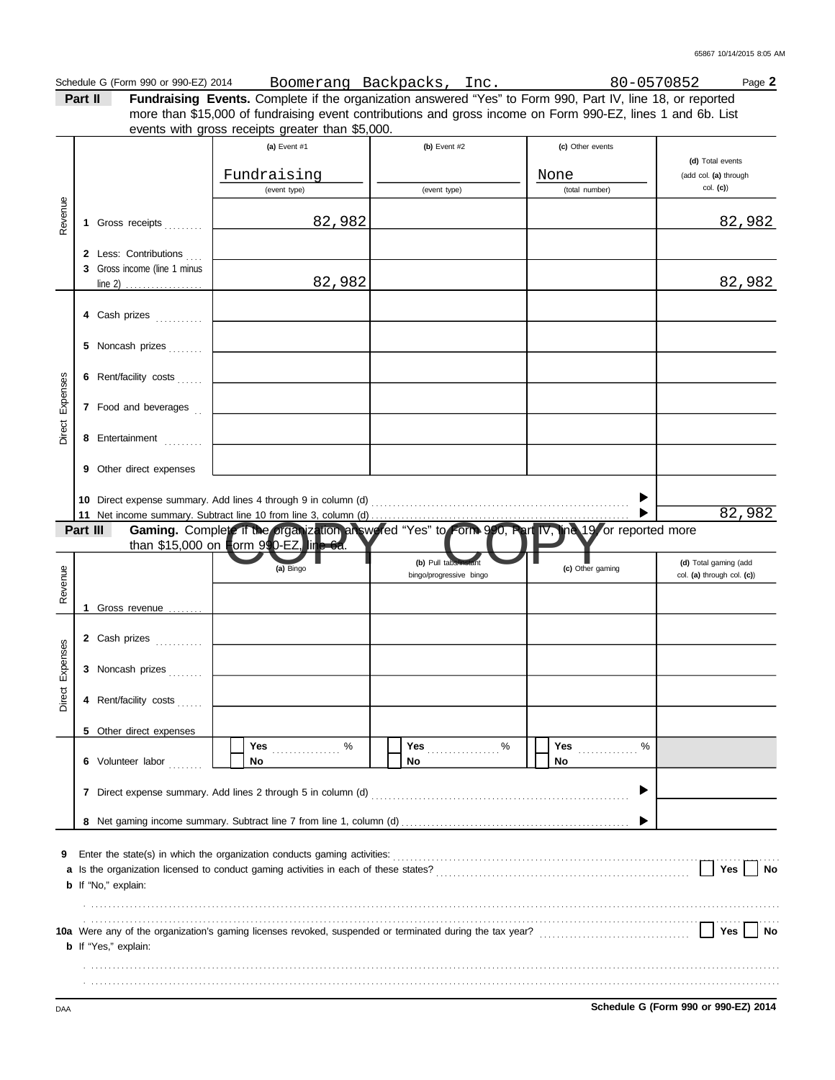|                             |                                                                                                                                                                                                                                                     | Boomerang Backpacks, Inc.                                                                                                  | 80-0570852                                                                | Page 2                                                                                                                                                                                                                                                                                                                                                                                           |
|-----------------------------|-----------------------------------------------------------------------------------------------------------------------------------------------------------------------------------------------------------------------------------------------------|----------------------------------------------------------------------------------------------------------------------------|---------------------------------------------------------------------------|--------------------------------------------------------------------------------------------------------------------------------------------------------------------------------------------------------------------------------------------------------------------------------------------------------------------------------------------------------------------------------------------------|
| Part II                     |                                                                                                                                                                                                                                                     |                                                                                                                            |                                                                           |                                                                                                                                                                                                                                                                                                                                                                                                  |
|                             |                                                                                                                                                                                                                                                     |                                                                                                                            |                                                                           |                                                                                                                                                                                                                                                                                                                                                                                                  |
|                             |                                                                                                                                                                                                                                                     |                                                                                                                            |                                                                           |                                                                                                                                                                                                                                                                                                                                                                                                  |
|                             |                                                                                                                                                                                                                                                     |                                                                                                                            |                                                                           | (d) Total events                                                                                                                                                                                                                                                                                                                                                                                 |
|                             |                                                                                                                                                                                                                                                     |                                                                                                                            | None                                                                      | (add col. (a) through                                                                                                                                                                                                                                                                                                                                                                            |
|                             | (event type)                                                                                                                                                                                                                                        | (event type)                                                                                                               | (total number)                                                            | col. (c)                                                                                                                                                                                                                                                                                                                                                                                         |
|                             |                                                                                                                                                                                                                                                     |                                                                                                                            |                                                                           |                                                                                                                                                                                                                                                                                                                                                                                                  |
| Gross receipts<br>1.        |                                                                                                                                                                                                                                                     |                                                                                                                            |                                                                           | 82,982                                                                                                                                                                                                                                                                                                                                                                                           |
|                             |                                                                                                                                                                                                                                                     |                                                                                                                            |                                                                           |                                                                                                                                                                                                                                                                                                                                                                                                  |
|                             |                                                                                                                                                                                                                                                     |                                                                                                                            |                                                                           |                                                                                                                                                                                                                                                                                                                                                                                                  |
|                             |                                                                                                                                                                                                                                                     |                                                                                                                            |                                                                           | 82,982                                                                                                                                                                                                                                                                                                                                                                                           |
|                             |                                                                                                                                                                                                                                                     |                                                                                                                            |                                                                           |                                                                                                                                                                                                                                                                                                                                                                                                  |
|                             |                                                                                                                                                                                                                                                     |                                                                                                                            |                                                                           |                                                                                                                                                                                                                                                                                                                                                                                                  |
|                             |                                                                                                                                                                                                                                                     |                                                                                                                            |                                                                           |                                                                                                                                                                                                                                                                                                                                                                                                  |
|                             |                                                                                                                                                                                                                                                     |                                                                                                                            |                                                                           |                                                                                                                                                                                                                                                                                                                                                                                                  |
|                             |                                                                                                                                                                                                                                                     |                                                                                                                            |                                                                           |                                                                                                                                                                                                                                                                                                                                                                                                  |
|                             |                                                                                                                                                                                                                                                     |                                                                                                                            |                                                                           |                                                                                                                                                                                                                                                                                                                                                                                                  |
|                             |                                                                                                                                                                                                                                                     |                                                                                                                            |                                                                           |                                                                                                                                                                                                                                                                                                                                                                                                  |
|                             |                                                                                                                                                                                                                                                     |                                                                                                                            |                                                                           |                                                                                                                                                                                                                                                                                                                                                                                                  |
|                             |                                                                                                                                                                                                                                                     |                                                                                                                            |                                                                           |                                                                                                                                                                                                                                                                                                                                                                                                  |
|                             |                                                                                                                                                                                                                                                     |                                                                                                                            |                                                                           |                                                                                                                                                                                                                                                                                                                                                                                                  |
| 9 Other direct expenses     |                                                                                                                                                                                                                                                     |                                                                                                                            |                                                                           |                                                                                                                                                                                                                                                                                                                                                                                                  |
|                             |                                                                                                                                                                                                                                                     |                                                                                                                            |                                                                           |                                                                                                                                                                                                                                                                                                                                                                                                  |
|                             |                                                                                                                                                                                                                                                     |                                                                                                                            |                                                                           | 82,982                                                                                                                                                                                                                                                                                                                                                                                           |
|                             |                                                                                                                                                                                                                                                     |                                                                                                                            |                                                                           |                                                                                                                                                                                                                                                                                                                                                                                                  |
|                             |                                                                                                                                                                                                                                                     |                                                                                                                            |                                                                           |                                                                                                                                                                                                                                                                                                                                                                                                  |
|                             |                                                                                                                                                                                                                                                     | (b) Pull tabs/in                                                                                                           |                                                                           | (d) Total gaming (add                                                                                                                                                                                                                                                                                                                                                                            |
|                             |                                                                                                                                                                                                                                                     | bingo/progressive bingo                                                                                                    |                                                                           | col. (a) through col. (c))                                                                                                                                                                                                                                                                                                                                                                       |
|                             |                                                                                                                                                                                                                                                     |                                                                                                                            |                                                                           |                                                                                                                                                                                                                                                                                                                                                                                                  |
| 1.                          |                                                                                                                                                                                                                                                     |                                                                                                                            |                                                                           |                                                                                                                                                                                                                                                                                                                                                                                                  |
|                             |                                                                                                                                                                                                                                                     |                                                                                                                            |                                                                           |                                                                                                                                                                                                                                                                                                                                                                                                  |
|                             |                                                                                                                                                                                                                                                     |                                                                                                                            |                                                                           |                                                                                                                                                                                                                                                                                                                                                                                                  |
|                             |                                                                                                                                                                                                                                                     |                                                                                                                            |                                                                           |                                                                                                                                                                                                                                                                                                                                                                                                  |
|                             |                                                                                                                                                                                                                                                     |                                                                                                                            |                                                                           |                                                                                                                                                                                                                                                                                                                                                                                                  |
| Rent/facility costs<br>4    |                                                                                                                                                                                                                                                     |                                                                                                                            |                                                                           |                                                                                                                                                                                                                                                                                                                                                                                                  |
|                             |                                                                                                                                                                                                                                                     |                                                                                                                            |                                                                           |                                                                                                                                                                                                                                                                                                                                                                                                  |
|                             |                                                                                                                                                                                                                                                     |                                                                                                                            |                                                                           |                                                                                                                                                                                                                                                                                                                                                                                                  |
| 6 Volunteer labor           | No                                                                                                                                                                                                                                                  | No                                                                                                                         | No                                                                        |                                                                                                                                                                                                                                                                                                                                                                                                  |
|                             |                                                                                                                                                                                                                                                     |                                                                                                                            |                                                                           |                                                                                                                                                                                                                                                                                                                                                                                                  |
|                             |                                                                                                                                                                                                                                                     |                                                                                                                            |                                                                           |                                                                                                                                                                                                                                                                                                                                                                                                  |
|                             |                                                                                                                                                                                                                                                     |                                                                                                                            | ▶                                                                         |                                                                                                                                                                                                                                                                                                                                                                                                  |
|                             |                                                                                                                                                                                                                                                     |                                                                                                                            |                                                                           |                                                                                                                                                                                                                                                                                                                                                                                                  |
| 8                           |                                                                                                                                                                                                                                                     |                                                                                                                            |                                                                           |                                                                                                                                                                                                                                                                                                                                                                                                  |
|                             |                                                                                                                                                                                                                                                     |                                                                                                                            |                                                                           |                                                                                                                                                                                                                                                                                                                                                                                                  |
|                             | Enter the state(s) in which the organization conducts gaming activities:                                                                                                                                                                            |                                                                                                                            |                                                                           |                                                                                                                                                                                                                                                                                                                                                                                                  |
|                             |                                                                                                                                                                                                                                                     |                                                                                                                            |                                                                           | Yes                                                                                                                                                                                                                                                                                                                                                                                              |
| <b>b</b> If "No," explain:  |                                                                                                                                                                                                                                                     |                                                                                                                            |                                                                           |                                                                                                                                                                                                                                                                                                                                                                                                  |
|                             |                                                                                                                                                                                                                                                     |                                                                                                                            |                                                                           |                                                                                                                                                                                                                                                                                                                                                                                                  |
|                             |                                                                                                                                                                                                                                                     |                                                                                                                            |                                                                           | Yes                                                                                                                                                                                                                                                                                                                                                                                              |
| <b>b</b> If "Yes," explain: |                                                                                                                                                                                                                                                     |                                                                                                                            |                                                                           |                                                                                                                                                                                                                                                                                                                                                                                                  |
|                             |                                                                                                                                                                                                                                                     |                                                                                                                            |                                                                           | No<br>No                                                                                                                                                                                                                                                                                                                                                                                         |
|                             | 2 Less: Contributions<br>3 Gross income (line 1 minus<br>5 Noncash prizes<br>Rent/facility costs<br>6<br>7 Food and beverages<br>8 Entertainment<br>11<br>Part III<br>Gross revenue<br>2 Cash prizes<br>3 Noncash prizes<br>5 Other direct expenses | (a) Event #1<br>Fundraising<br>82,982<br>82,982<br>4 Cash prizes<br>than \$15,000 on Form 990-EZ, $\ln 5$ 6a.<br>(a) Bingo | events with gross receipts greater than \$5,000.<br>(b) Event #2<br>Yes % | Fundraising Events. Complete if the organization answered "Yes" to Form 990, Part IV, line 18, or reported<br>more than \$15,000 of fundraising event contributions and gross income on Form 990-EZ, lines 1 and 6b. List<br>(c) Other events<br>Gaming. Complete if the prganization answered "Yes" to Form 990, Part IV, the 19 or reported more<br>(c) Other gaming<br>%<br>Yes <b>Market</b> |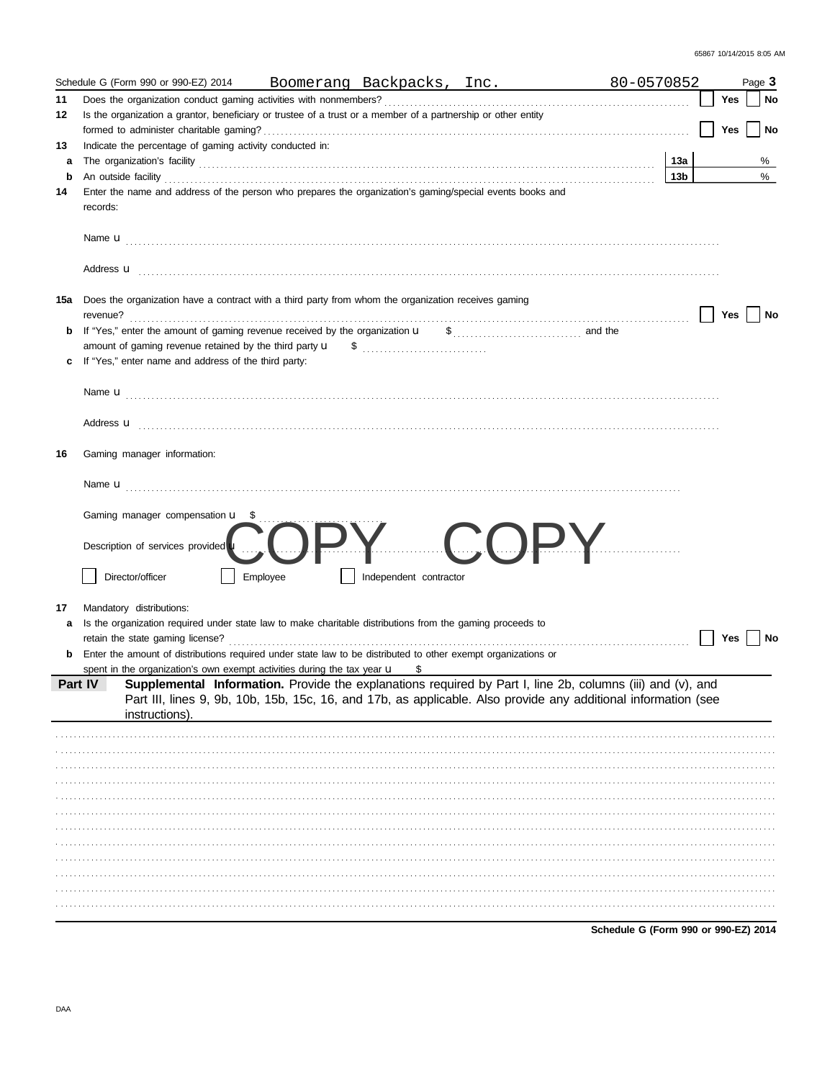|    | Schedule G (Form 990 or 990-EZ) 2014 Boomerang Backpacks, Inc.                                                                                                                                       | 80-0570852      |     | Page 3 |      |
|----|------------------------------------------------------------------------------------------------------------------------------------------------------------------------------------------------------|-----------------|-----|--------|------|
| 11 |                                                                                                                                                                                                      |                 | Yes |        | No   |
| 12 | Is the organization a grantor, beneficiary or trustee of a trust or a member of a partnership or other entity                                                                                        |                 |     |        |      |
|    |                                                                                                                                                                                                      |                 | Yes |        | No   |
| 13 | Indicate the percentage of gaming activity conducted in:                                                                                                                                             |                 |     |        |      |
| а  |                                                                                                                                                                                                      | 13a             |     |        | %    |
| b  |                                                                                                                                                                                                      | 13 <sub>b</sub> |     |        | $\%$ |
| 14 | Enter the name and address of the person who prepares the organization's gaming/special events books and<br>records:                                                                                 |                 |     |        |      |
|    |                                                                                                                                                                                                      |                 |     |        |      |
|    |                                                                                                                                                                                                      |                 |     |        |      |
|    | 15a Does the organization have a contract with a third party from whom the organization receives gaming                                                                                              |                 | Yes |        | No   |
| b  |                                                                                                                                                                                                      |                 |     |        |      |
|    |                                                                                                                                                                                                      |                 |     |        |      |
| c  | If "Yes," enter name and address of the third party:                                                                                                                                                 |                 |     |        |      |
|    |                                                                                                                                                                                                      |                 |     |        |      |
|    |                                                                                                                                                                                                      |                 |     |        |      |
| 16 | Gaming manager information:                                                                                                                                                                          |                 |     |        |      |
|    |                                                                                                                                                                                                      |                 |     |        |      |
|    | Gaming manager compensation u _\$                                                                                                                                                                    |                 |     |        |      |
|    | Description of services provided u                                                                                                                                                                   |                 |     |        |      |
|    | Director/officer<br>Employee<br>Independent contractor                                                                                                                                               |                 |     |        |      |
| 17 | Mandatory distributions:                                                                                                                                                                             |                 |     |        |      |
| a  | Is the organization required under state law to make charitable distributions from the gaming proceeds to                                                                                            |                 |     |        |      |
|    |                                                                                                                                                                                                      |                 | Yes |        | No   |
| b  | Enter the amount of distributions required under state law to be distributed to other exempt organizations or                                                                                        |                 |     |        |      |
|    | spent in the organization's own exempt activities during the tax year $\mu$ \$<br>Part IV Supplemental Information. Provide the explanations required by Part I, line 2b, columns (iii) and (v), and |                 |     |        |      |
|    | Part III, lines 9, 9b, 10b, 15b, 15c, 16, and 17b, as applicable. Also provide any additional information (see<br>instructions).                                                                     |                 |     |        |      |
|    |                                                                                                                                                                                                      |                 |     |        |      |
|    |                                                                                                                                                                                                      |                 |     |        |      |
|    |                                                                                                                                                                                                      |                 |     |        |      |
|    |                                                                                                                                                                                                      |                 |     |        |      |
|    |                                                                                                                                                                                                      |                 |     |        |      |
|    |                                                                                                                                                                                                      |                 |     |        |      |
|    |                                                                                                                                                                                                      |                 |     |        |      |
|    |                                                                                                                                                                                                      |                 |     |        |      |
|    |                                                                                                                                                                                                      |                 |     |        |      |
|    |                                                                                                                                                                                                      |                 |     |        |      |
|    |                                                                                                                                                                                                      |                 |     |        |      |
|    |                                                                                                                                                                                                      |                 |     |        |      |
|    |                                                                                                                                                                                                      |                 |     |        |      |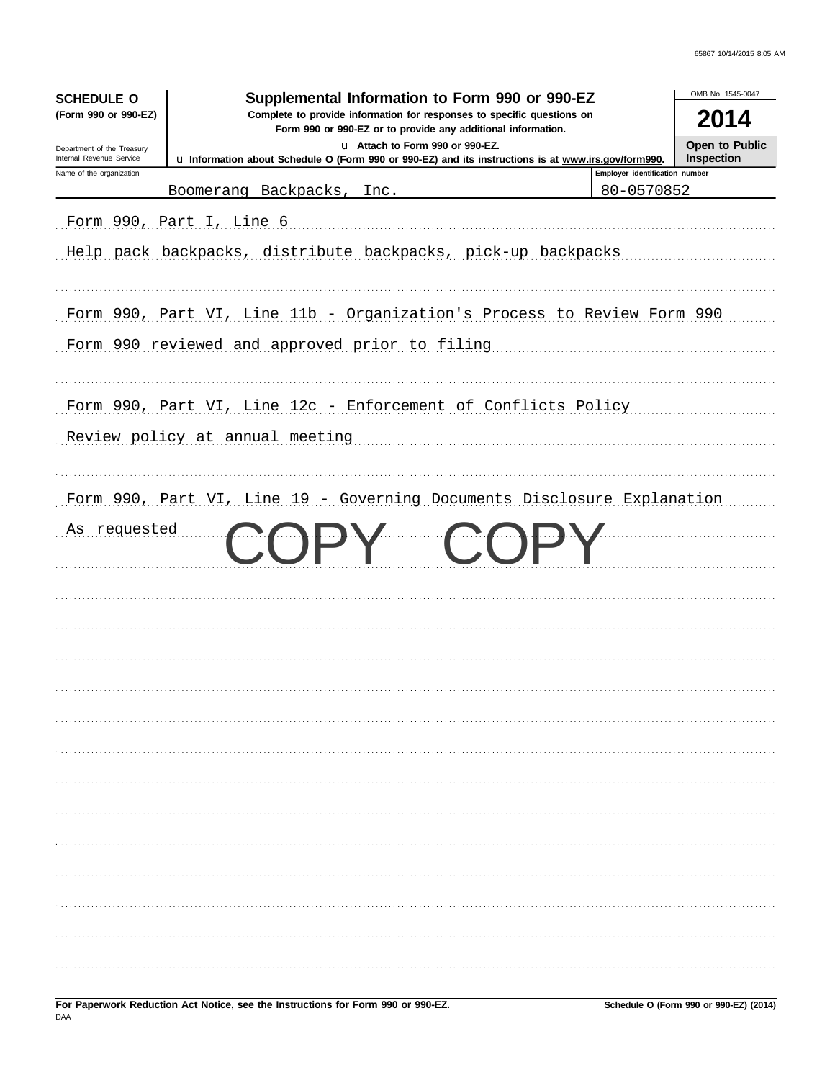| Supplemental Information to Form 990 or 990-EZ<br><b>SCHEDULE O</b><br>(Form 990 or 990-EZ)<br>Complete to provide information for responses to specific questions on<br>Form 990 or 990-EZ or to provide any additional information. |                                                                                                     |                                |            |  |
|---------------------------------------------------------------------------------------------------------------------------------------------------------------------------------------------------------------------------------------|-----------------------------------------------------------------------------------------------------|--------------------------------|------------|--|
|                                                                                                                                                                                                                                       |                                                                                                     |                                |            |  |
| Internal Revenue Service<br>Name of the organization                                                                                                                                                                                  | u Information about Schedule O (Form 990 or 990-EZ) and its instructions is at www.irs.gov/form990. | Employer identification number | Inspection |  |
|                                                                                                                                                                                                                                       | Boomerang Backpacks, Inc.                                                                           | 80-0570852                     |            |  |
|                                                                                                                                                                                                                                       | Form 990, Part I, Line 6                                                                            |                                |            |  |
|                                                                                                                                                                                                                                       | Help pack backpacks, distribute backpacks, pick-up backpacks                                        |                                |            |  |
|                                                                                                                                                                                                                                       |                                                                                                     |                                |            |  |
|                                                                                                                                                                                                                                       | Form 990, Part VI, Line 11b - Organization's Process to Review Form 990                             |                                |            |  |
|                                                                                                                                                                                                                                       | Form 990 reviewed and approved prior to filing                                                      |                                |            |  |
|                                                                                                                                                                                                                                       |                                                                                                     |                                |            |  |
|                                                                                                                                                                                                                                       | Form 990, Part VI, Line 12c - Enforcement of Conflicts Policy                                       |                                |            |  |
|                                                                                                                                                                                                                                       | Review policy at annual meeting                                                                     |                                |            |  |
|                                                                                                                                                                                                                                       |                                                                                                     |                                |            |  |
|                                                                                                                                                                                                                                       | Form 990, Part VI, Line 19 - Governing Documents Disclosure Explanation                             |                                |            |  |
| As requested                                                                                                                                                                                                                          |                                                                                                     |                                |            |  |
|                                                                                                                                                                                                                                       |                                                                                                     |                                |            |  |
|                                                                                                                                                                                                                                       |                                                                                                     |                                |            |  |
|                                                                                                                                                                                                                                       |                                                                                                     |                                |            |  |
|                                                                                                                                                                                                                                       |                                                                                                     |                                |            |  |
|                                                                                                                                                                                                                                       |                                                                                                     |                                |            |  |
|                                                                                                                                                                                                                                       |                                                                                                     |                                |            |  |
|                                                                                                                                                                                                                                       |                                                                                                     |                                |            |  |
|                                                                                                                                                                                                                                       |                                                                                                     |                                |            |  |
|                                                                                                                                                                                                                                       |                                                                                                     |                                |            |  |
|                                                                                                                                                                                                                                       |                                                                                                     |                                |            |  |
|                                                                                                                                                                                                                                       |                                                                                                     |                                |            |  |
|                                                                                                                                                                                                                                       |                                                                                                     |                                |            |  |
|                                                                                                                                                                                                                                       |                                                                                                     |                                |            |  |
|                                                                                                                                                                                                                                       |                                                                                                     |                                |            |  |
|                                                                                                                                                                                                                                       |                                                                                                     |                                |            |  |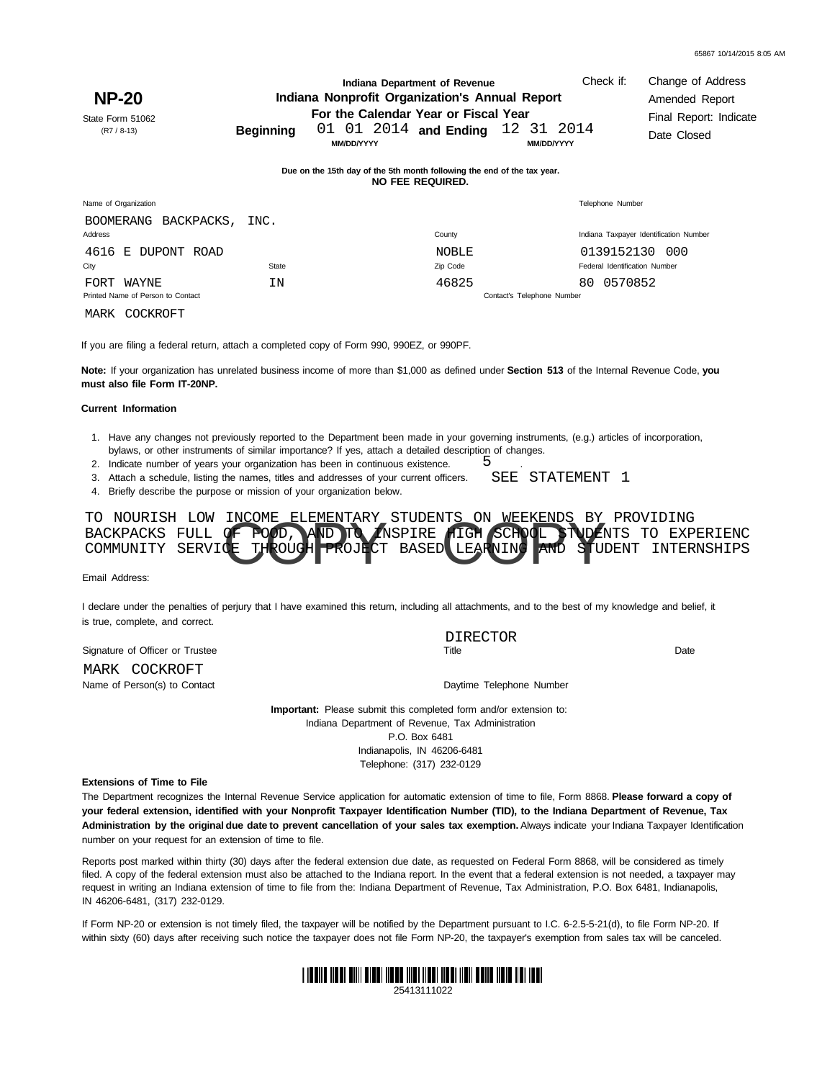| <b>NP-20</b><br>State Form 51062<br>$(R7 / 8-13)$                      | <b>Beginning</b>                                                                            | Indiana Department of Revenue<br>Indiana Nonprofit Organization's Annual Report<br>For the Calendar Year or Fiscal Year<br>01 01 2014 and Ending<br><b>MM/DD/YYYY</b> |              | Check if:<br>12 31 2014<br><b>MM/DD/YYYY</b> | Change of Address<br>Amended Report<br>Final Report: Indicate<br>Date Closed |  |  |
|------------------------------------------------------------------------|---------------------------------------------------------------------------------------------|-----------------------------------------------------------------------------------------------------------------------------------------------------------------------|--------------|----------------------------------------------|------------------------------------------------------------------------------|--|--|
|                                                                        | Due on the 15th day of the 5th month following the end of the tax year.<br>NO FEE REQUIRED. |                                                                                                                                                                       |              |                                              |                                                                              |  |  |
| Name of Organization                                                   |                                                                                             |                                                                                                                                                                       |              | Telephone Number                             |                                                                              |  |  |
| <b>BOOMERANG</b><br>BACKPACKS,<br>Address                              | INC.                                                                                        |                                                                                                                                                                       | County       |                                              | Indiana Taxpayer Identification Number                                       |  |  |
| 4616<br>E DUPONT ROAD                                                  |                                                                                             |                                                                                                                                                                       | <b>NOBLE</b> | 0139152130                                   | -000                                                                         |  |  |
| City                                                                   | State                                                                                       |                                                                                                                                                                       | Zip Code     | Federal Identification Number                |                                                                              |  |  |
| WAYNE<br>FORT<br>Printed Name of Person to Contact<br>MARK<br>COCKROFT | ΙN                                                                                          |                                                                                                                                                                       | 46825        | 80 0570852<br>Contact's Telephone Number     |                                                                              |  |  |
|                                                                        |                                                                                             |                                                                                                                                                                       |              |                                              |                                                                              |  |  |

If you are filing a federal return, attach a completed copy of Form 990, 990EZ, or 990PF.

**Note:** If your organization has unrelated business income of more than \$1,000 as defined under **Section 513** of the Internal Revenue Code, **you must also file Form IT-20NP.**

## **Current Information**

- 1. Have any changes not previously reported to the Department been made in your governing instruments, (e.g.) articles of incorporation, bylaws, or other instruments of similar importance? If yes, attach a detailed description of changes.
- 2. Indicate number of years your organization has been in continuous existence. 5
- 3. Attach a schedule, listing the names, titles and addresses of your current officers. SEE STATEMENT 1
- 4. Briefly describe the purpose or mission of your organization below.

| TO NOURISH LOW INCOME ELEMENTARY STUDENTS ON WEEKENDS BY PROVIDING<br>BACKPACKS FULL OF POOD, A ID TO MSPIRE HIGH SCHOOL TUDENTS TO EXPERIENC<br>COMMUNITY SERVICE THROUGH PROJECT BASED LEARNING AND STUDENT INTERNSHIPS |
|---------------------------------------------------------------------------------------------------------------------------------------------------------------------------------------------------------------------------|
|                                                                                                                                                                                                                           |
|                                                                                                                                                                                                                           |

Email Address:

I declare under the penalties of perjury that I have examined this return, including all attachments, and to the best of my knowledge and belief, it is true, complete, and correct.

Signature of Officer or Trustee Name of Person(s) to Contact and Daytime Telephone Number MARK COCKROFT

Title Date DIRECTOR<br>Title

.

**Important:** Please submit this completed form and/or extension to: Indiana Department of Revenue, Tax Administration P.O. Box 6481 Indianapolis, IN 46206-6481 Telephone: (317) 232-0129

**Extensions of Time to File**

The Department recognizes the Internal Revenue Service application for automatic extension of time to file, Form 8868. **Please forward a copy of** your federal extension, identified with your Nonprofit Taxpayer Identification Number (TID), to the Indiana Department of Revenue, Tax Administration by the original due date to prevent cancellation of your sales tax exemption. Always indicate your Indiana Taxpayer Identification number on your request for an extension of time to file.

Reports post marked within thirty (30) days after the federal extension due date, as requested on Federal Form 8868, will be considered as timely filed. A copy of the federal extension must also be attached to the Indiana report. In the event that a federal extension is not needed, a taxpayer may request in writing an Indiana extension of time to file from the: Indiana Department of Revenue, Tax Administration, P.O. Box 6481, Indianapolis, IN 46206-6481, (317) 232-0129.

within sixty (60) days after receiving such notice the taxpayer does not file Form NP-20, the taxpayer's exemption from sales tax will be canceled. If Form NP-20 or extension is not timely filed, the taxpayer will be notified by the Department pursuant to I.C. 6-2.5-5-21(d), to file Form NP-20. If